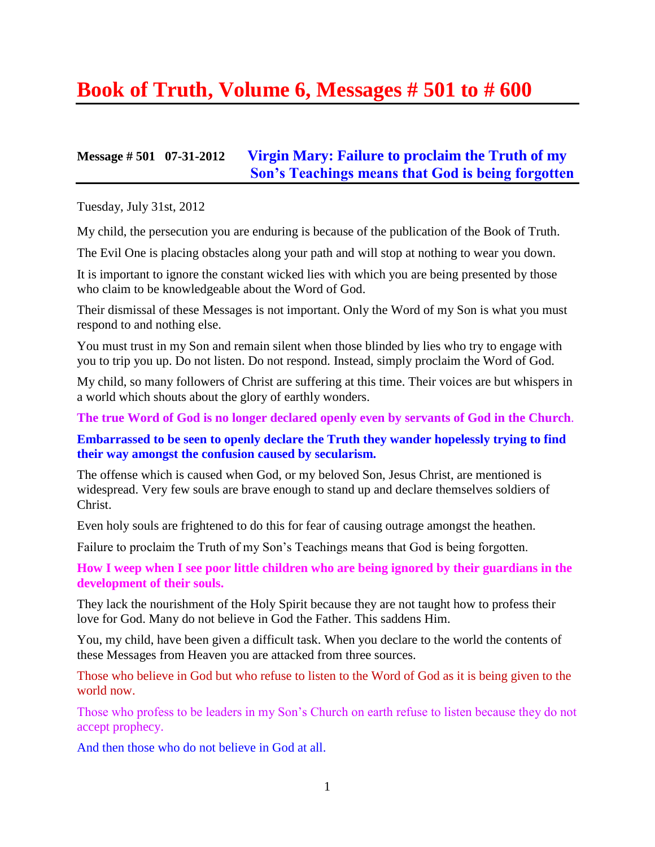# **Book of Truth, Volume 6, Messages # 501 to # 600**

## **Message # 501 07-31-2012 [Virgin Mary: Failure to proclaim the Truth of my](http://www.thewarningsecondcoming.com/virgin-mary-failure-to-proclaim-the-truth-of-my-sons-teachings-means-that-god-is-being-forgotten/)  [Son's Teachings means that God is being forgotten](http://www.thewarningsecondcoming.com/virgin-mary-failure-to-proclaim-the-truth-of-my-sons-teachings-means-that-god-is-being-forgotten/)**

Tuesday, July 31st, 2012

My child, the persecution you are enduring is because of the publication of the Book of Truth.

The Evil One is placing obstacles along your path and will stop at nothing to wear you down.

It is important to ignore the constant wicked lies with which you are being presented by those who claim to be knowledgeable about the Word of God.

Their dismissal of these Messages is not important. Only the Word of my Son is what you must respond to and nothing else.

You must trust in my Son and remain silent when those blinded by lies who try to engage with you to trip you up. Do not listen. Do not respond. Instead, simply proclaim the Word of God.

My child, so many followers of Christ are suffering at this time. Their voices are but whispers in a world which shouts about the glory of earthly wonders.

**The true Word of God is no longer declared openly even by servants of God in the Church**.

**Embarrassed to be seen to openly declare the Truth they wander hopelessly trying to find their way amongst the confusion caused by secularism.**

The offense which is caused when God, or my beloved Son, Jesus Christ, are mentioned is widespread. Very few souls are brave enough to stand up and declare themselves soldiers of Christ.

Even holy souls are frightened to do this for fear of causing outrage amongst the heathen.

Failure to proclaim the Truth of my Son's Teachings means that God is being forgotten.

**How I weep when I see poor little children who are being ignored by their guardians in the development of their souls.**

They lack the nourishment of the Holy Spirit because they are not taught how to profess their love for God. Many do not believe in God the Father. This saddens Him.

You, my child, have been given a difficult task. When you declare to the world the contents of these Messages from Heaven you are attacked from three sources.

Those who believe in God but who refuse to listen to the Word of God as it is being given to the world now.

Those who profess to be leaders in my Son's Church on earth refuse to listen because they do not accept prophecy.

And then those who do not believe in God at all.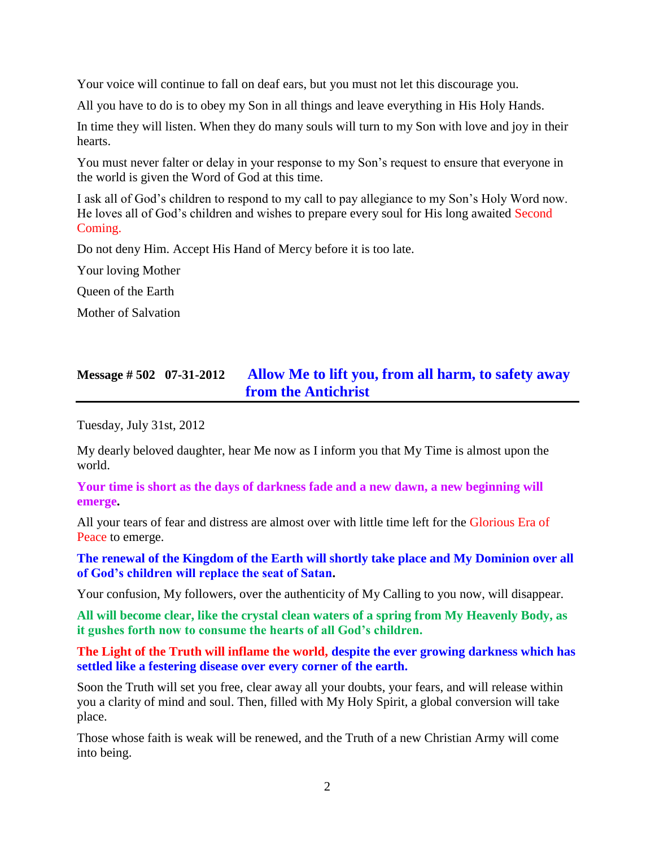Your voice will continue to fall on deaf ears, but you must not let this discourage you.

All you have to do is to obey my Son in all things and leave everything in His Holy Hands.

In time they will listen. When they do many souls will turn to my Son with love and joy in their hearts.

You must never falter or delay in your response to my Son's request to ensure that everyone in the world is given the Word of God at this time.

I ask all of God's children to respond to my call to pay allegiance to my Son's Holy Word now. He loves all of God's children and wishes to prepare every soul for His long awaited Second Coming.

Do not deny Him. Accept His Hand of Mercy before it is too late.

Your loving Mother

Queen of the Earth

Mother of Salvation

## **Message # 502 07-31-2012 [Allow Me to lift you, from all harm, to safety away](http://www.thewarningsecondcoming.com/allow-me-to-lift-you-from-all-harm-to-safety-away-from-the-antichrist/)  [from the Antichrist](http://www.thewarningsecondcoming.com/allow-me-to-lift-you-from-all-harm-to-safety-away-from-the-antichrist/)**

Tuesday, July 31st, 2012

My dearly beloved daughter, hear Me now as I inform you that My Time is almost upon the world.

**Your time is short as the days of darkness fade and a new dawn, a new beginning will emerge.**

All your tears of fear and distress are almost over with little time left for the Glorious Era of Peace to emerge.

**The renewal of the Kingdom of the Earth will shortly take place and My Dominion over all of God's children will replace the seat of Satan.**

Your confusion, My followers, over the authenticity of My Calling to you now, will disappear.

**All will become clear, like the crystal clean waters of a spring from My Heavenly Body, as it gushes forth now to consume the hearts of all God's children.**

**The Light of the Truth will inflame the world, despite the ever growing darkness which has settled like a festering disease over every corner of the earth.**

Soon the Truth will set you free, clear away all your doubts, your fears, and will release within you a clarity of mind and soul. Then, filled with My Holy Spirit, a global conversion will take place.

Those whose faith is weak will be renewed, and the Truth of a new Christian Army will come into being.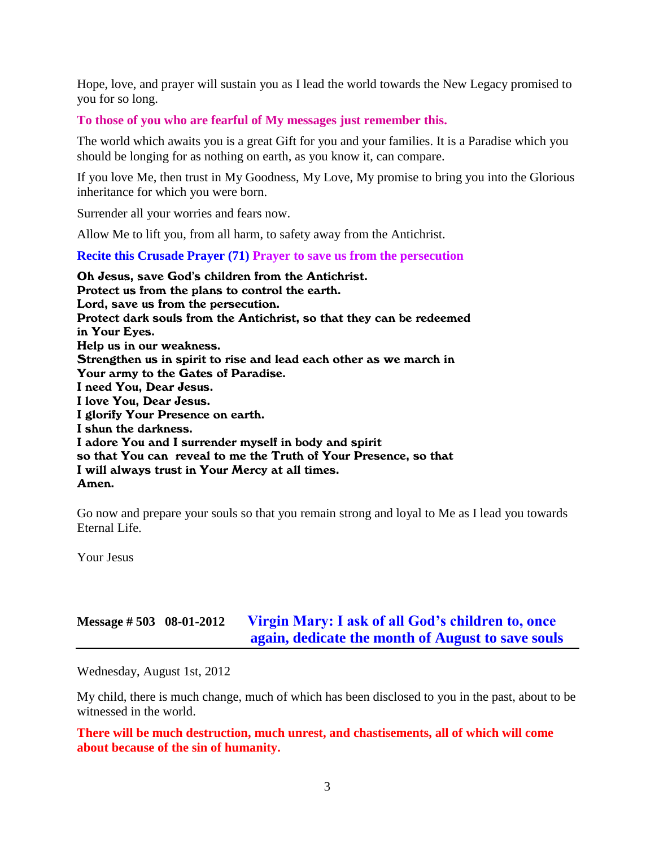Hope, love, and prayer will sustain you as I lead the world towards the New Legacy promised to you for so long.

**To those of you who are fearful of My messages just remember this.**

The world which awaits you is a great Gift for you and your families. It is a Paradise which you should be longing for as nothing on earth, as you know it, can compare.

If you love Me, then trust in My Goodness, My Love, My promise to bring you into the Glorious inheritance for which you were born.

Surrender all your worries and fears now.

Allow Me to lift you, from all harm, to safety away from the Antichrist.

**Recite this Crusade Prayer (71) Prayer to save us from the persecution**

Oh Jesus, save God's children from the Antichrist. Protect us from the plans to control the earth. Lord, save us from the persecution. Protect dark souls from the Antichrist, so that they can be redeemed in Your Eyes. Help us in our weakness. Strengthen us in spirit to rise and lead each other as we march in Your army to the Gates of Paradise. I need You, Dear Jesus. I love You, Dear Jesus. I glorify Your Presence on earth. I shun the darkness. I adore You and I surrender myself in body and spirit so that You can reveal to me the Truth of Your Presence, so that I will always trust in Your Mercy at all times. Amen.

Go now and prepare your souls so that you remain strong and loyal to Me as I lead you towards Eternal Life.

Your Jesus

## **Message # 503 08-01-2012 [Virgin Mary: I ask of all God's children to, once](http://www.thewarningsecondcoming.com/i-ask-of-all-gods-children-to-once-again-dedicate-the-month-of-august-to-save-souls/)  again, [dedicate the month of August to save souls](http://www.thewarningsecondcoming.com/i-ask-of-all-gods-children-to-once-again-dedicate-the-month-of-august-to-save-souls/)**

Wednesday, August 1st, 2012

My child, there is much change, much of which has been disclosed to you in the past, about to be witnessed in the world.

**There will be much destruction, much unrest, and chastisements, all of which will come about because of the sin of humanity.**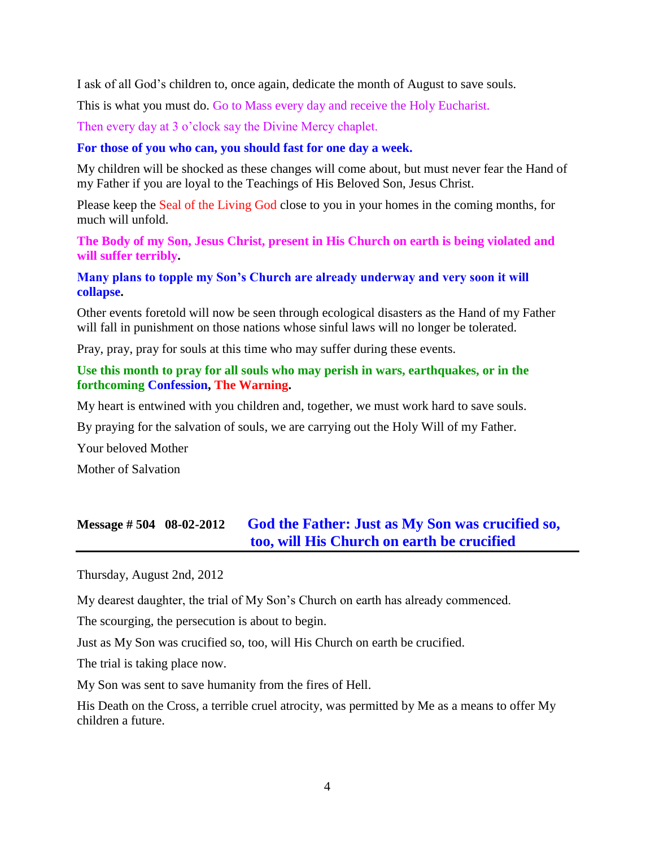I ask of all God's children to, once again, dedicate the month of August to save souls.

This is what you must do. Go to Mass every day and receive the Holy Eucharist.

Then every day at 3 o'clock say the Divine Mercy chaplet.

#### **For those of you who can, you should fast for one day a week.**

My children will be shocked as these changes will come about, but must never fear the Hand of my Father if you are loyal to the Teachings of His Beloved Son, Jesus Christ.

Please keep the Seal of the Living God close to you in your homes in the coming months, for much will unfold.

**The Body of my Son, Jesus Christ, present in His Church on earth is being violated and will suffer terribly.**

### **Many plans to topple my Son's Church are already underway and very soon it will collapse.**

Other events foretold will now be seen through ecological disasters as the Hand of my Father will fall in punishment on those nations whose sinful laws will no longer be tolerated.

Pray, pray, pray for souls at this time who may suffer during these events.

### **Use this month to pray for all souls who may perish in wars, earthquakes, or in the forthcoming Confession, The Warning.**

My heart is entwined with you children and, together, we must work hard to save souls.

By praying for the salvation of souls, we are carrying out the Holy Will of my Father.

Your beloved Mother

Mother of Salvation

## **Message # 504 08-02-2012 God the Father: [Just as My Son was crucified so,](http://www.thewarningsecondcoming.com/god-the-father-just-as-my-son-was-crucified-so-too-will-his-church-on-earth-be-crucified/)  [too, will His Church on earth be crucified](http://www.thewarningsecondcoming.com/god-the-father-just-as-my-son-was-crucified-so-too-will-his-church-on-earth-be-crucified/)**

Thursday, August 2nd, 2012

My dearest daughter, the trial of My Son's Church on earth has already commenced.

The scourging, the persecution is about to begin.

Just as My Son was crucified so, too, will His Church on earth be crucified.

The trial is taking place now.

My Son was sent to save humanity from the fires of Hell.

His Death on the Cross, a terrible cruel atrocity, was permitted by Me as a means to offer My children a future.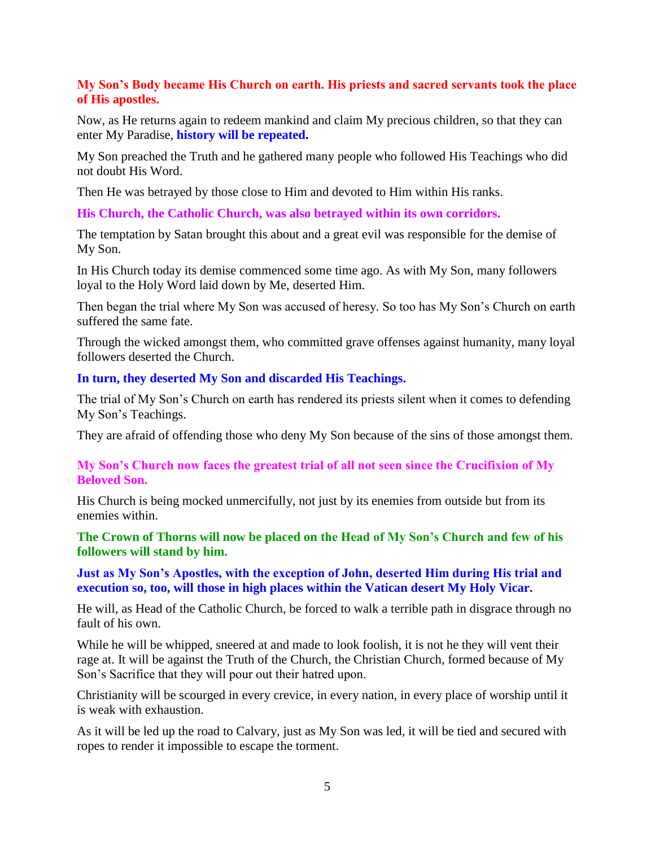## **My Son's Body became His Church on earth. His priests and sacred servants took the place of His apostles.**

Now, as He returns again to redeem mankind and claim My precious children, so that they can enter My Paradise, **history will be repeated.**

My Son preached the Truth and he gathered many people who followed His Teachings who did not doubt His Word.

Then He was betrayed by those close to Him and devoted to Him within His ranks.

**His Church, the Catholic Church, was also betrayed within its own corridors.**

The temptation by Satan brought this about and a great evil was responsible for the demise of My Son.

In His Church today its demise commenced some time ago. As with My Son, many followers loyal to the Holy Word laid down by Me, deserted Him.

Then began the trial where My Son was accused of heresy. So too has My Son's Church on earth suffered the same fate.

Through the wicked amongst them, who committed grave offenses against humanity, many loyal followers deserted the Church.

### **In turn, they deserted My Son and discarded His Teachings.**

The trial of My Son's Church on earth has rendered its priests silent when it comes to defending My Son's Teachings.

They are afraid of offending those who deny My Son because of the sins of those amongst them.

## **My Son's Church now faces the greatest trial of all not seen since the Crucifixion of My Beloved Son.**

His Church is being mocked unmercifully, not just by its enemies from outside but from its enemies within.

## **The Crown of Thorns will now be placed on the Head of My Son's Church and few of his followers will stand by him.**

## **Just as My Son's Apostles, with the exception of John, deserted Him during His trial and execution so, too, will those in high places within the Vatican desert My Holy Vicar.**

He will, as Head of the Catholic Church, be forced to walk a terrible path in disgrace through no fault of his own.

While he will be whipped, sneered at and made to look foolish, it is not he they will vent their rage at. It will be against the Truth of the Church, the Christian Church, formed because of My Son's Sacrifice that they will pour out their hatred upon.

Christianity will be scourged in every crevice, in every nation, in every place of worship until it is weak with exhaustion.

As it will be led up the road to Calvary, just as My Son was led, it will be tied and secured with ropes to render it impossible to escape the torment.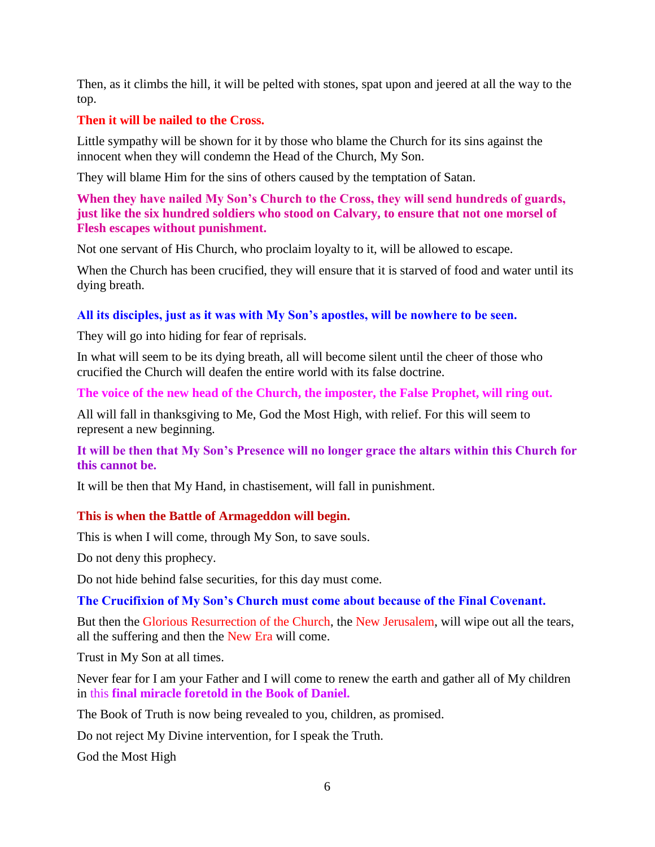Then, as it climbs the hill, it will be pelted with stones, spat upon and jeered at all the way to the top.

## **Then it will be nailed to the Cross.**

Little sympathy will be shown for it by those who blame the Church for its sins against the innocent when they will condemn the Head of the Church, My Son.

They will blame Him for the sins of others caused by the temptation of Satan.

## **When they have nailed My Son's Church to the Cross, they will send hundreds of guards, just like the six hundred soldiers who stood on Calvary, to ensure that not one morsel of Flesh escapes without punishment.**

Not one servant of His Church, who proclaim loyalty to it, will be allowed to escape.

When the Church has been crucified, they will ensure that it is starved of food and water until its dying breath.

## **All its disciples, just as it was with My Son's apostles, will be nowhere to be seen.**

They will go into hiding for fear of reprisals.

In what will seem to be its dying breath, all will become silent until the cheer of those who crucified the Church will deafen the entire world with its false doctrine.

**The voice of the new head of the Church, the imposter, the False Prophet, will ring out.**

All will fall in thanksgiving to Me, God the Most High, with relief. For this will seem to represent a new beginning.

## **It will be then that My Son's Presence will no longer grace the altars within this Church for this cannot be.**

It will be then that My Hand, in chastisement, will fall in punishment.

### **This is when the Battle of Armageddon will begin.**

This is when I will come, through My Son, to save souls.

Do not deny this prophecy.

Do not hide behind false securities, for this day must come.

### **The Crucifixion of My Son's Church must come about because of the Final Covenant.**

But then the Glorious Resurrection of the Church, the New Jerusalem, will wipe out all the tears, all the suffering and then the New Era will come.

Trust in My Son at all times.

Never fear for I am your Father and I will come to renew the earth and gather all of My children in this **final miracle foretold in the Book of Daniel.**

The Book of Truth is now being revealed to you, children, as promised.

Do not reject My Divine intervention, for I speak the Truth.

God the Most High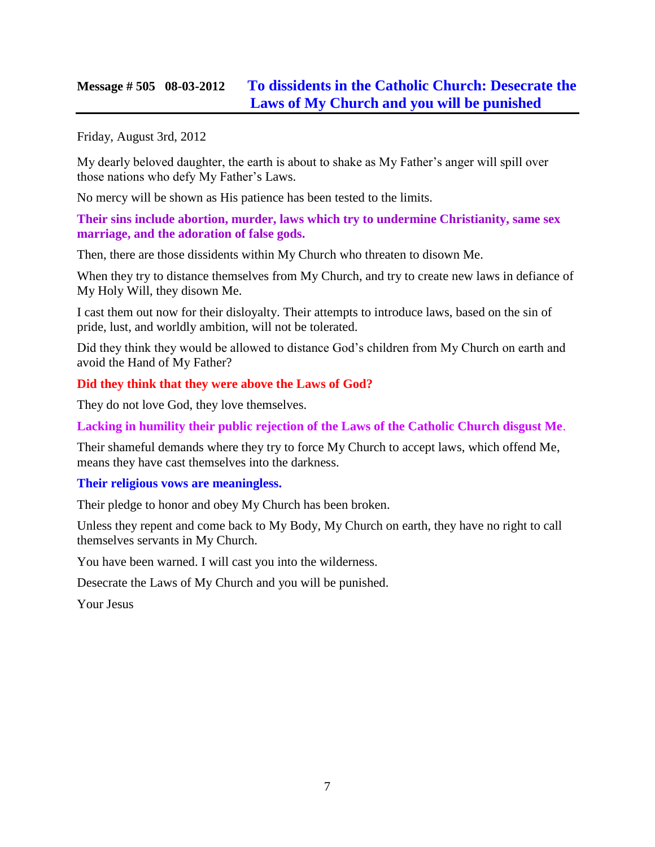## **Message # 505 08-03-2012 [To dissidents in the Catholic Church: Desecrate the](http://www.thewarningsecondcoming.com/to-dissidents-in-the-catholic-church-desecrate-the-laws-of-my-church-and-you-will-be-punished/)  [Laws of My Church and you will be punished](http://www.thewarningsecondcoming.com/to-dissidents-in-the-catholic-church-desecrate-the-laws-of-my-church-and-you-will-be-punished/)**

Friday, August 3rd, 2012

My dearly beloved daughter, the earth is about to shake as My Father's anger will spill over those nations who defy My Father's Laws.

No mercy will be shown as His patience has been tested to the limits.

**Their sins include abortion, murder, laws which try to undermine Christianity, same sex marriage, and the adoration of false gods.**

Then, there are those dissidents within My Church who threaten to disown Me.

When they try to distance themselves from My Church, and try to create new laws in defiance of My Holy Will, they disown Me.

I cast them out now for their disloyalty. Their attempts to introduce laws, based on the sin of pride, lust, and worldly ambition, will not be tolerated.

Did they think they would be allowed to distance God's children from My Church on earth and avoid the Hand of My Father?

### **Did they think that they were above the Laws of God?**

They do not love God, they love themselves.

**Lacking in humility their public rejection of the Laws of the Catholic Church disgust Me**.

Their shameful demands where they try to force My Church to accept laws, which offend Me, means they have cast themselves into the darkness.

### **Their religious vows are meaningless.**

Their pledge to honor and obey My Church has been broken.

Unless they repent and come back to My Body, My Church on earth, they have no right to call themselves servants in My Church.

You have been warned. I will cast you into the wilderness.

Desecrate the Laws of My Church and you will be punished.

Your Jesus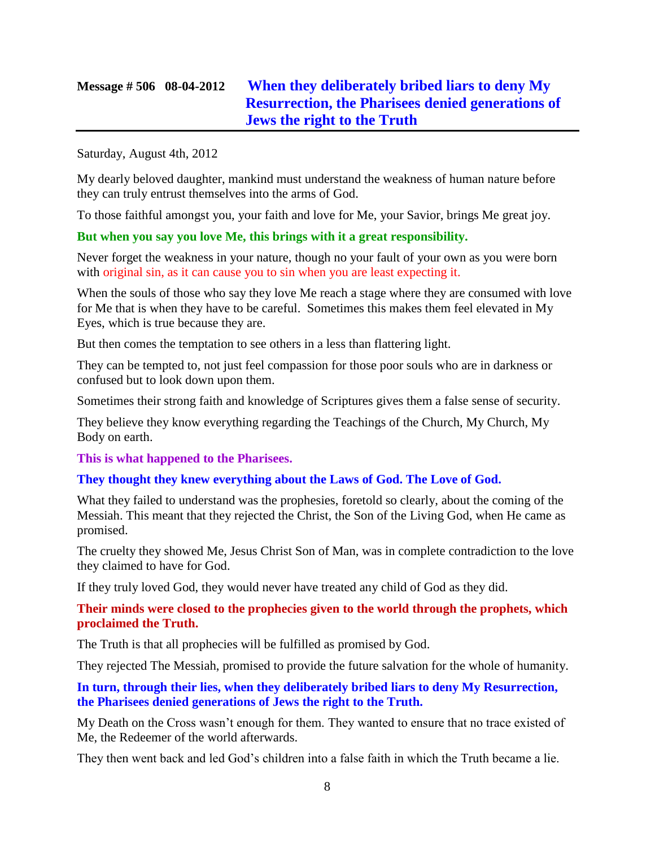## **Message # 506 08-04-2012 [When they deliberately bribed liars to deny My](http://www.thewarningsecondcoming.com/when-they-deliberately-bribed-liars-to-deny-my-resurrection-the-pharisees-denied-generations-of-jews-the-right-to-the-truth/)  [Resurrection, the Pharisees denied generations of](http://www.thewarningsecondcoming.com/when-they-deliberately-bribed-liars-to-deny-my-resurrection-the-pharisees-denied-generations-of-jews-the-right-to-the-truth/)  [Jews the right to the Truth](http://www.thewarningsecondcoming.com/when-they-deliberately-bribed-liars-to-deny-my-resurrection-the-pharisees-denied-generations-of-jews-the-right-to-the-truth/)**

#### Saturday, August 4th, 2012

My dearly beloved daughter, mankind must understand the weakness of human nature before they can truly entrust themselves into the arms of God.

To those faithful amongst you, your faith and love for Me, your Savior, brings Me great joy.

### **But when you say you love Me, this brings with it a great responsibility.**

Never forget the weakness in your nature, though no your fault of your own as you were born with original sin, as it can cause you to sin when you are least expecting it.

When the souls of those who say they love Me reach a stage where they are consumed with love for Me that is when they have to be careful. Sometimes this makes them feel elevated in My Eyes, which is true because they are.

But then comes the temptation to see others in a less than flattering light.

They can be tempted to, not just feel compassion for those poor souls who are in darkness or confused but to look down upon them.

Sometimes their strong faith and knowledge of Scriptures gives them a false sense of security.

They believe they know everything regarding the Teachings of the Church, My Church, My Body on earth.

**This is what happened to the Pharisees.**

## **They thought they knew everything about the Laws of God. The Love of God.**

What they failed to understand was the prophesies, foretold so clearly, about the coming of the Messiah. This meant that they rejected the Christ, the Son of the Living God, when He came as promised.

The cruelty they showed Me, Jesus Christ Son of Man, was in complete contradiction to the love they claimed to have for God.

If they truly loved God, they would never have treated any child of God as they did.

## **Their minds were closed to the prophecies given to the world through the prophets, which proclaimed the Truth.**

The Truth is that all prophecies will be fulfilled as promised by God.

They rejected The Messiah, promised to provide the future salvation for the whole of humanity.

### **In turn, through their lies, when they deliberately bribed liars to deny My Resurrection, the Pharisees denied generations of Jews the right to the Truth.**

My Death on the Cross wasn't enough for them. They wanted to ensure that no trace existed of Me, the Redeemer of the world afterwards.

They then went back and led God's children into a false faith in which the Truth became a lie.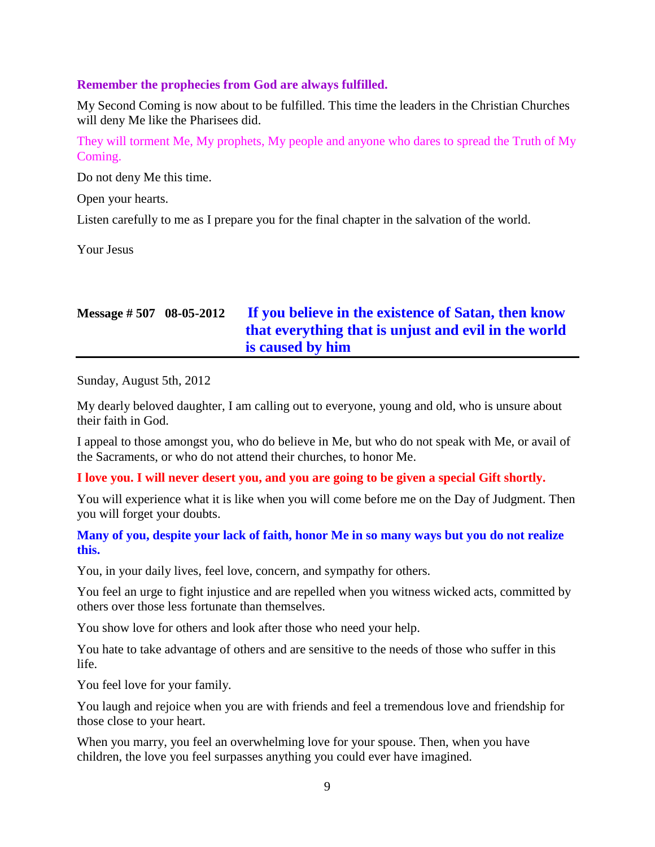### **Remember the prophecies from God are always fulfilled.**

My Second Coming is now about to be fulfilled. This time the leaders in the Christian Churches will deny Me like the Pharisees did.

They will torment Me, My prophets, My people and anyone who dares to spread the Truth of My Coming.

Do not deny Me this time.

Open your hearts.

Listen carefully to me as I prepare you for the final chapter in the salvation of the world.

Your Jesus

## **Message # 507 08-05-2012 [If you believe in the existence of Satan,](http://www.thewarningsecondcoming.com/if-you-believe-in-the-existence-of-satan-then-know-that-everything-that-is-unjust-and-evil-in-the-world-is-caused-by-him/) then know [that everything that is unjust and evil in the world](http://www.thewarningsecondcoming.com/if-you-believe-in-the-existence-of-satan-then-know-that-everything-that-is-unjust-and-evil-in-the-world-is-caused-by-him/)  [is caused by him](http://www.thewarningsecondcoming.com/if-you-believe-in-the-existence-of-satan-then-know-that-everything-that-is-unjust-and-evil-in-the-world-is-caused-by-him/)**

Sunday, August 5th, 2012

My dearly beloved daughter, I am calling out to everyone, young and old, who is unsure about their faith in God.

I appeal to those amongst you, who do believe in Me, but who do not speak with Me, or avail of the Sacraments, or who do not attend their churches, to honor Me.

### **I love you. I will never desert you, and you are going to be given a special Gift shortly.**

You will experience what it is like when you will come before me on the Day of Judgment. Then you will forget your doubts.

## **Many of you, despite your lack of faith, honor Me in so many ways but you do not realize this.**

You, in your daily lives, feel love, concern, and sympathy for others.

You feel an urge to fight injustice and are repelled when you witness wicked acts, committed by others over those less fortunate than themselves.

You show love for others and look after those who need your help.

You hate to take advantage of others and are sensitive to the needs of those who suffer in this life.

You feel love for your family.

You laugh and rejoice when you are with friends and feel a tremendous love and friendship for those close to your heart.

When you marry, you feel an overwhelming love for your spouse. Then, when you have children, the love you feel surpasses anything you could ever have imagined.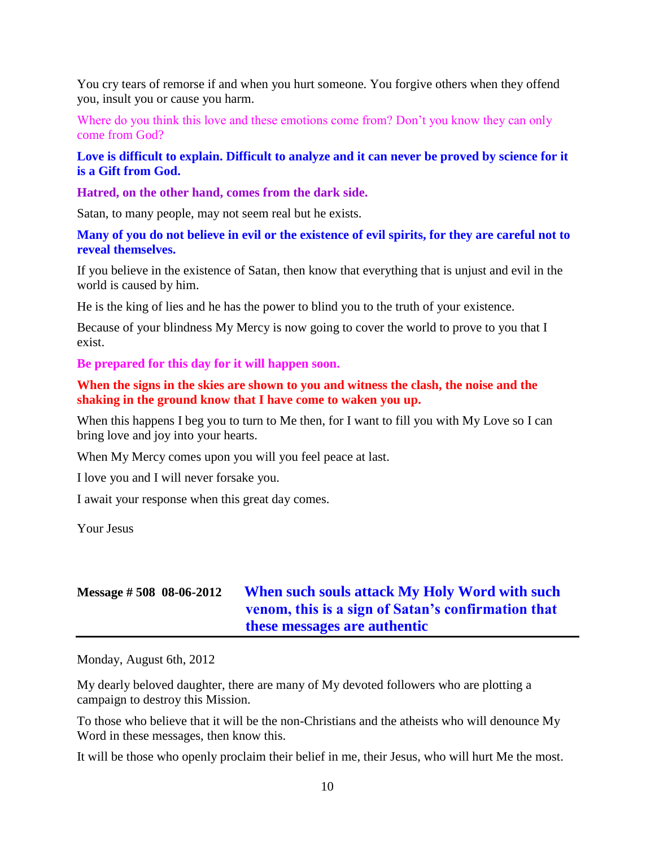You cry tears of remorse if and when you hurt someone. You forgive others when they offend you, insult you or cause you harm.

Where do you think this love and these emotions come from? Don't you know they can only come from God?

**Love is difficult to explain. Difficult to analyze and it can never be proved by science for it is a Gift from God.**

**Hatred, on the other hand, comes from the dark side.**

Satan, to many people, may not seem real but he exists.

**Many of you do not believe in evil or the existence of evil spirits, for they are careful not to reveal themselves.**

If you believe in the existence of Satan, then know that everything that is unjust and evil in the world is caused by him.

He is the king of lies and he has the power to blind you to the truth of your existence.

Because of your blindness My Mercy is now going to cover the world to prove to you that I exist.

**Be prepared for this day for it will happen soon.**

**When the signs in the skies are shown to you and witness the clash, the noise and the shaking in the ground know that I have come to waken you up.**

When this happens I beg you to turn to Me then, for I want to fill you with My Love so I can bring love and joy into your hearts.

When My Mercy comes upon you will you feel peace at last.

I love you and I will never forsake you.

I await your response when this great day comes.

Your Jesus

## **Message # 508 08-06-2012 [When such souls attack My Holy Word with such](http://www.thewarningsecondcoming.com/when-such-souls-attack-my-holy-word-with-such-venom-this-is-a-sign-of-satans-confirmation-that-these-messages-are-authentic-2/)  [venom, this is a sign of Satan's confirmation that](http://www.thewarningsecondcoming.com/when-such-souls-attack-my-holy-word-with-such-venom-this-is-a-sign-of-satans-confirmation-that-these-messages-are-authentic-2/)  [these messages are authentic](http://www.thewarningsecondcoming.com/when-such-souls-attack-my-holy-word-with-such-venom-this-is-a-sign-of-satans-confirmation-that-these-messages-are-authentic-2/)**

Monday, August 6th, 2012

My dearly beloved daughter, there are many of My devoted followers who are plotting a campaign to destroy this Mission.

To those who believe that it will be the non-Christians and the atheists who will denounce My Word in these messages, then know this.

It will be those who openly proclaim their belief in me, their Jesus, who will hurt Me the most.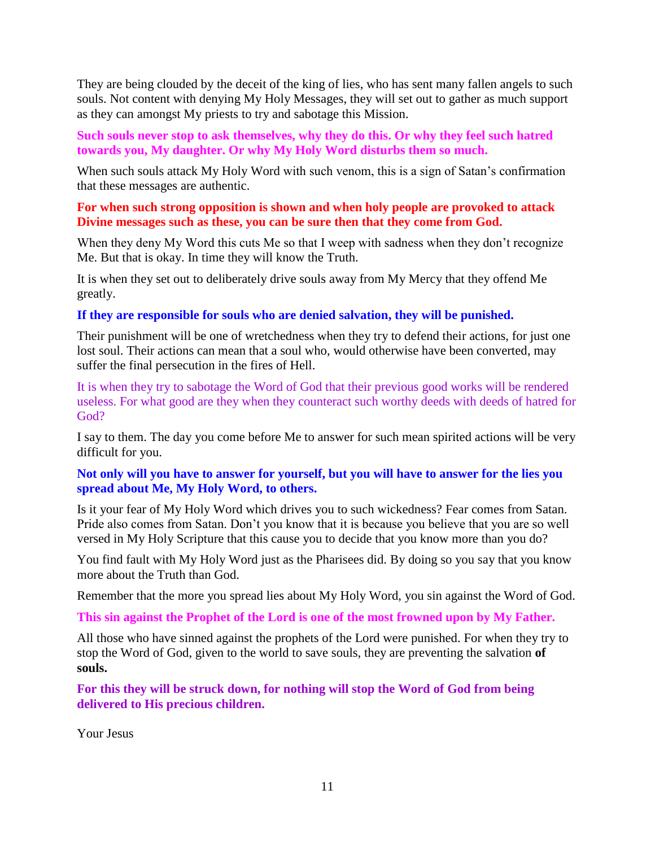They are being clouded by the deceit of the king of lies, who has sent many fallen angels to such souls. Not content with denying My Holy Messages, they will set out to gather as much support as they can amongst My priests to try and sabotage this Mission.

**Such souls never stop to ask themselves, why they do this. Or why they feel such hatred towards you, My daughter. Or why My Holy Word disturbs them so much.**

When such souls attack My Holy Word with such venom, this is a sign of Satan's confirmation that these messages are authentic.

### **For when such strong opposition is shown and when holy people are provoked to attack Divine messages such as these, you can be sure then that they come from God.**

When they deny My Word this cuts Me so that I weep with sadness when they don't recognize Me. But that is okay. In time they will know the Truth.

It is when they set out to deliberately drive souls away from My Mercy that they offend Me greatly.

### **If they are responsible for souls who are denied salvation, they will be punished.**

Their punishment will be one of wretchedness when they try to defend their actions, for just one lost soul. Their actions can mean that a soul who, would otherwise have been converted, may suffer the final persecution in the fires of Hell.

It is when they try to sabotage the Word of God that their previous good works will be rendered useless. For what good are they when they counteract such worthy deeds with deeds of hatred for God?

I say to them. The day you come before Me to answer for such mean spirited actions will be very difficult for you.

## **Not only will you have to answer for yourself, but you will have to answer for the lies you spread about Me, My Holy Word, to others.**

Is it your fear of My Holy Word which drives you to such wickedness? Fear comes from Satan. Pride also comes from Satan. Don't you know that it is because you believe that you are so well versed in My Holy Scripture that this cause you to decide that you know more than you do?

You find fault with My Holy Word just as the Pharisees did. By doing so you say that you know more about the Truth than God.

Remember that the more you spread lies about My Holy Word, you sin against the Word of God.

**This sin against the Prophet of the Lord is one of the most frowned upon by My Father.**

All those who have sinned against the prophets of the Lord were punished. For when they try to stop the Word of God, given to the world to save souls, they are preventing the salvation **of souls.**

**For this they will be struck down, for nothing will stop the Word of God from being delivered to His precious children.**

Your Jesus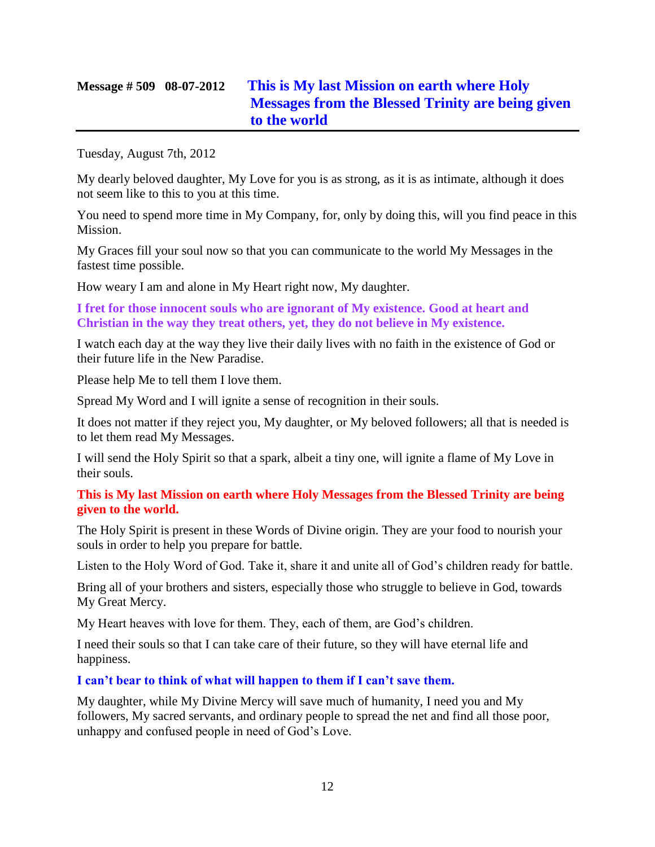## **Message # 509 08-07-2012 [This is My last Mission on earth where Holy](http://www.thewarningsecondcoming.com/this-is-my-last-mission-on-earth-where-holy-messages-from-the-blessed-trinity-are-being-given-to-the-world/)  [Messages from the Blessed Trinity are being given](http://www.thewarningsecondcoming.com/this-is-my-last-mission-on-earth-where-holy-messages-from-the-blessed-trinity-are-being-given-to-the-world/)  [to the world](http://www.thewarningsecondcoming.com/this-is-my-last-mission-on-earth-where-holy-messages-from-the-blessed-trinity-are-being-given-to-the-world/)**

Tuesday, August 7th, 2012

My dearly beloved daughter, My Love for you is as strong, as it is as intimate, although it does not seem like to this to you at this time.

You need to spend more time in My Company, for, only by doing this, will you find peace in this Mission.

My Graces fill your soul now so that you can communicate to the world My Messages in the fastest time possible.

How weary I am and alone in My Heart right now, My daughter.

**I fret for those innocent souls who are ignorant of My existence. Good at heart and Christian in the way they treat others, yet, they do not believe in My existence.**

I watch each day at the way they live their daily lives with no faith in the existence of God or their future life in the New Paradise.

Please help Me to tell them I love them.

Spread My Word and I will ignite a sense of recognition in their souls.

It does not matter if they reject you, My daughter, or My beloved followers; all that is needed is to let them read My Messages.

I will send the Holy Spirit so that a spark, albeit a tiny one, will ignite a flame of My Love in their souls.

**This is My last Mission on earth where Holy Messages from the Blessed Trinity are being given to the world.**

The Holy Spirit is present in these Words of Divine origin. They are your food to nourish your souls in order to help you prepare for battle.

Listen to the Holy Word of God. Take it, share it and unite all of God's children ready for battle.

Bring all of your brothers and sisters, especially those who struggle to believe in God, towards My Great Mercy.

My Heart heaves with love for them. They, each of them, are God's children.

I need their souls so that I can take care of their future, so they will have eternal life and happiness.

**I can't bear to think of what will happen to them if I can't save them.**

My daughter, while My Divine Mercy will save much of humanity, I need you and My followers, My sacred servants, and ordinary people to spread the net and find all those poor, unhappy and confused people in need of God's Love.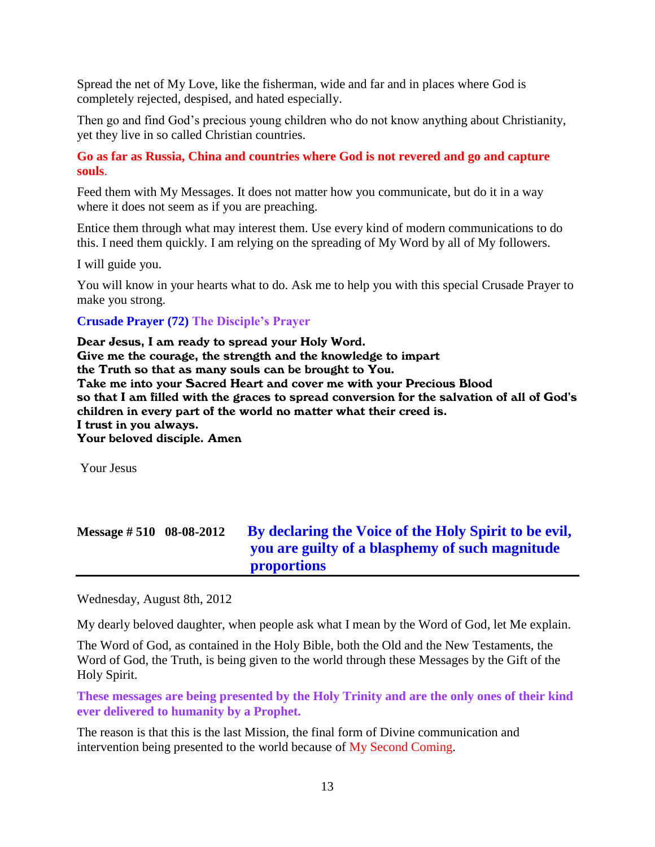Spread the net of My Love, like the fisherman, wide and far and in places where God is completely rejected, despised, and hated especially.

Then go and find God's precious young children who do not know anything about Christianity, yet they live in so called Christian countries.

**Go as far as Russia, China and countries where God is not revered and go and capture souls**.

Feed them with My Messages. It does not matter how you communicate, but do it in a way where it does not seem as if you are preaching.

Entice them through what may interest them. Use every kind of modern communications to do this. I need them quickly. I am relying on the spreading of My Word by all of My followers.

I will guide you.

You will know in your hearts what to do. Ask me to help you with this special Crusade Prayer to make you strong.

### **Crusade Prayer (72) The Disciple's Prayer**

Dear Jesus, I am ready to spread your Holy Word. Give me the courage, the strength and the knowledge to impart the Truth so that as many souls can be brought to You. Take me into your Sacred Heart and cover me with your Precious Blood so that I am filled with the graces to spread conversion for the salvation of all of God's children in every part of the world no matter what their creed is. I trust in you always. Your beloved disciple. Amen

Your Jesus

| Message $\# 510$ 08-08-2012 | By declaring the Voice of the Holy Spirit to be evil, |
|-----------------------------|-------------------------------------------------------|
|                             | you are guilty of a blasphemy of such magnitude       |
|                             | <b>proportions</b>                                    |

Wednesday, August 8th, 2012

My dearly beloved daughter, when people ask what I mean by the Word of God, let Me explain.

The Word of God, as contained in the Holy Bible, both the Old and the New Testaments, the Word of God, the Truth, is being given to the world through these Messages by the Gift of the Holy Spirit.

**These messages are being presented by the Holy Trinity and are the only ones of their kind ever delivered to humanity by a Prophet.**

The reason is that this is the last Mission, the final form of Divine communication and intervention being presented to the world because of My Second Coming.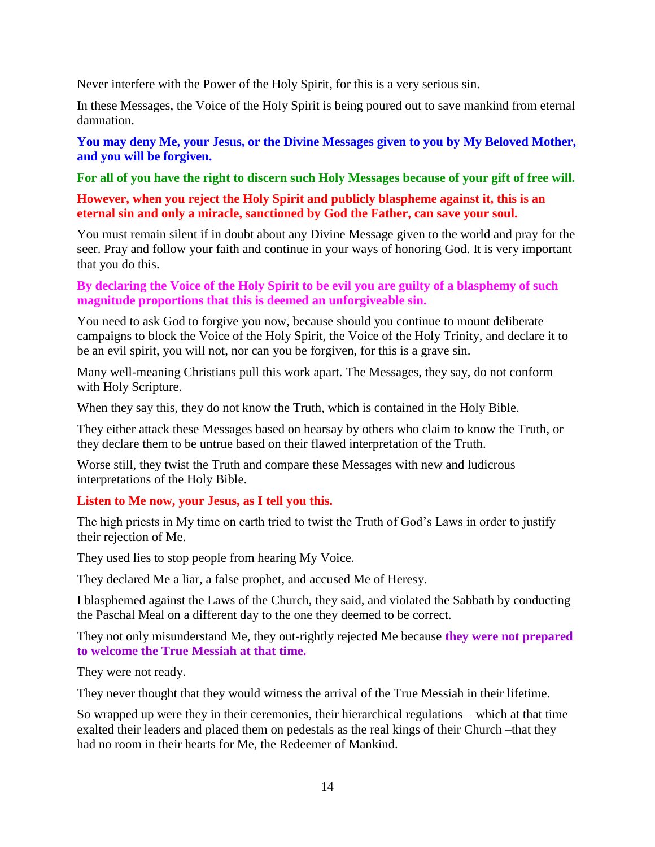Never interfere with the Power of the Holy Spirit, for this is a very serious sin.

In these Messages, the Voice of the Holy Spirit is being poured out to save mankind from eternal damnation.

**You may deny Me, your Jesus, or the Divine Messages given to you by My Beloved Mother, and you will be forgiven.**

**For all of you have the right to discern such Holy Messages because of your gift of free will.**

## **However, when you reject the Holy Spirit and publicly blaspheme against it, this is an eternal sin and only a miracle, sanctioned by God the Father, can save your soul.**

You must remain silent if in doubt about any Divine Message given to the world and pray for the seer. Pray and follow your faith and continue in your ways of honoring God. It is very important that you do this.

## **By declaring the Voice of the Holy Spirit to be evil you are guilty of a blasphemy of such magnitude proportions that this is deemed an unforgiveable sin.**

You need to ask God to forgive you now, because should you continue to mount deliberate campaigns to block the Voice of the Holy Spirit, the Voice of the Holy Trinity, and declare it to be an evil spirit, you will not, nor can you be forgiven, for this is a grave sin.

Many well-meaning Christians pull this work apart. The Messages, they say, do not conform with Holy Scripture.

When they say this, they do not know the Truth, which is contained in the Holy Bible.

They either attack these Messages based on hearsay by others who claim to know the Truth, or they declare them to be untrue based on their flawed interpretation of the Truth.

Worse still, they twist the Truth and compare these Messages with new and ludicrous interpretations of the Holy Bible.

## **Listen to Me now, your Jesus, as I tell you this.**

The high priests in My time on earth tried to twist the Truth of God's Laws in order to justify their rejection of Me.

They used lies to stop people from hearing My Voice.

They declared Me a liar, a false prophet, and accused Me of Heresy.

I blasphemed against the Laws of the Church, they said, and violated the Sabbath by conducting the Paschal Meal on a different day to the one they deemed to be correct.

They not only misunderstand Me, they out-rightly rejected Me because **they were not prepared to welcome the True Messiah at that time.**

They were not ready.

They never thought that they would witness the arrival of the True Messiah in their lifetime.

So wrapped up were they in their ceremonies, their hierarchical regulations – which at that time exalted their leaders and placed them on pedestals as the real kings of their Church –that they had no room in their hearts for Me, the Redeemer of Mankind.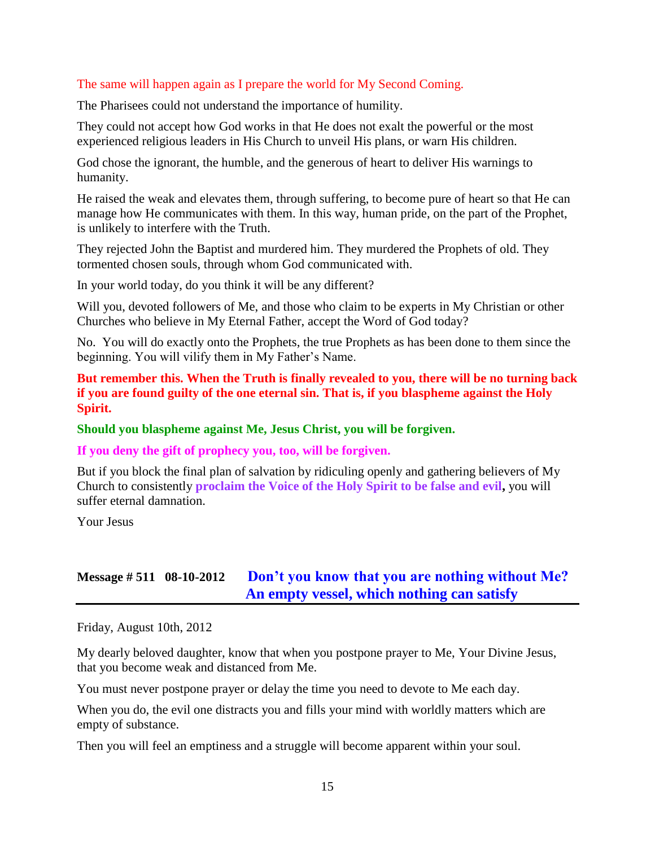## The same will happen again as I prepare the world for My Second Coming.

The Pharisees could not understand the importance of humility.

They could not accept how God works in that He does not exalt the powerful or the most experienced religious leaders in His Church to unveil His plans, or warn His children.

God chose the ignorant, the humble, and the generous of heart to deliver His warnings to humanity.

He raised the weak and elevates them, through suffering, to become pure of heart so that He can manage how He communicates with them. In this way, human pride, on the part of the Prophet, is unlikely to interfere with the Truth.

They rejected John the Baptist and murdered him. They murdered the Prophets of old. They tormented chosen souls, through whom God communicated with.

In your world today, do you think it will be any different?

Will you, devoted followers of Me, and those who claim to be experts in My Christian or other Churches who believe in My Eternal Father, accept the Word of God today?

No. You will do exactly onto the Prophets, the true Prophets as has been done to them since the beginning. You will vilify them in My Father's Name.

## **But remember this. When the Truth is finally revealed to you, there will be no turning back if you are found guilty of the one eternal sin. That is, if you blaspheme against the Holy Spirit.**

### **Should you blaspheme against Me, Jesus Christ, you will be forgiven.**

**If you deny the gift of prophecy you, too, will be forgiven.**

But if you block the final plan of salvation by ridiculing openly and gathering believers of My Church to consistently **proclaim the Voice of the Holy Spirit to be false and evil,** you will suffer eternal damnation.

Your Jesus

## **Message # 511 08-10-2012 [Don't you know that you are nothing without Me?](http://www.thewarningsecondcoming.com/dont-you-know-that-you-are-nothing-without-me-an-empty-vessel-which-nothing-can-satisfy/)  [An empty vessel, which nothing can satisfy](http://www.thewarningsecondcoming.com/dont-you-know-that-you-are-nothing-without-me-an-empty-vessel-which-nothing-can-satisfy/)**

Friday, August 10th, 2012

My dearly beloved daughter, know that when you postpone prayer to Me, Your Divine Jesus, that you become weak and distanced from Me.

You must never postpone prayer or delay the time you need to devote to Me each day.

When you do, the evil one distracts you and fills your mind with worldly matters which are empty of substance.

Then you will feel an emptiness and a struggle will become apparent within your soul.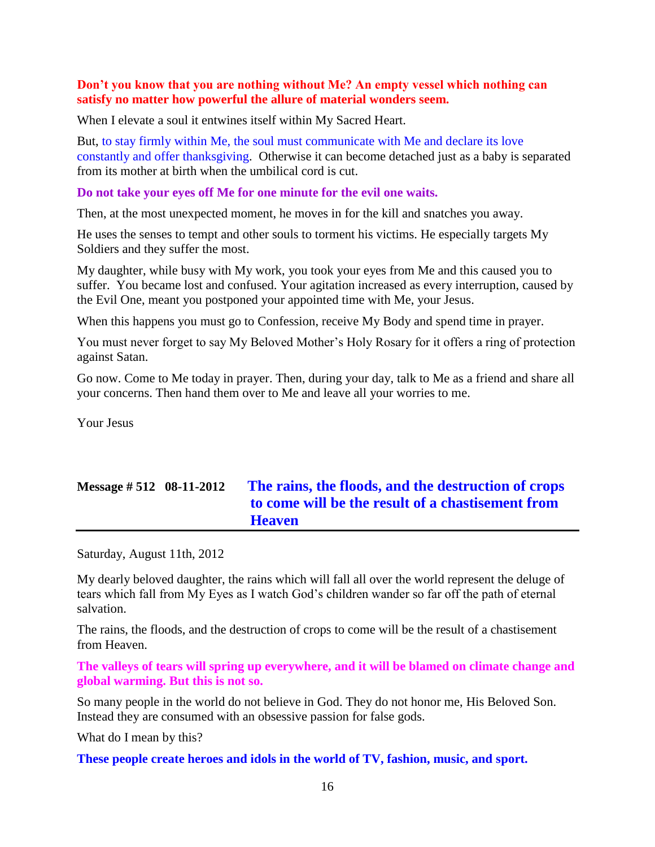### **Don't you know that you are nothing without Me? An empty vessel which nothing can satisfy no matter how powerful the allure of material wonders seem.**

When I elevate a soul it entwines itself within My Sacred Heart.

But, to stay firmly within Me, the soul must communicate with Me and declare its love constantly and offer thanksgiving. Otherwise it can become detached just as a baby is separated from its mother at birth when the umbilical cord is cut.

#### **Do not take your eyes off Me for one minute for the evil one waits.**

Then, at the most unexpected moment, he moves in for the kill and snatches you away.

He uses the senses to tempt and other souls to torment his victims. He especially targets My Soldiers and they suffer the most.

My daughter, while busy with My work, you took your eyes from Me and this caused you to suffer. You became lost and confused. Your agitation increased as every interruption, caused by the Evil One, meant you postponed your appointed time with Me, your Jesus.

When this happens you must go to Confession, receive My Body and spend time in prayer.

You must never forget to say My Beloved Mother's Holy Rosary for it offers a ring of protection against Satan.

Go now. Come to Me today in prayer. Then, during your day, talk to Me as a friend and share all your concerns. Then hand them over to Me and leave all your worries to me.

Your Jesus

## **Message # 512 08-11-2012 The rains, the floods, [and the destruction of crops](http://www.thewarningsecondcoming.com/the-rains-the-floods-and-the-destruction-of-crops-to-come-will-be-the-result-of-a-chastisement-from-heaven/)  [to come will be the result of a chastisement from](http://www.thewarningsecondcoming.com/the-rains-the-floods-and-the-destruction-of-crops-to-come-will-be-the-result-of-a-chastisement-from-heaven/)  [Heaven](http://www.thewarningsecondcoming.com/the-rains-the-floods-and-the-destruction-of-crops-to-come-will-be-the-result-of-a-chastisement-from-heaven/)**

Saturday, August 11th, 2012

My dearly beloved daughter, the rains which will fall all over the world represent the deluge of tears which fall from My Eyes as I watch God's children wander so far off the path of eternal salvation.

The rains, the floods, and the destruction of crops to come will be the result of a chastisement from Heaven.

**The valleys of tears will spring up everywhere, and it will be blamed on climate change and global warming. But this is not so.**

So many people in the world do not believe in God. They do not honor me, His Beloved Son. Instead they are consumed with an obsessive passion for false gods.

What do I mean by this?

**These people create heroes and idols in the world of TV, fashion, music, and sport.**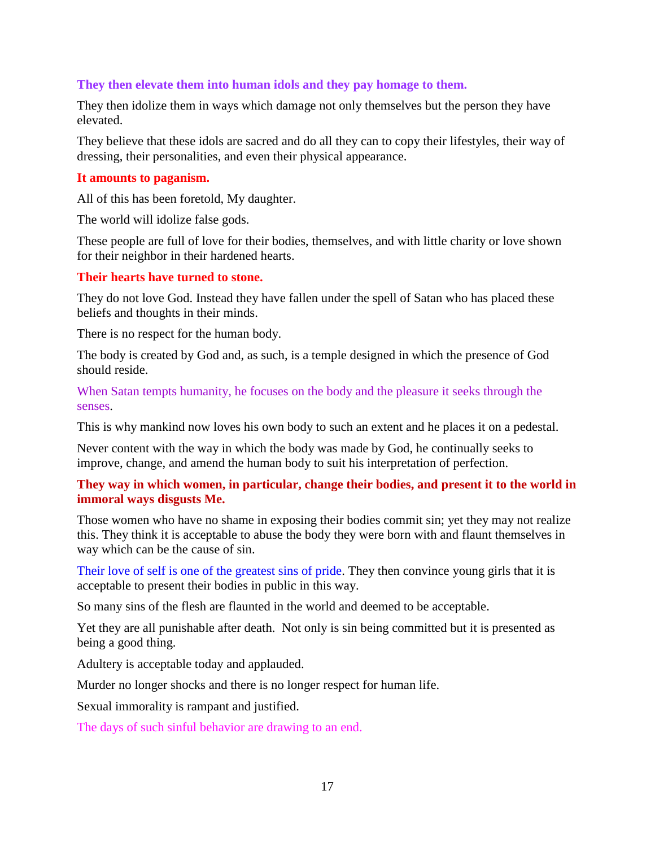## **They then elevate them into human idols and they pay homage to them.**

They then idolize them in ways which damage not only themselves but the person they have elevated.

They believe that these idols are sacred and do all they can to copy their lifestyles, their way of dressing, their personalities, and even their physical appearance.

#### **It amounts to paganism.**

All of this has been foretold, My daughter.

The world will idolize false gods.

These people are full of love for their bodies, themselves, and with little charity or love shown for their neighbor in their hardened hearts.

### **Their hearts have turned to stone.**

They do not love God. Instead they have fallen under the spell of Satan who has placed these beliefs and thoughts in their minds.

There is no respect for the human body.

The body is created by God and, as such, is a temple designed in which the presence of God should reside.

When Satan tempts humanity, he focuses on the body and the pleasure it seeks through the senses.

This is why mankind now loves his own body to such an extent and he places it on a pedestal.

Never content with the way in which the body was made by God, he continually seeks to improve, change, and amend the human body to suit his interpretation of perfection.

## **They way in which women, in particular, change their bodies, and present it to the world in immoral ways disgusts Me.**

Those women who have no shame in exposing their bodies commit sin; yet they may not realize this. They think it is acceptable to abuse the body they were born with and flaunt themselves in way which can be the cause of sin.

Their love of self is one of the greatest sins of pride. They then convince young girls that it is acceptable to present their bodies in public in this way.

So many sins of the flesh are flaunted in the world and deemed to be acceptable.

Yet they are all punishable after death. Not only is sin being committed but it is presented as being a good thing.

Adultery is acceptable today and applauded.

Murder no longer shocks and there is no longer respect for human life.

Sexual immorality is rampant and justified.

The days of such sinful behavior are drawing to an end.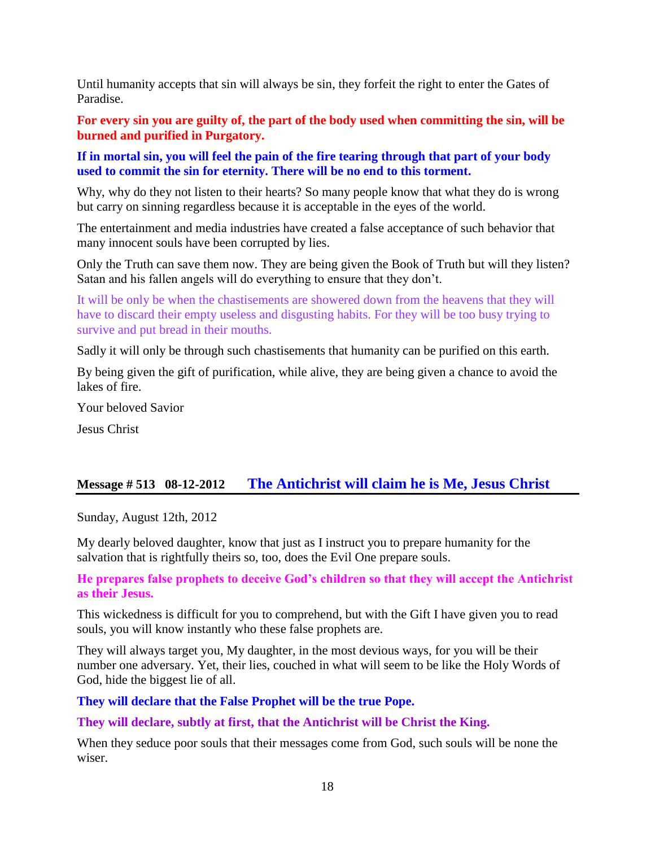Until humanity accepts that sin will always be sin, they forfeit the right to enter the Gates of Paradise.

**For every sin you are guilty of, the part of the body used when committing the sin, will be burned and purified in Purgatory.**

**If in mortal sin, you will feel the pain of the fire tearing through that part of your body used to commit the sin for eternity. There will be no end to this torment.**

Why, why do they not listen to their hearts? So many people know that what they do is wrong but carry on sinning regardless because it is acceptable in the eyes of the world.

The entertainment and media industries have created a false acceptance of such behavior that many innocent souls have been corrupted by lies.

Only the Truth can save them now. They are being given the Book of Truth but will they listen? Satan and his fallen angels will do everything to ensure that they don't.

It will be only be when the chastisements are showered down from the heavens that they will have to discard their empty useless and disgusting habits. For they will be too busy trying to survive and put bread in their mouths.

Sadly it will only be through such chastisements that humanity can be purified on this earth.

By being given the gift of purification, while alive, they are being given a chance to avoid the lakes of fire.

Your beloved Savior

Jesus Christ

## **Message # 513 08-12-2012 [The Antichrist will claim he is Me, Jesus Christ](http://www.thewarningsecondcoming.com/the-antichrist-will-claim-he-is-me-jesus-christ/)**

Sunday, August 12th, 2012

My dearly beloved daughter, know that just as I instruct you to prepare humanity for the salvation that is rightfully theirs so, too, does the Evil One prepare souls.

**He prepares false prophets to deceive God's children so that they will accept the Antichrist as their Jesus.**

This wickedness is difficult for you to comprehend, but with the Gift I have given you to read souls, you will know instantly who these false prophets are.

They will always target you, My daughter, in the most devious ways, for you will be their number one adversary. Yet, their lies, couched in what will seem to be like the Holy Words of God, hide the biggest lie of all.

**They will declare that the False Prophet will be the true Pope.**

**They will declare, subtly at first, that the Antichrist will be Christ the King.**

When they seduce poor souls that their messages come from God, such souls will be none the wiser.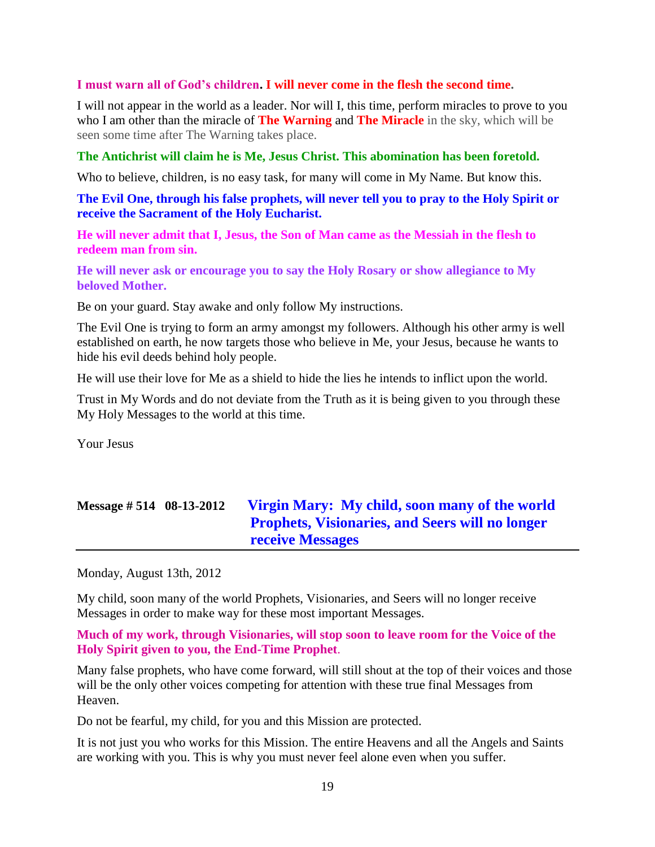### **I must warn all of God's children. I will never come in the flesh the second time.**

I will not appear in the world as a leader. Nor will I, this time, perform miracles to prove to you who I am other than the miracle of **The Warning** and **The Miracle** in the sky, which will be seen some time after The Warning takes place.

## **The Antichrist will claim he is Me, Jesus Christ. This abomination has been foretold.**

Who to believe, children, is no easy task, for many will come in My Name. But know this.

**The Evil One, through his false prophets, will never tell you to pray to the Holy Spirit or receive the Sacrament of the Holy Eucharist.**

**He will never admit that I, Jesus, the Son of Man came as the Messiah in the flesh to redeem man from sin.**

**He will never ask or encourage you to say the Holy Rosary or show allegiance to My beloved Mother.**

Be on your guard. Stay awake and only follow My instructions.

The Evil One is trying to form an army amongst my followers. Although his other army is well established on earth, he now targets those who believe in Me, your Jesus, because he wants to hide his evil deeds behind holy people.

He will use their love for Me as a shield to hide the lies he intends to inflict upon the world.

Trust in My Words and do not deviate from the Truth as it is being given to you through these My Holy Messages to the world at this time.

Your Jesus

## **Message # 514 08-13-2012 [Virgin Mary: My child, soon many of the world](http://www.thewarningsecondcoming.com/virgin-mary-my-child-soon-many-of-the-world-prophets-visionaries-and-seers-will-no-longer-receive-messages/)  [Prophets, Visionaries, and Seers will no longer](http://www.thewarningsecondcoming.com/virgin-mary-my-child-soon-many-of-the-world-prophets-visionaries-and-seers-will-no-longer-receive-messages/)  [receive Messages](http://www.thewarningsecondcoming.com/virgin-mary-my-child-soon-many-of-the-world-prophets-visionaries-and-seers-will-no-longer-receive-messages/)**

Monday, August 13th, 2012

My child, soon many of the world Prophets, Visionaries, and Seers will no longer receive Messages in order to make way for these most important Messages.

**Much of my work, through Visionaries, will stop soon to leave room for the Voice of the Holy Spirit given to you, the End-Time Prophet**.

Many false prophets, who have come forward, will still shout at the top of their voices and those will be the only other voices competing for attention with these true final Messages from Heaven.

Do not be fearful, my child, for you and this Mission are protected.

It is not just you who works for this Mission. The entire Heavens and all the Angels and Saints are working with you. This is why you must never feel alone even when you suffer.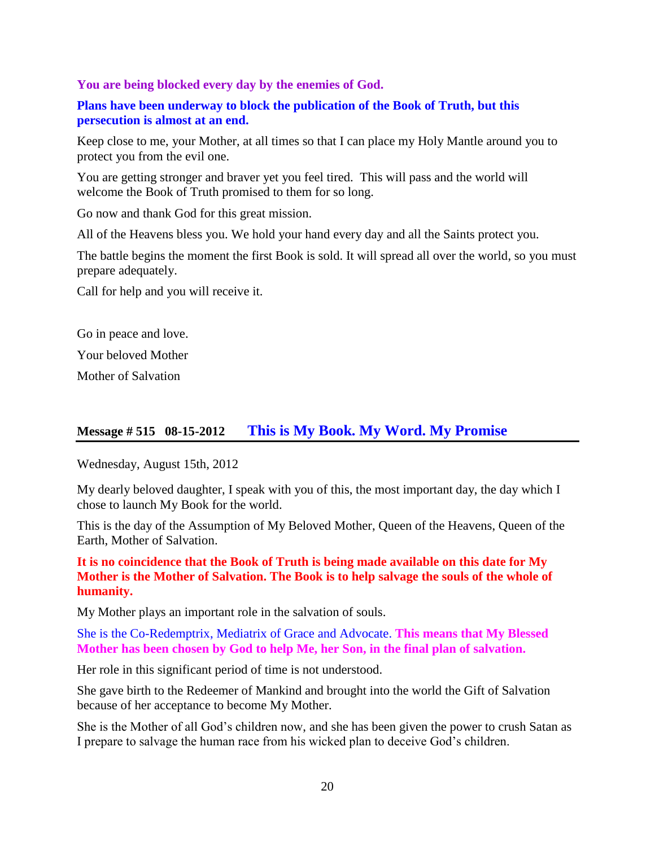**You are being blocked every day by the enemies of God.**

**Plans have been underway to block the publication of the Book of Truth, but this persecution is almost at an end.**

Keep close to me, your Mother, at all times so that I can place my Holy Mantle around you to protect you from the evil one.

You are getting stronger and braver yet you feel tired. This will pass and the world will welcome the Book of Truth promised to them for so long.

Go now and thank God for this great mission.

All of the Heavens bless you. We hold your hand every day and all the Saints protect you.

The battle begins the moment the first Book is sold. It will spread all over the world, so you must prepare adequately.

Call for help and you will receive it.

Go in peace and love. Your beloved Mother

Mother of Salvation

## **Message # 515 08-15-2012 [This is My Book. My Word. My Promise](http://www.thewarningsecondcoming.com/this-is-my-book-my-word-my-promise/)**

Wednesday, August 15th, 2012

My dearly beloved daughter, I speak with you of this, the most important day, the day which I chose to launch My Book for the world.

This is the day of the Assumption of My Beloved Mother, Queen of the Heavens, Queen of the Earth, Mother of Salvation.

**It is no coincidence that the Book of Truth is being made available on this date for My Mother is the Mother of Salvation. The Book is to help salvage the souls of the whole of humanity.**

My Mother plays an important role in the salvation of souls.

She is the Co-Redemptrix, Mediatrix of Grace and Advocate. **This means that My Blessed Mother has been chosen by God to help Me, her Son, in the final plan of salvation.**

Her role in this significant period of time is not understood.

She gave birth to the Redeemer of Mankind and brought into the world the Gift of Salvation because of her acceptance to become My Mother.

She is the Mother of all God's children now, and she has been given the power to crush Satan as I prepare to salvage the human race from his wicked plan to deceive God's children.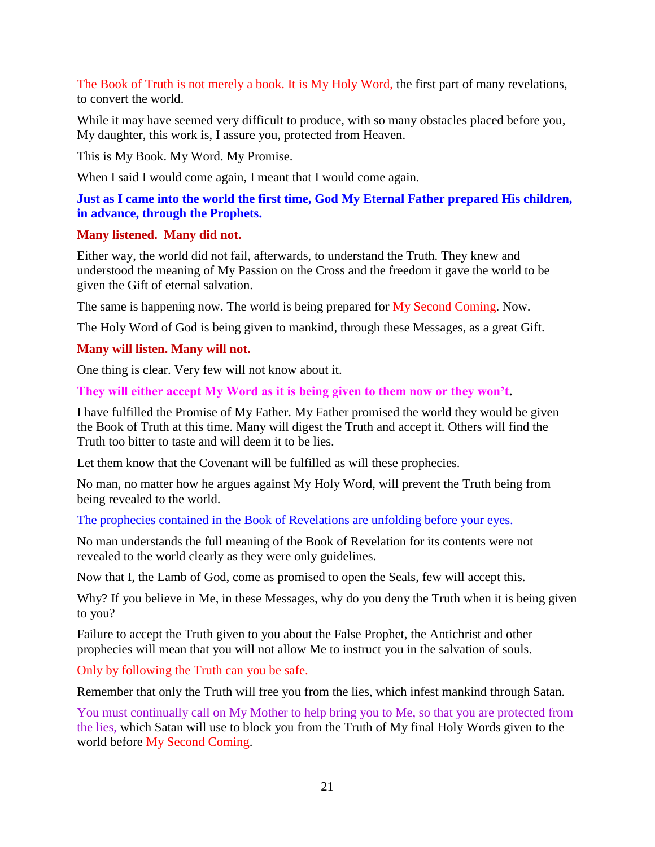The Book of Truth is not merely a book. It is My Holy Word, the first part of many revelations, to convert the world.

While it may have seemed very difficult to produce, with so many obstacles placed before you, My daughter, this work is, I assure you, protected from Heaven.

This is My Book. My Word. My Promise.

When I said I would come again, I meant that I would come again.

## **Just as I came into the world the first time, God My Eternal Father prepared His children, in advance, through the Prophets.**

## **Many listened. Many did not.**

Either way, the world did not fail, afterwards, to understand the Truth. They knew and understood the meaning of My Passion on the Cross and the freedom it gave the world to be given the Gift of eternal salvation.

The same is happening now. The world is being prepared for My Second Coming. Now.

The Holy Word of God is being given to mankind, through these Messages, as a great Gift.

## **Many will listen. Many will not.**

One thing is clear. Very few will not know about it.

**They will either accept My Word as it is being given to them now or they won't.**

I have fulfilled the Promise of My Father. My Father promised the world they would be given the Book of Truth at this time. Many will digest the Truth and accept it. Others will find the Truth too bitter to taste and will deem it to be lies.

Let them know that the Covenant will be fulfilled as will these prophecies.

No man, no matter how he argues against My Holy Word, will prevent the Truth being from being revealed to the world.

The prophecies contained in the Book of Revelations are unfolding before your eyes.

No man understands the full meaning of the Book of Revelation for its contents were not revealed to the world clearly as they were only guidelines.

Now that I, the Lamb of God, come as promised to open the Seals, few will accept this.

Why? If you believe in Me, in these Messages, why do you deny the Truth when it is being given to you?

Failure to accept the Truth given to you about the False Prophet, the Antichrist and other prophecies will mean that you will not allow Me to instruct you in the salvation of souls.

Only by following the Truth can you be safe.

Remember that only the Truth will free you from the lies, which infest mankind through Satan.

You must continually call on My Mother to help bring you to Me, so that you are protected from the lies, which Satan will use to block you from the Truth of My final Holy Words given to the world before My Second Coming.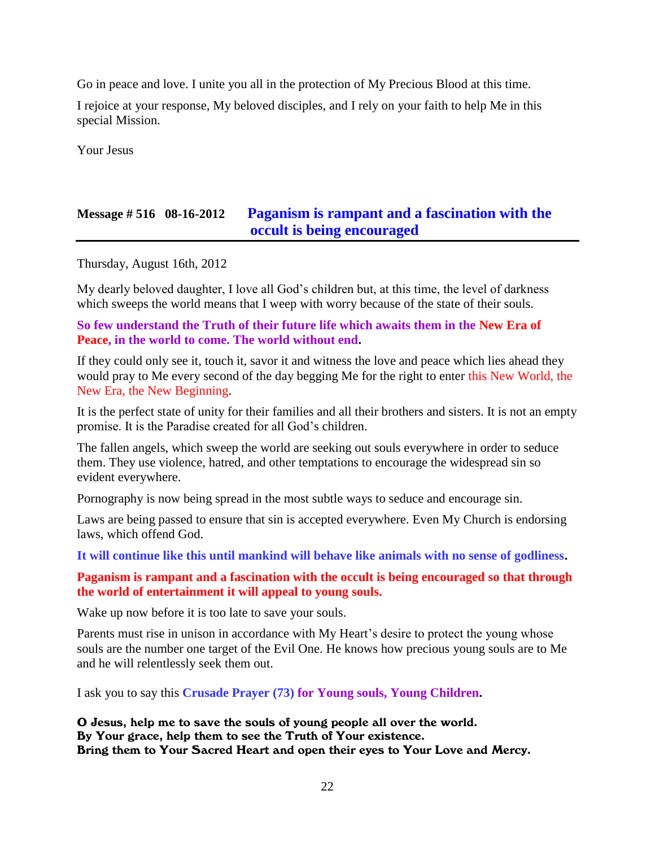Go in peace and love. I unite you all in the protection of My Precious Blood at this time.

I rejoice at your response, My beloved disciples, and I rely on your faith to help Me in this special Mission.

Your Jesus

## **Message # 516 08-16-2012 [Paganism is rampant and a fascination with the](http://www.thewarningsecondcoming.com/paganism-is-rampant-and-a-fascination-with-the-occult-is-being-encouraged/)  [occult is being encouraged](http://www.thewarningsecondcoming.com/paganism-is-rampant-and-a-fascination-with-the-occult-is-being-encouraged/)**

Thursday, August 16th, 2012

My dearly beloved daughter, I love all God's children but, at this time, the level of darkness which sweeps the world means that I weep with worry because of the state of their souls.

**So few understand the Truth of their future life which awaits them in the New Era of Peace, in the world to come. The world without end.**

If they could only see it, touch it, savor it and witness the love and peace which lies ahead they would pray to Me every second of the day begging Me for the right to enter this New World, the New Era, the New Beginning.

It is the perfect state of unity for their families and all their brothers and sisters. It is not an empty promise. It is the Paradise created for all God's children.

The fallen angels, which sweep the world are seeking out souls everywhere in order to seduce them. They use violence, hatred, and other temptations to encourage the widespread sin so evident everywhere.

Pornography is now being spread in the most subtle ways to seduce and encourage sin.

Laws are being passed to ensure that sin is accepted everywhere. Even My Church is endorsing laws, which offend God.

**It will continue like this until mankind will behave like animals with no sense of godliness.**

**Paganism is rampant and a fascination with the occult is being encouraged so that through the world of entertainment it will appeal to young souls.**

Wake up now before it is too late to save your souls.

Parents must rise in unison in accordance with My Heart's desire to protect the young whose souls are the number one target of the Evil One. He knows how precious young souls are to Me and he will relentlessly seek them out.

I ask you to say this **Crusade Prayer (73) for Young souls, Young Children.**

O Jesus, help me to save the souls of young people all over the world. By Your grace, help them to see the Truth of Your existence. Bring them to Your Sacred Heart and open their eyes to Your Love and Mercy.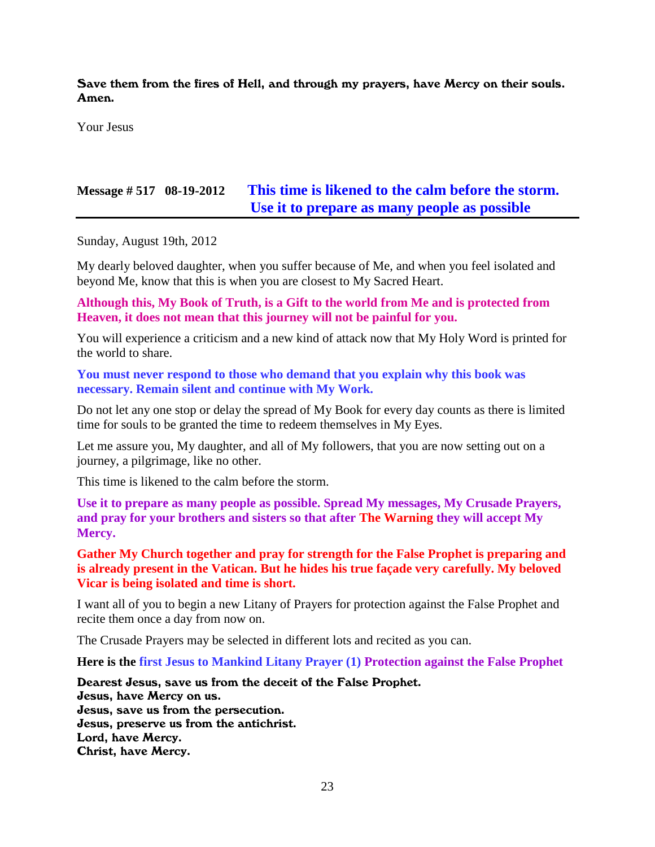Save them from the fires of Hell, and through my prayers, have Mercy on their souls. Amen.

Your Jesus

## **Message # 517 08-19-2012 [This time is likened to the calm before the storm.](http://www.thewarningsecondcoming.com/this-time-is-likened-to-the-calm-before-the-storm-use-it-to-prepare-as-many-people-as-possible/)  [Use it to prepare as many people as possible](http://www.thewarningsecondcoming.com/this-time-is-likened-to-the-calm-before-the-storm-use-it-to-prepare-as-many-people-as-possible/)**

Sunday, August 19th, 2012

My dearly beloved daughter, when you suffer because of Me, and when you feel isolated and beyond Me, know that this is when you are closest to My Sacred Heart.

**Although this, My Book of Truth, is a Gift to the world from Me and is protected from Heaven, it does not mean that this journey will not be painful for you.**

You will experience a criticism and a new kind of attack now that My Holy Word is printed for the world to share.

**You must never respond to those who demand that you explain why this book was necessary. Remain silent and continue with My Work.**

Do not let any one stop or delay the spread of My Book for every day counts as there is limited time for souls to be granted the time to redeem themselves in My Eyes.

Let me assure you, My daughter, and all of My followers, that you are now setting out on a journey, a pilgrimage, like no other.

This time is likened to the calm before the storm.

**Use it to prepare as many people as possible. Spread My messages, My Crusade Prayers, and pray for your brothers and sisters so that after The Warning they will accept My Mercy.**

**Gather My Church together and pray for strength for the False Prophet is preparing and is already present in the Vatican. But he hides his true façade very carefully. My beloved Vicar is being isolated and time is short.**

I want all of you to begin a new Litany of Prayers for protection against the False Prophet and recite them once a day from now on.

The Crusade Prayers may be selected in different lots and recited as you can.

**Here is the first Jesus to Mankind Litany Prayer (1) Protection against the False Prophet**

Dearest Jesus, save us from the deceit of the False Prophet. Jesus, have Mercy on us. Jesus, save us from the persecution. Jesus, preserve us from the antichrist. Lord, have Mercy. Christ, have Mercy.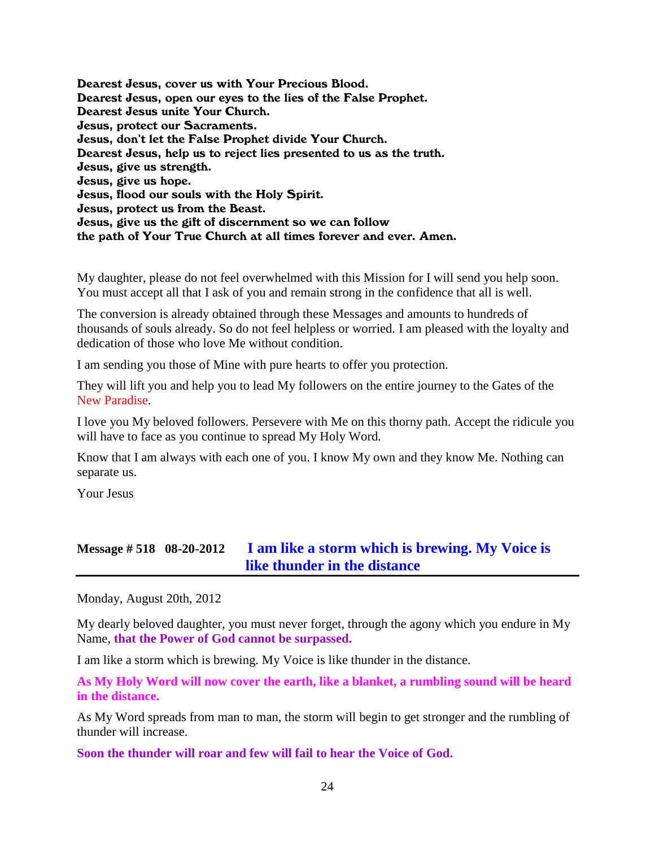Dearest Jesus, cover us with Your Precious Blood. Dearest Jesus, open our eyes to the lies of the False Prophet. Dearest Jesus unite Your Church. Jesus, protect our Sacraments. Jesus, don't let the False Prophet divide Your Church. Dearest Jesus, help us to reject lies presented to us as the truth. Jesus, give us strength. Jesus, give us hope. Jesus, flood our souls with the Holy Spirit. Jesus, protect us from the Beast. Jesus, give us the gift of discernment so we can follow the path of Your True Church at all times forever and ever. Amen.

My daughter, please do not feel overwhelmed with this Mission for I will send you help soon. You must accept all that I ask of you and remain strong in the confidence that all is well.

The conversion is already obtained through these Messages and amounts to hundreds of thousands of souls already. So do not feel helpless or worried. I am pleased with the loyalty and dedication of those who love Me without condition.

I am sending you those of Mine with pure hearts to offer you protection.

They will lift you and help you to lead My followers on the entire journey to the Gates of the New Paradise.

I love you My beloved followers. Persevere with Me on this thorny path. Accept the ridicule you will have to face as you continue to spread My Holy Word.

Know that I am always with each one of you. I know My own and they know Me. Nothing can separate us.

Your Jesus

## **Message # 518 08-20-2012 [I am like a storm which is brewing. My Voice is](http://www.thewarningsecondcoming.com/i-am-like-a-storm-which-is-brewing-my-voice-is-like-thunder-in-the-distance/)  [like thunder in the distance](http://www.thewarningsecondcoming.com/i-am-like-a-storm-which-is-brewing-my-voice-is-like-thunder-in-the-distance/)**

Monday, August 20th, 2012

My dearly beloved daughter, you must never forget, through the agony which you endure in My Name, **that the Power of God cannot be surpassed.**

I am like a storm which is brewing. My Voice is like thunder in the distance.

**As My Holy Word will now cover the earth, like a blanket, a rumbling sound will be heard in the distance.**

As My Word spreads from man to man, the storm will begin to get stronger and the rumbling of thunder will increase.

**Soon the thunder will roar and few will fail to hear the Voice of God.**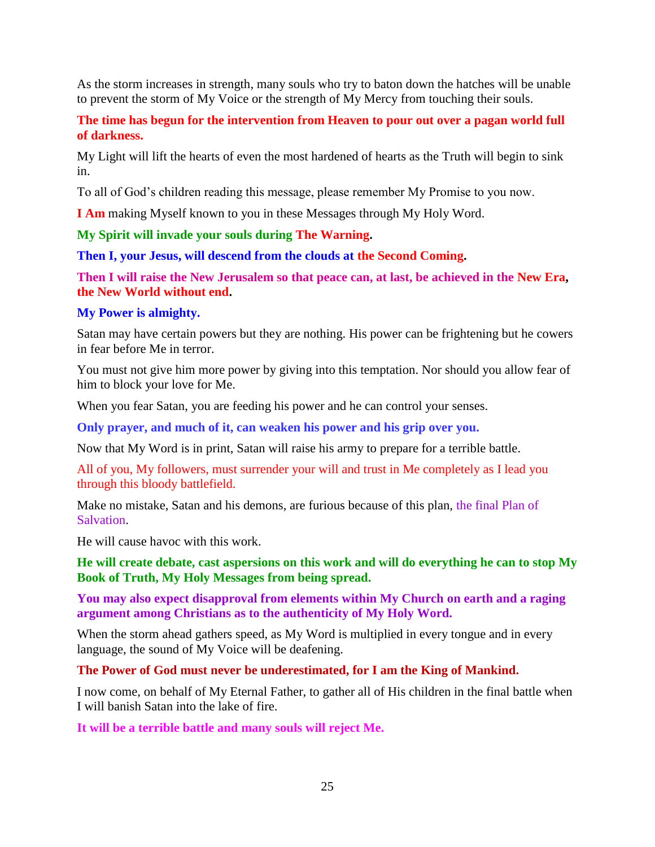As the storm increases in strength, many souls who try to baton down the hatches will be unable to prevent the storm of My Voice or the strength of My Mercy from touching their souls.

**The time has begun for the intervention from Heaven to pour out over a pagan world full of darkness.**

My Light will lift the hearts of even the most hardened of hearts as the Truth will begin to sink in.

To all of God's children reading this message, please remember My Promise to you now.

**I Am** making Myself known to you in these Messages through My Holy Word.

**My Spirit will invade your souls during The Warning.**

**Then I, your Jesus, will descend from the clouds at the Second Coming.**

**Then I will raise the New Jerusalem so that peace can, at last, be achieved in the New Era, the New World without end.**

## **My Power is almighty.**

Satan may have certain powers but they are nothing. His power can be frightening but he cowers in fear before Me in terror.

You must not give him more power by giving into this temptation. Nor should you allow fear of him to block your love for Me.

When you fear Satan, you are feeding his power and he can control your senses.

**Only prayer, and much of it, can weaken his power and his grip over you.**

Now that My Word is in print, Satan will raise his army to prepare for a terrible battle.

All of you, My followers, must surrender your will and trust in Me completely as I lead you through this bloody battlefield.

Make no mistake, Satan and his demons, are furious because of this plan, the final Plan of Salvation.

He will cause havoc with this work.

**He will create debate, cast aspersions on this work and will do everything he can to stop My Book of Truth, My Holy Messages from being spread.**

**You may also expect disapproval from elements within My Church on earth and a raging argument among Christians as to the authenticity of My Holy Word.**

When the storm ahead gathers speed, as My Word is multiplied in every tongue and in every language, the sound of My Voice will be deafening.

**The Power of God must never be underestimated, for I am the King of Mankind.**

I now come, on behalf of My Eternal Father, to gather all of His children in the final battle when I will banish Satan into the lake of fire.

**It will be a terrible battle and many souls will reject Me.**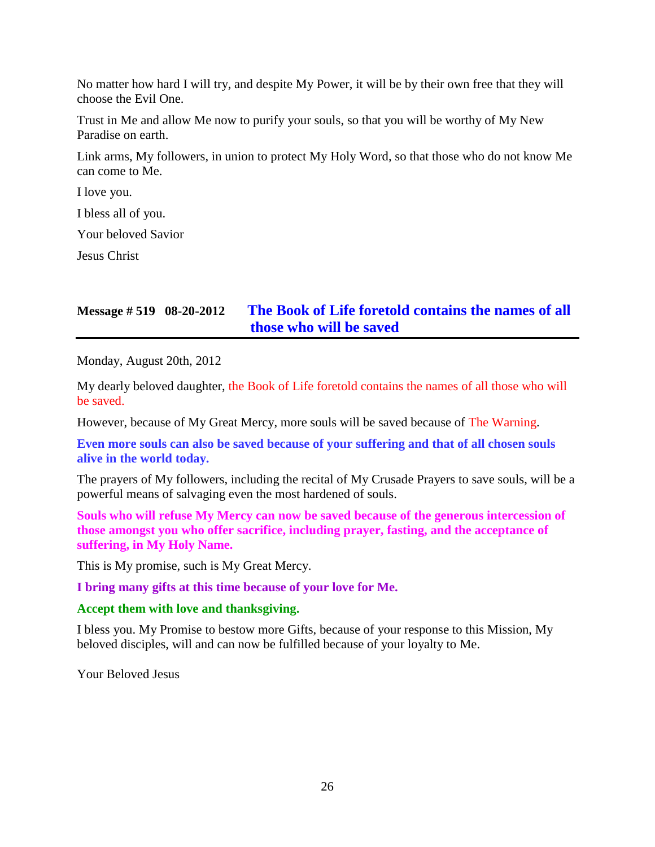No matter how hard I will try, and despite My Power, it will be by their own free that they will choose the Evil One.

Trust in Me and allow Me now to purify your souls, so that you will be worthy of My New Paradise on earth.

Link arms, My followers, in union to protect My Holy Word, so that those who do not know Me can come to Me.

I love you.

I bless all of you.

Your beloved Savior

Jesus Christ

## **Message # 519 08-20-2012 [The Book of Life foretold contains the names of all](http://www.thewarningsecondcoming.com/the-book-of-life-foretold-contains-the-names-of-all-those-who-will-be-saved/)  [those who will be saved](http://www.thewarningsecondcoming.com/the-book-of-life-foretold-contains-the-names-of-all-those-who-will-be-saved/)**

Monday, August 20th, 2012

My dearly beloved daughter, the Book of Life foretold contains the names of all those who will be saved.

However, because of My Great Mercy, more souls will be saved because of The Warning.

**Even more souls can also be saved because of your suffering and that of all chosen souls alive in the world today.**

The prayers of My followers, including the recital of My Crusade Prayers to save souls, will be a powerful means of salvaging even the most hardened of souls.

**Souls who will refuse My Mercy can now be saved because of the generous intercession of those amongst you who offer sacrifice, including prayer, fasting, and the acceptance of suffering, in My Holy Name.**

This is My promise, such is My Great Mercy.

**I bring many gifts at this time because of your love for Me.**

### **Accept them with love and thanksgiving.**

I bless you. My Promise to bestow more Gifts, because of your response to this Mission, My beloved disciples, will and can now be fulfilled because of your loyalty to Me.

Your Beloved Jesus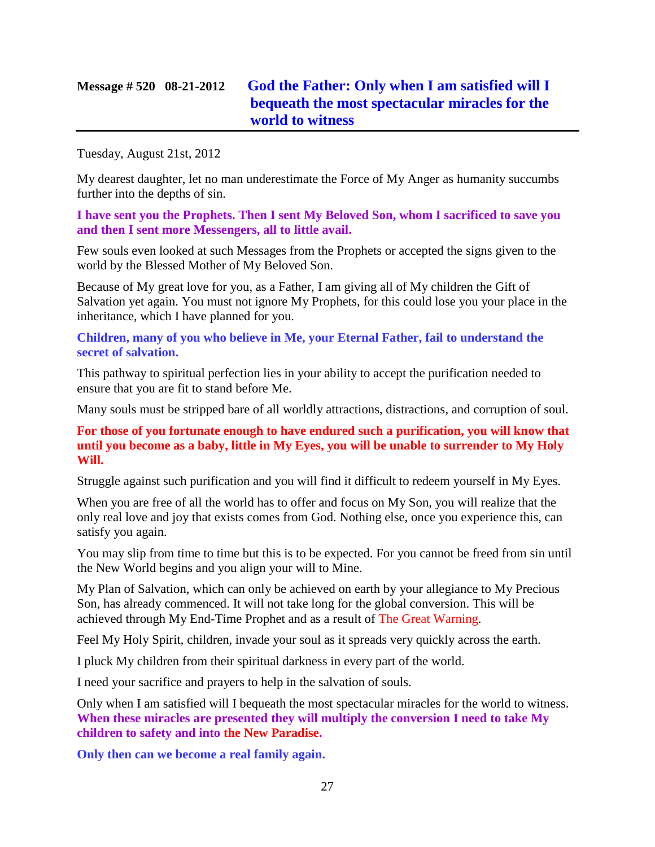## **Message # 520 08-21-2012 [God the Father: Only when I am satisfied will I](http://www.thewarningsecondcoming.com/god-the-father-only-when-i-am-satisfied-will-i-bequeath-the-most-spectacular-miracles-for-the-world-to-witness/)  [bequeath the most spectacular miracles for the](http://www.thewarningsecondcoming.com/god-the-father-only-when-i-am-satisfied-will-i-bequeath-the-most-spectacular-miracles-for-the-world-to-witness/)  [world to witness](http://www.thewarningsecondcoming.com/god-the-father-only-when-i-am-satisfied-will-i-bequeath-the-most-spectacular-miracles-for-the-world-to-witness/)**

Tuesday, August 21st, 2012

My dearest daughter, let no man underestimate the Force of My Anger as humanity succumbs further into the depths of sin.

**I have sent you the Prophets. Then I sent My Beloved Son, whom I sacrificed to save you and then I sent more Messengers, all to little avail.**

Few souls even looked at such Messages from the Prophets or accepted the signs given to the world by the Blessed Mother of My Beloved Son.

Because of My great love for you, as a Father, I am giving all of My children the Gift of Salvation yet again. You must not ignore My Prophets, for this could lose you your place in the inheritance, which I have planned for you.

**Children, many of you who believe in Me, your Eternal Father, fail to understand the secret of salvation.**

This pathway to spiritual perfection lies in your ability to accept the purification needed to ensure that you are fit to stand before Me.

Many souls must be stripped bare of all worldly attractions, distractions, and corruption of soul.

**For those of you fortunate enough to have endured such a purification, you will know that until you become as a baby, little in My Eyes, you will be unable to surrender to My Holy Will.**

Struggle against such purification and you will find it difficult to redeem yourself in My Eyes.

When you are free of all the world has to offer and focus on My Son, you will realize that the only real love and joy that exists comes from God. Nothing else, once you experience this, can satisfy you again.

You may slip from time to time but this is to be expected. For you cannot be freed from sin until the New World begins and you align your will to Mine.

My Plan of Salvation, which can only be achieved on earth by your allegiance to My Precious Son, has already commenced. It will not take long for the global conversion. This will be achieved through My End-Time Prophet and as a result of The Great Warning.

Feel My Holy Spirit, children, invade your soul as it spreads very quickly across the earth.

I pluck My children from their spiritual darkness in every part of the world.

I need your sacrifice and prayers to help in the salvation of souls.

Only when I am satisfied will I bequeath the most spectacular miracles for the world to witness. **When these miracles are presented they will multiply the conversion I need to take My children to safety and into the New Paradise.**

**Only then can we become a real family again.**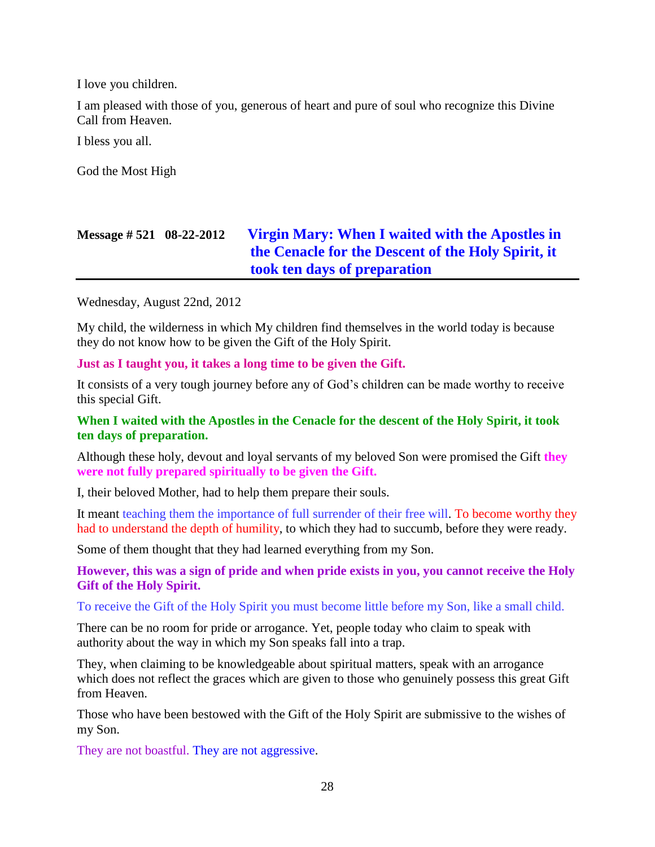I love you children.

I am pleased with those of you, generous of heart and pure of soul who recognize this Divine Call from Heaven.

I bless you all.

God the Most High

## **Message # 521 08-22-2012 [Virgin Mary: When I waited with the Apostles in](http://www.thewarningsecondcoming.com/virgin-mary-when-i-waited-with-the-apostles-in-the-cenacle-for-the-descent-of-the-holy-spirit-it-took-ten-days-of-preparation/)  [the Cenacle for the Descent of the Holy Spirit, it](http://www.thewarningsecondcoming.com/virgin-mary-when-i-waited-with-the-apostles-in-the-cenacle-for-the-descent-of-the-holy-spirit-it-took-ten-days-of-preparation/)  [took ten days of preparation](http://www.thewarningsecondcoming.com/virgin-mary-when-i-waited-with-the-apostles-in-the-cenacle-for-the-descent-of-the-holy-spirit-it-took-ten-days-of-preparation/)**

Wednesday, August 22nd, 2012

My child, the wilderness in which My children find themselves in the world today is because they do not know how to be given the Gift of the Holy Spirit.

**Just as I taught you, it takes a long time to be given the Gift.**

It consists of a very tough journey before any of God's children can be made worthy to receive this special Gift.

## **When I waited with the Apostles in the Cenacle for the descent of the Holy Spirit, it took ten days of preparation.**

Although these holy, devout and loyal servants of my beloved Son were promised the Gift **they were not fully prepared spiritually to be given the Gift.**

I, their beloved Mother, had to help them prepare their souls.

It meant teaching them the importance of full surrender of their free will. To become worthy they had to understand the depth of humility, to which they had to succumb, before they were ready.

Some of them thought that they had learned everything from my Son.

**However, this was a sign of pride and when pride exists in you, you cannot receive the Holy Gift of the Holy Spirit.**

To receive the Gift of the Holy Spirit you must become little before my Son, like a small child.

There can be no room for pride or arrogance. Yet, people today who claim to speak with authority about the way in which my Son speaks fall into a trap.

They, when claiming to be knowledgeable about spiritual matters, speak with an arrogance which does not reflect the graces which are given to those who genuinely possess this great Gift from Heaven.

Those who have been bestowed with the Gift of the Holy Spirit are submissive to the wishes of my Son.

They are not boastful. They are not aggressive.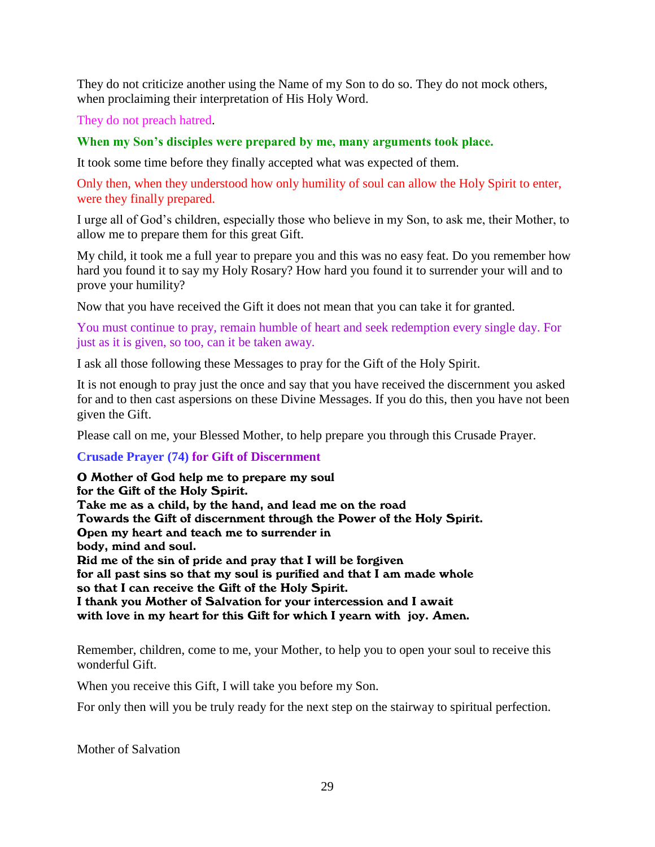They do not criticize another using the Name of my Son to do so. They do not mock others, when proclaiming their interpretation of His Holy Word.

They do not preach hatred.

## **When my Son's disciples were prepared by me, many arguments took place.**

It took some time before they finally accepted what was expected of them.

Only then, when they understood how only humility of soul can allow the Holy Spirit to enter, were they finally prepared.

I urge all of God's children, especially those who believe in my Son, to ask me, their Mother, to allow me to prepare them for this great Gift.

My child, it took me a full year to prepare you and this was no easy feat. Do you remember how hard you found it to say my Holy Rosary? How hard you found it to surrender your will and to prove your humility?

Now that you have received the Gift it does not mean that you can take it for granted.

You must continue to pray, remain humble of heart and seek redemption every single day. For just as it is given, so too, can it be taken away.

I ask all those following these Messages to pray for the Gift of the Holy Spirit.

It is not enough to pray just the once and say that you have received the discernment you asked for and to then cast aspersions on these Divine Messages. If you do this, then you have not been given the Gift.

Please call on me, your Blessed Mother, to help prepare you through this Crusade Prayer.

### **Crusade Prayer (74) for Gift of Discernment**

O Mother of God help me to prepare my soul for the Gift of the Holy Spirit. Take me as a child, by the hand, and lead me on the road Towards the Gift of discernment through the Power of the Holy Spirit. Open my heart and teach me to surrender in body, mind and soul. Rid me of the sin of pride and pray that I will be forgiven for all past sins so that my soul is purified and that I am made whole so that I can receive the Gift of the Holy Spirit. I thank you Mother of Salvation for your intercession and I await with love in my heart for this Gift for which I yearn with joy. Amen.

Remember, children, come to me, your Mother, to help you to open your soul to receive this wonderful Gift.

When you receive this Gift, I will take you before my Son.

For only then will you be truly ready for the next step on the stairway to spiritual perfection.

Mother of Salvation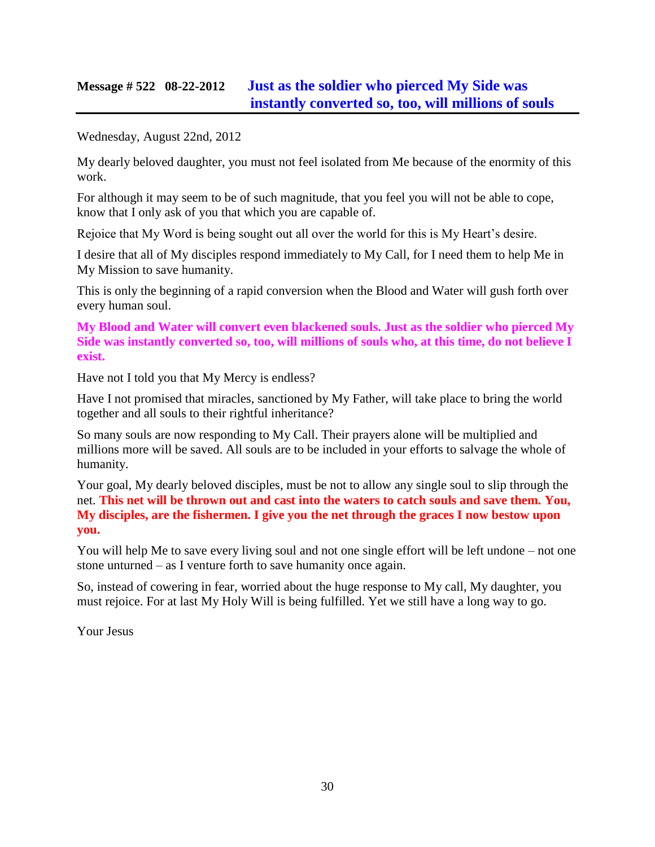## **Message # 522 08-22-2012 [Just as the soldier who pierced My Side was](http://www.thewarningsecondcoming.com/just-as-the-soldier-who-pierced-my-side-was-instantly-converted-so-too-will-millions-of-souls/)  [instantly converted so, too, will millions of souls](http://www.thewarningsecondcoming.com/just-as-the-soldier-who-pierced-my-side-was-instantly-converted-so-too-will-millions-of-souls/)**

Wednesday, August 22nd, 2012

My dearly beloved daughter, you must not feel isolated from Me because of the enormity of this work.

For although it may seem to be of such magnitude, that you feel you will not be able to cope, know that I only ask of you that which you are capable of.

Rejoice that My Word is being sought out all over the world for this is My Heart's desire.

I desire that all of My disciples respond immediately to My Call, for I need them to help Me in My Mission to save humanity.

This is only the beginning of a rapid conversion when the Blood and Water will gush forth over every human soul.

**My Blood and Water will convert even blackened souls. Just as the soldier who pierced My Side was instantly converted so, too, will millions of souls who, at this time, do not believe I exist.**

Have not I told you that My Mercy is endless?

Have I not promised that miracles, sanctioned by My Father, will take place to bring the world together and all souls to their rightful inheritance?

So many souls are now responding to My Call. Their prayers alone will be multiplied and millions more will be saved. All souls are to be included in your efforts to salvage the whole of humanity.

Your goal, My dearly beloved disciples, must be not to allow any single soul to slip through the net. **This net will be thrown out and cast into the waters to catch souls and save them. You, My disciples, are the fishermen. I give you the net through the graces I now bestow upon you.**

You will help Me to save every living soul and not one single effort will be left undone – not one stone unturned – as I venture forth to save humanity once again.

So, instead of cowering in fear, worried about the huge response to My call, My daughter, you must rejoice. For at last My Holy Will is being fulfilled. Yet we still have a long way to go.

Your Jesus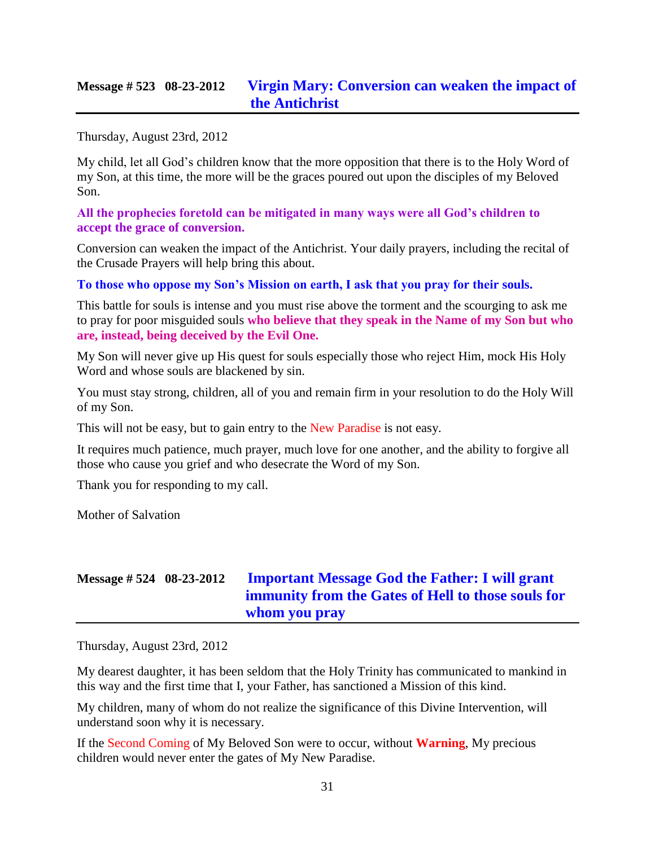## **Message # 523 08-23-2012 [Virgin Mary: Conversion can weaken the impact of](http://www.thewarningsecondcoming.com/virgin-mary-conversion-can-weaken-the-impact-of-the-antichrist/)  [the Antichrist](http://www.thewarningsecondcoming.com/virgin-mary-conversion-can-weaken-the-impact-of-the-antichrist/)**

Thursday, August 23rd, 2012

My child, let all God's children know that the more opposition that there is to the Holy Word of my Son, at this time, the more will be the graces poured out upon the disciples of my Beloved Son.

**All the prophecies foretold can be mitigated in many ways were all God's children to accept the grace of conversion.**

Conversion can weaken the impact of the Antichrist. Your daily prayers, including the recital of the Crusade Prayers will help bring this about.

**To those who oppose my Son's Mission on earth, I ask that you pray for their souls.**

This battle for souls is intense and you must rise above the torment and the scourging to ask me to pray for poor misguided souls **who believe that they speak in the Name of my Son but who are, instead, being deceived by the Evil One.**

My Son will never give up His quest for souls especially those who reject Him, mock His Holy Word and whose souls are blackened by sin.

You must stay strong, children, all of you and remain firm in your resolution to do the Holy Will of my Son.

This will not be easy, but to gain entry to the New Paradise is not easy.

It requires much patience, much prayer, much love for one another, and the ability to forgive all those who cause you grief and who desecrate the Word of my Son.

Thank you for responding to my call.

Mother of Salvation

## **Message # 524 08-23-2012 [Important Message God the Father: I will grant](http://www.thewarningsecondcoming.com/important-message-god-the-father-i-will-grant-immunity-from-the-gates-of-hell-to-those-souls-for-whom-you-pray/)  [immunity from the Gates of Hell to those souls for](http://www.thewarningsecondcoming.com/important-message-god-the-father-i-will-grant-immunity-from-the-gates-of-hell-to-those-souls-for-whom-you-pray/)  [whom you pray](http://www.thewarningsecondcoming.com/important-message-god-the-father-i-will-grant-immunity-from-the-gates-of-hell-to-those-souls-for-whom-you-pray/)**

Thursday, August 23rd, 2012

My dearest daughter, it has been seldom that the Holy Trinity has communicated to mankind in this way and the first time that I, your Father, has sanctioned a Mission of this kind.

My children, many of whom do not realize the significance of this Divine Intervention, will understand soon why it is necessary.

If the Second Coming of My Beloved Son were to occur, without **Warning**, My precious children would never enter the gates of My New Paradise.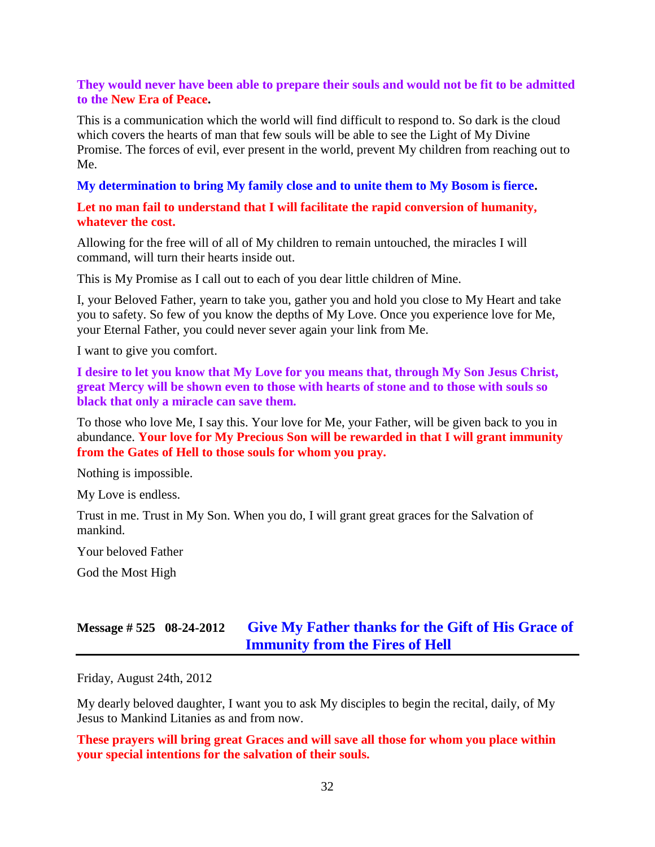### **They would never have been able to prepare their souls and would not be fit to be admitted to the New Era of Peace.**

This is a communication which the world will find difficult to respond to. So dark is the cloud which covers the hearts of man that few souls will be able to see the Light of My Divine Promise. The forces of evil, ever present in the world, prevent My children from reaching out to Me.

**My determination to bring My family close and to unite them to My Bosom is fierce.**

**Let no man fail to understand that I will facilitate the rapid conversion of humanity, whatever the cost.**

Allowing for the free will of all of My children to remain untouched, the miracles I will command, will turn their hearts inside out.

This is My Promise as I call out to each of you dear little children of Mine.

I, your Beloved Father, yearn to take you, gather you and hold you close to My Heart and take you to safety. So few of you know the depths of My Love. Once you experience love for Me, your Eternal Father, you could never sever again your link from Me.

I want to give you comfort.

**I desire to let you know that My Love for you means that, through My Son Jesus Christ, great Mercy will be shown even to those with hearts of stone and to those with souls so black that only a miracle can save them.**

To those who love Me, I say this. Your love for Me, your Father, will be given back to you in abundance. **Your love for My Precious Son will be rewarded in that I will grant immunity from the Gates of Hell to those souls for whom you pray.**

Nothing is impossible.

My Love is endless.

Trust in me. Trust in My Son. When you do, I will grant great graces for the Salvation of mankind.

Your beloved Father

God the Most High

## **Message # 525 08-24-2012 Give My Father [thanks for the Gift of His Grace of](http://www.thewarningsecondcoming.com/give-my-father-thanks-for-the-gift-of-his-grace-of-immunity-from-the-fires-of-hell/)  [Immunity from the Fires of Hell](http://www.thewarningsecondcoming.com/give-my-father-thanks-for-the-gift-of-his-grace-of-immunity-from-the-fires-of-hell/)**

Friday, August 24th, 2012

My dearly beloved daughter, I want you to ask My disciples to begin the recital, daily, of My Jesus to Mankind Litanies as and from now.

**These prayers will bring great Graces and will save all those for whom you place within your special intentions for the salvation of their souls.**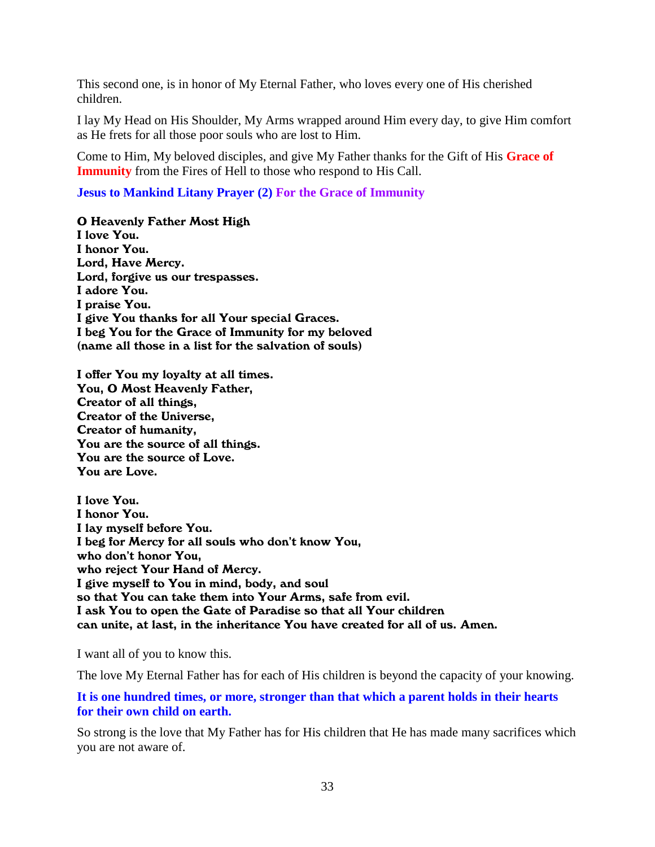This second one, is in honor of My Eternal Father, who loves every one of His cherished children.

I lay My Head on His Shoulder, My Arms wrapped around Him every day, to give Him comfort as He frets for all those poor souls who are lost to Him.

Come to Him, My beloved disciples, and give My Father thanks for the Gift of His **Grace of Immunity** from the Fires of Hell to those who respond to His Call.

### **Jesus to Mankind Litany Prayer (2) For the Grace of Immunity**

O Heavenly Father Most High

I love You. I honor You. Lord, Have Mercy. Lord, forgive us our trespasses. I adore You. I praise You. I give You thanks for all Your special Graces. I beg You for the Grace of Immunity for my beloved (name all those in a list for the salvation of souls)

I offer You my loyalty at all times. You, O Most Heavenly Father, Creator of all things, Creator of the Universe, Creator of humanity, You are the source of all things. You are the source of Love. You are Love.

I love You. I honor You. I lay myself before You. I beg for Mercy for all souls who don't know You, who don't honor You, who reject Your Hand of Mercy. I give myself to You in mind, body, and soul so that You can take them into Your Arms, safe from evil. I ask You to open the Gate of Paradise so that all Your children can unite, at last, in the inheritance You have created for all of us. Amen.

I want all of you to know this.

The love My Eternal Father has for each of His children is beyond the capacity of your knowing.

**It is one hundred times, or more, stronger than that which a parent holds in their hearts for their own child on earth.**

So strong is the love that My Father has for His children that He has made many sacrifices which you are not aware of.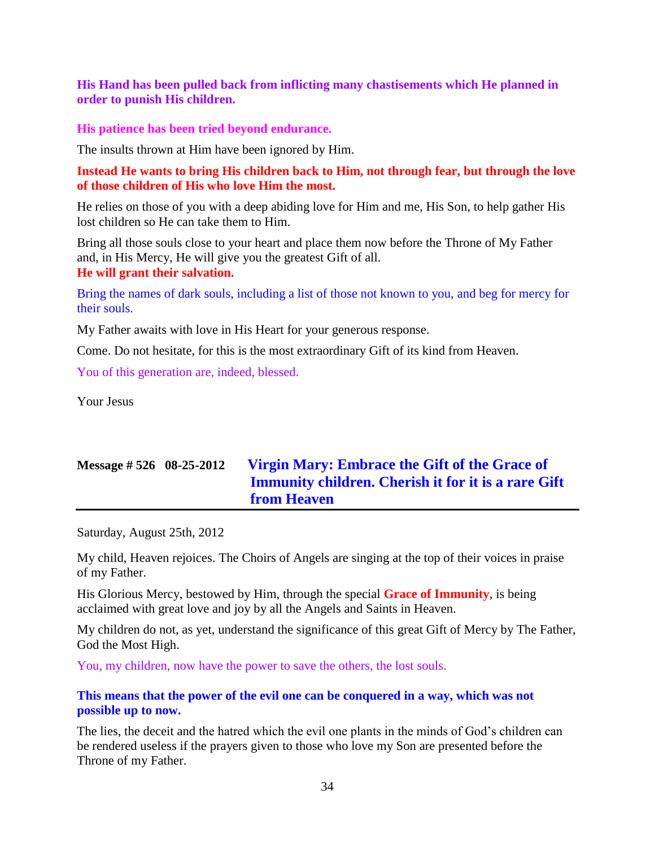**His Hand has been pulled back from inflicting many chastisements which He planned in order to punish His children.**

**His patience has been tried beyond endurance.**

The insults thrown at Him have been ignored by Him.

**Instead He wants to bring His children back to Him, not through fear, but through the love of those children of His who love Him the most.**

He relies on those of you with a deep abiding love for Him and me, His Son, to help gather His lost children so He can take them to Him.

Bring all those souls close to your heart and place them now before the Throne of My Father and, in His Mercy, He will give you the greatest Gift of all. **He will grant their salvation.**

Bring the names of dark souls, including a list of those not known to you, and beg for mercy for their souls.

My Father awaits with love in His Heart for your generous response.

Come. Do not hesitate, for this is the most extraordinary Gift of its kind from Heaven.

You of this generation are, indeed, blessed.

Your Jesus

## **Message # 526 08-25-2012 [Virgin Mary: Embrace the Gift of the Grace of](http://www.thewarningsecondcoming.com/virgin-mary-embrace-the-gift-of-the-grace-of-immunity-children-cherish-it-for-it-is-a-rare-gift-from-heaven/)  [Immunity children. Cherish it for it is a rare Gift](http://www.thewarningsecondcoming.com/virgin-mary-embrace-the-gift-of-the-grace-of-immunity-children-cherish-it-for-it-is-a-rare-gift-from-heaven/)  [from Heaven](http://www.thewarningsecondcoming.com/virgin-mary-embrace-the-gift-of-the-grace-of-immunity-children-cherish-it-for-it-is-a-rare-gift-from-heaven/)**

Saturday, August 25th, 2012

My child, Heaven rejoices. The Choirs of Angels are singing at the top of their voices in praise of my Father.

His Glorious Mercy, bestowed by Him, through the special **Grace of Immunity**, is being acclaimed with great love and joy by all the Angels and Saints in Heaven.

My children do not, as yet, understand the significance of this great Gift of Mercy by The Father, God the Most High.

You, my children, now have the power to save the others, the lost souls.

## **This means that the power of the evil one can be conquered in a way, which was not possible up to now.**

The lies, the deceit and the hatred which the evil one plants in the minds of God's children can be rendered useless if the prayers given to those who love my Son are presented before the Throne of my Father.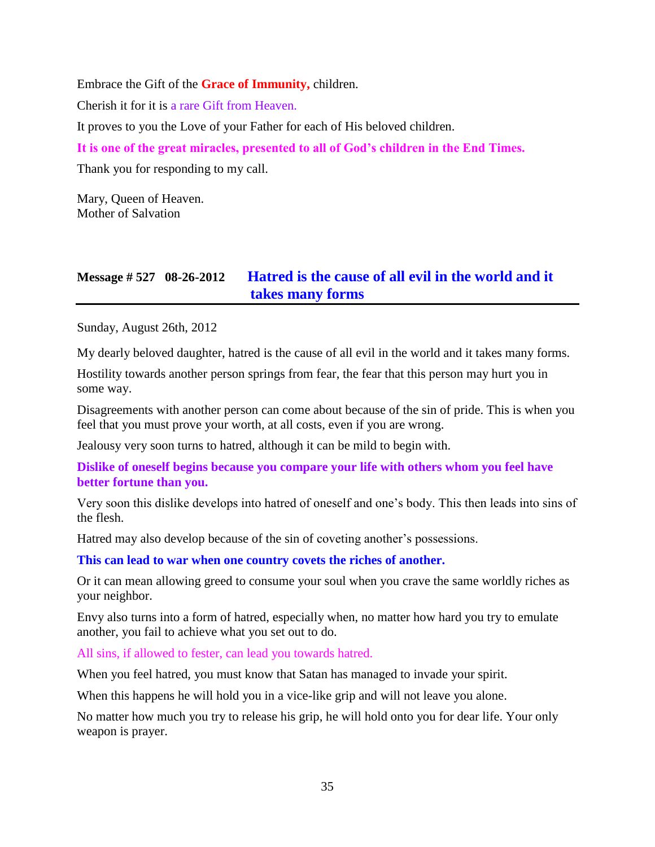Embrace the Gift of the **Grace of Immunity,** children.

Cherish it for it is a rare Gift from Heaven.

It proves to you the Love of your Father for each of His beloved children.

**It is one of the great miracles, presented to all of God's children in the End Times.**

Thank you for responding to my call.

Mary, Queen of Heaven. Mother of Salvation

## **Message # 527 08-26-2012 [Hatred is the cause of all evil in the world and it](http://www.thewarningsecondcoming.com/hatred-is-the-cause-of-all-evil-in-the-world-and-it-takes-many-forms/)  [takes many forms](http://www.thewarningsecondcoming.com/hatred-is-the-cause-of-all-evil-in-the-world-and-it-takes-many-forms/)**

Sunday, August 26th, 2012

My dearly beloved daughter, hatred is the cause of all evil in the world and it takes many forms.

Hostility towards another person springs from fear, the fear that this person may hurt you in some way.

Disagreements with another person can come about because of the sin of pride. This is when you feel that you must prove your worth, at all costs, even if you are wrong.

Jealousy very soon turns to hatred, although it can be mild to begin with.

## **Dislike of oneself begins because you compare your life with others whom you feel have better fortune than you.**

Very soon this dislike develops into hatred of oneself and one's body. This then leads into sins of the flesh.

Hatred may also develop because of the sin of coveting another's possessions.

#### **This can lead to war when one country covets the riches of another.**

Or it can mean allowing greed to consume your soul when you crave the same worldly riches as your neighbor.

Envy also turns into a form of hatred, especially when, no matter how hard you try to emulate another, you fail to achieve what you set out to do.

All sins, if allowed to fester, can lead you towards hatred.

When you feel hatred, you must know that Satan has managed to invade your spirit.

When this happens he will hold you in a vice-like grip and will not leave you alone.

No matter how much you try to release his grip, he will hold onto you for dear life. Your only weapon is prayer.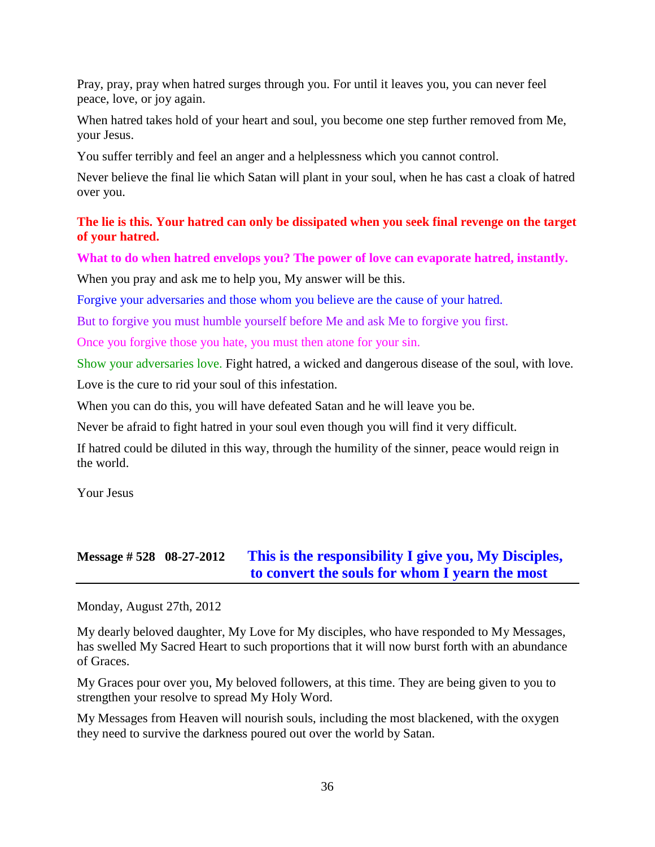Pray, pray, pray when hatred surges through you. For until it leaves you, you can never feel peace, love, or joy again.

When hatred takes hold of your heart and soul, you become one step further removed from Me, your Jesus.

You suffer terribly and feel an anger and a helplessness which you cannot control.

Never believe the final lie which Satan will plant in your soul, when he has cast a cloak of hatred over you.

## **The lie is this. Your hatred can only be dissipated when you seek final revenge on the target of your hatred.**

**What to do when hatred envelops you? The power of love can evaporate hatred, instantly.**

When you pray and ask me to help you, My answer will be this.

Forgive your adversaries and those whom you believe are the cause of your hatred.

But to forgive you must humble yourself before Me and ask Me to forgive you first.

Once you forgive those you hate, you must then atone for your sin.

Show your adversaries love. Fight hatred, a wicked and dangerous disease of the soul, with love.

Love is the cure to rid your soul of this infestation.

When you can do this, you will have defeated Satan and he will leave you be.

Never be afraid to fight hatred in your soul even though you will find it very difficult.

If hatred could be diluted in this way, through the humility of the sinner, peace would reign in the world.

Your Jesus

## **Message # 528 08-27-2012 [This is the responsibility I give you,](http://www.thewarningsecondcoming.com/this-is-the-responsibility-i-give-you-my-disciples-to-convert-the-souls-for-whom-i-yearn-the-most/) My Disciples, [to convert the souls for whom I yearn the most](http://www.thewarningsecondcoming.com/this-is-the-responsibility-i-give-you-my-disciples-to-convert-the-souls-for-whom-i-yearn-the-most/)**

Monday, August 27th, 2012

My dearly beloved daughter, My Love for My disciples, who have responded to My Messages, has swelled My Sacred Heart to such proportions that it will now burst forth with an abundance of Graces.

My Graces pour over you, My beloved followers, at this time. They are being given to you to strengthen your resolve to spread My Holy Word.

My Messages from Heaven will nourish souls, including the most blackened, with the oxygen they need to survive the darkness poured out over the world by Satan.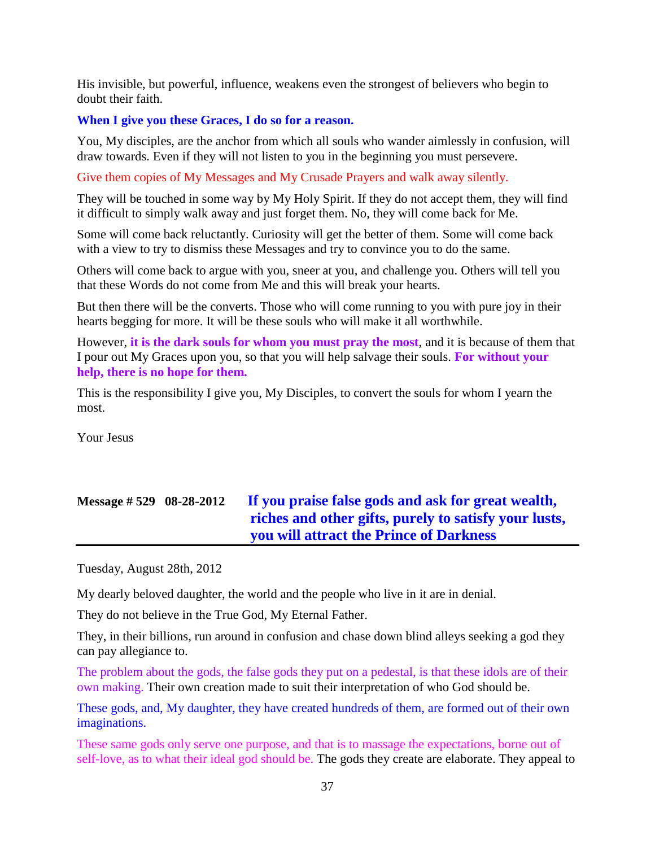His invisible, but powerful, influence, weakens even the strongest of believers who begin to doubt their faith.

#### **When I give you these Graces, I do so for a reason.**

You, My disciples, are the anchor from which all souls who wander aimlessly in confusion, will draw towards. Even if they will not listen to you in the beginning you must persevere.

Give them copies of My Messages and My Crusade Prayers and walk away silently.

They will be touched in some way by My Holy Spirit. If they do not accept them, they will find it difficult to simply walk away and just forget them. No, they will come back for Me.

Some will come back reluctantly. Curiosity will get the better of them. Some will come back with a view to try to dismiss these Messages and try to convince you to do the same.

Others will come back to argue with you, sneer at you, and challenge you. Others will tell you that these Words do not come from Me and this will break your hearts.

But then there will be the converts. Those who will come running to you with pure joy in their hearts begging for more. It will be these souls who will make it all worthwhile.

However, **it is the dark souls for whom you must pray the most**, and it is because of them that I pour out My Graces upon you, so that you will help salvage their souls. **For without your help, there is no hope for them.**

This is the responsibility I give you, My Disciples, to convert the souls for whom I yearn the most.

Your Jesus

# **Message # 529 08-28-2012 [If you praise false gods and ask for great wealth,](http://www.thewarningsecondcoming.com/if-you-praise-false-gods-and-ask-for-great-wealth-riches-and-other-gifts-purely-to-satisfy-your-lusts-you-will-attract-the-prince-of-darkness/)  [riches and other gifts, purely to satisfy your lusts,](http://www.thewarningsecondcoming.com/if-you-praise-false-gods-and-ask-for-great-wealth-riches-and-other-gifts-purely-to-satisfy-your-lusts-you-will-attract-the-prince-of-darkness/) [you will attract the Prince of Darkness](http://www.thewarningsecondcoming.com/if-you-praise-false-gods-and-ask-for-great-wealth-riches-and-other-gifts-purely-to-satisfy-your-lusts-you-will-attract-the-prince-of-darkness/)**

Tuesday, August 28th, 2012

My dearly beloved daughter, the world and the people who live in it are in denial.

They do not believe in the True God, My Eternal Father.

They, in their billions, run around in confusion and chase down blind alleys seeking a god they can pay allegiance to.

The problem about the gods, the false gods they put on a pedestal, is that these idols are of their own making. Their own creation made to suit their interpretation of who God should be.

These gods, and, My daughter, they have created hundreds of them, are formed out of their own imaginations.

These same gods only serve one purpose, and that is to massage the expectations, borne out of self-love, as to what their ideal god should be. The gods they create are elaborate. They appeal to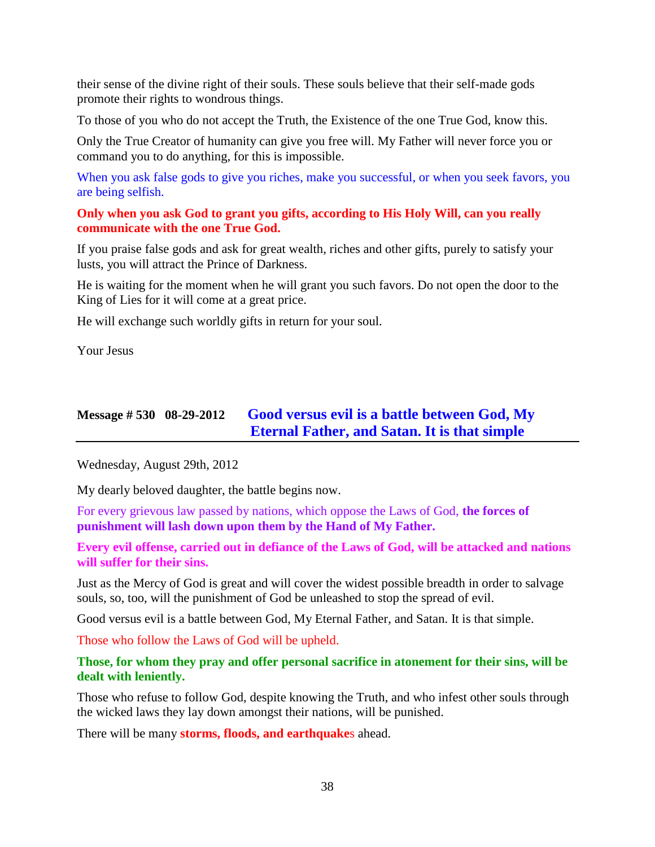their sense of the divine right of their souls. These souls believe that their self-made gods promote their rights to wondrous things.

To those of you who do not accept the Truth, the Existence of the one True God, know this.

Only the True Creator of humanity can give you free will. My Father will never force you or command you to do anything, for this is impossible.

When you ask false gods to give you riches, make you successful, or when you seek favors, you are being selfish.

#### **Only when you ask God to grant you gifts, according to His Holy Will, can you really communicate with the one True God.**

If you praise false gods and ask for great wealth, riches and other gifts, purely to satisfy your lusts, you will attract the Prince of Darkness.

He is waiting for the moment when he will grant you such favors. Do not open the door to the King of Lies for it will come at a great price.

He will exchange such worldly gifts in return for your soul.

Your Jesus

## **Message # 530 08-29-2012 [Good versus evil is a battle between God, My](http://www.thewarningsecondcoming.com/good-versus-evil-is-a-battle-between-god-my-eternal-father-and-satan-it-is-that-simple/)  Eternal Father, [and Satan. It is that simple](http://www.thewarningsecondcoming.com/good-versus-evil-is-a-battle-between-god-my-eternal-father-and-satan-it-is-that-simple/)**

Wednesday, August 29th, 2012

My dearly beloved daughter, the battle begins now.

For every grievous law passed by nations, which oppose the Laws of God, **the forces of punishment will lash down upon them by the Hand of My Father.**

**Every evil offense, carried out in defiance of the Laws of God, will be attacked and nations will suffer for their sins.**

Just as the Mercy of God is great and will cover the widest possible breadth in order to salvage souls, so, too, will the punishment of God be unleashed to stop the spread of evil.

Good versus evil is a battle between God, My Eternal Father, and Satan. It is that simple.

Those who follow the Laws of God will be upheld.

#### **Those, for whom they pray and offer personal sacrifice in atonement for their sins, will be dealt with leniently.**

Those who refuse to follow God, despite knowing the Truth, and who infest other souls through the wicked laws they lay down amongst their nations, will be punished.

There will be many **storms, floods, and earthquake**s ahead.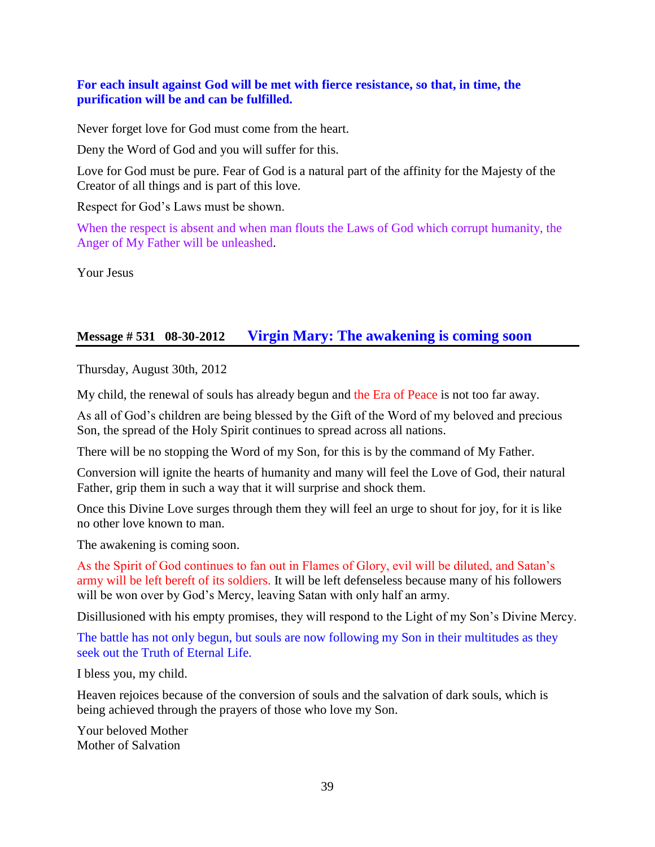#### **For each insult against God will be met with fierce resistance, so that, in time, the purification will be and can be fulfilled.**

Never forget love for God must come from the heart.

Deny the Word of God and you will suffer for this.

Love for God must be pure. Fear of God is a natural part of the affinity for the Majesty of the Creator of all things and is part of this love.

Respect for God's Laws must be shown.

When the respect is absent and when man flouts the Laws of God which corrupt humanity, the Anger of My Father will be unleashed.

Your Jesus

### **Message # 531 08-30-2012 [Virgin Mary: The awakening is coming soon](http://www.thewarningsecondcoming.com/virgin-mary-the-awakening-is-coming-soon/)**

Thursday, August 30th, 2012

My child, the renewal of souls has already begun and the Era of Peace is not too far away.

As all of God's children are being blessed by the Gift of the Word of my beloved and precious Son, the spread of the Holy Spirit continues to spread across all nations.

There will be no stopping the Word of my Son, for this is by the command of My Father.

Conversion will ignite the hearts of humanity and many will feel the Love of God, their natural Father, grip them in such a way that it will surprise and shock them.

Once this Divine Love surges through them they will feel an urge to shout for joy, for it is like no other love known to man.

The awakening is coming soon.

As the Spirit of God continues to fan out in Flames of Glory, evil will be diluted, and Satan's army will be left bereft of its soldiers. It will be left defenseless because many of his followers will be won over by God's Mercy, leaving Satan with only half an army.

Disillusioned with his empty promises, they will respond to the Light of my Son's Divine Mercy.

The battle has not only begun, but souls are now following my Son in their multitudes as they seek out the Truth of Eternal Life.

I bless you, my child.

Heaven rejoices because of the conversion of souls and the salvation of dark souls, which is being achieved through the prayers of those who love my Son.

Your beloved Mother Mother of Salvation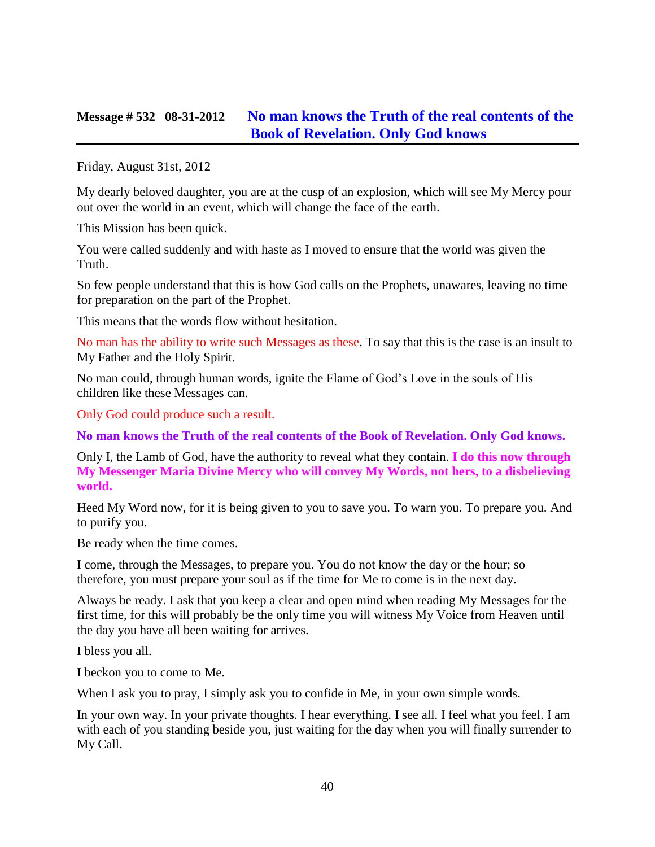### **Message # 532 08-31-2012 [No man knows the Truth of the real contents of the](http://www.thewarningsecondcoming.com/no-man-knows-the-truth-of-the-real-contents-of-the-book-of-revelation-only-god-knows/)  [Book of Revelation. Only God knows](http://www.thewarningsecondcoming.com/no-man-knows-the-truth-of-the-real-contents-of-the-book-of-revelation-only-god-knows/)**

Friday, August 31st, 2012

My dearly beloved daughter, you are at the cusp of an explosion, which will see My Mercy pour out over the world in an event, which will change the face of the earth.

This Mission has been quick.

You were called suddenly and with haste as I moved to ensure that the world was given the Truth.

So few people understand that this is how God calls on the Prophets, unawares, leaving no time for preparation on the part of the Prophet.

This means that the words flow without hesitation.

No man has the ability to write such Messages as these. To say that this is the case is an insult to My Father and the Holy Spirit.

No man could, through human words, ignite the Flame of God's Love in the souls of His children like these Messages can.

Only God could produce such a result.

**No man knows the Truth of the real contents of the Book of Revelation. Only God knows.**

Only I, the Lamb of God, have the authority to reveal what they contain. **I do this now through My Messenger Maria Divine Mercy who will convey My Words, not hers, to a disbelieving world.**

Heed My Word now, for it is being given to you to save you. To warn you. To prepare you. And to purify you.

Be ready when the time comes.

I come, through the Messages, to prepare you. You do not know the day or the hour; so therefore, you must prepare your soul as if the time for Me to come is in the next day.

Always be ready. I ask that you keep a clear and open mind when reading My Messages for the first time, for this will probably be the only time you will witness My Voice from Heaven until the day you have all been waiting for arrives.

I bless you all.

I beckon you to come to Me.

When I ask you to pray, I simply ask you to confide in Me, in your own simple words.

In your own way. In your private thoughts. I hear everything. I see all. I feel what you feel. I am with each of you standing beside you, just waiting for the day when you will finally surrender to My Call.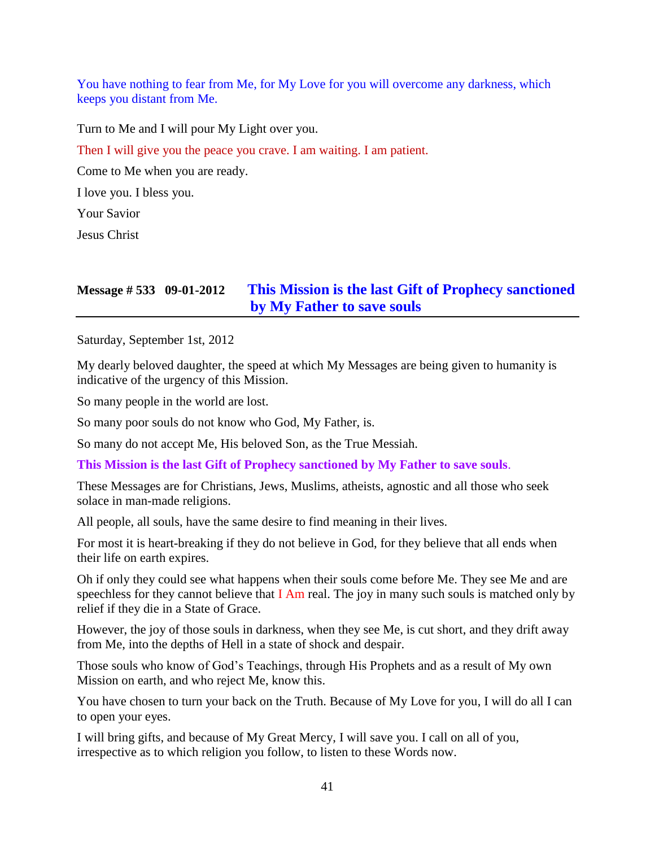You have nothing to fear from Me, for My Love for you will overcome any darkness, which keeps you distant from Me.

Turn to Me and I will pour My Light over you.

Then I will give you the peace you crave. I am waiting. I am patient.

Come to Me when you are ready.

I love you. I bless you.

Your Savior

Jesus Christ

# **Message # 533 09-01-2012 [This Mission is the last Gift of Prophecy sanctioned](http://www.thewarningsecondcoming.com/this-mission-is-the-last-gift-of-prophecy-sanctioned-by-my-father-to-save-souls/)  [by My Father to save souls](http://www.thewarningsecondcoming.com/this-mission-is-the-last-gift-of-prophecy-sanctioned-by-my-father-to-save-souls/)**

Saturday, September 1st, 2012

My dearly beloved daughter, the speed at which My Messages are being given to humanity is indicative of the urgency of this Mission.

So many people in the world are lost.

So many poor souls do not know who God, My Father, is.

So many do not accept Me, His beloved Son, as the True Messiah.

**This Mission is the last Gift of Prophecy sanctioned by My Father to save souls**.

These Messages are for Christians, Jews, Muslims, atheists, agnostic and all those who seek solace in man-made religions.

All people, all souls, have the same desire to find meaning in their lives.

For most it is heart-breaking if they do not believe in God, for they believe that all ends when their life on earth expires.

Oh if only they could see what happens when their souls come before Me. They see Me and are speechless for they cannot believe that  $I$  Am real. The joy in many such souls is matched only by relief if they die in a State of Grace.

However, the joy of those souls in darkness, when they see Me, is cut short, and they drift away from Me, into the depths of Hell in a state of shock and despair.

Those souls who know of God's Teachings, through His Prophets and as a result of My own Mission on earth, and who reject Me, know this.

You have chosen to turn your back on the Truth. Because of My Love for you, I will do all I can to open your eyes.

I will bring gifts, and because of My Great Mercy, I will save you. I call on all of you, irrespective as to which religion you follow, to listen to these Words now.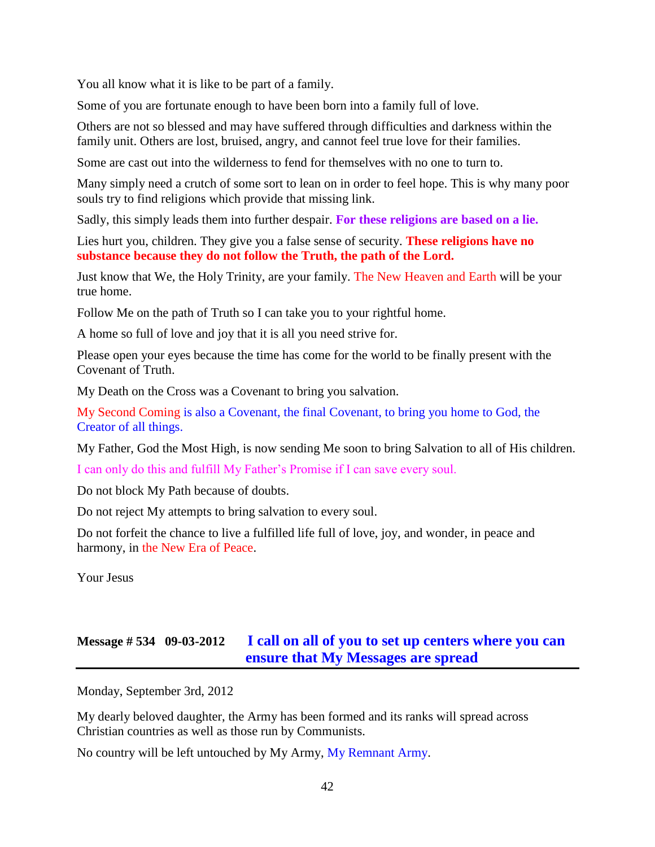You all know what it is like to be part of a family.

Some of you are fortunate enough to have been born into a family full of love.

Others are not so blessed and may have suffered through difficulties and darkness within the family unit. Others are lost, bruised, angry, and cannot feel true love for their families.

Some are cast out into the wilderness to fend for themselves with no one to turn to.

Many simply need a crutch of some sort to lean on in order to feel hope. This is why many poor souls try to find religions which provide that missing link.

Sadly, this simply leads them into further despair. **For these religions are based on a lie.**

Lies hurt you, children. They give you a false sense of security. **These religions have no substance because they do not follow the Truth, the path of the Lord.**

Just know that We, the Holy Trinity, are your family. The New Heaven and Earth will be your true home.

Follow Me on the path of Truth so I can take you to your rightful home.

A home so full of love and joy that it is all you need strive for.

Please open your eyes because the time has come for the world to be finally present with the Covenant of Truth.

My Death on the Cross was a Covenant to bring you salvation.

My Second Coming is also a Covenant, the final Covenant, to bring you home to God, the Creator of all things.

My Father, God the Most High, is now sending Me soon to bring Salvation to all of His children.

I can only do this and fulfill My Father's Promise if I can save every soul.

Do not block My Path because of doubts.

Do not reject My attempts to bring salvation to every soul.

Do not forfeit the chance to live a fulfilled life full of love, joy, and wonder, in peace and harmony, in the New Era of Peace.

Your Jesus

## **Message # 534 09-03-2012 [I call on all of you to set up centers where you can](http://www.thewarningsecondcoming.com/i-call-on-all-of-you-to-set-up-centres-where-you-can-ensure-that-my-messages-are-spread/)  [ensure that My Messages are spread](http://www.thewarningsecondcoming.com/i-call-on-all-of-you-to-set-up-centres-where-you-can-ensure-that-my-messages-are-spread/)**

Monday, September 3rd, 2012

My dearly beloved daughter, the Army has been formed and its ranks will spread across Christian countries as well as those run by Communists.

No country will be left untouched by My Army, My Remnant Army.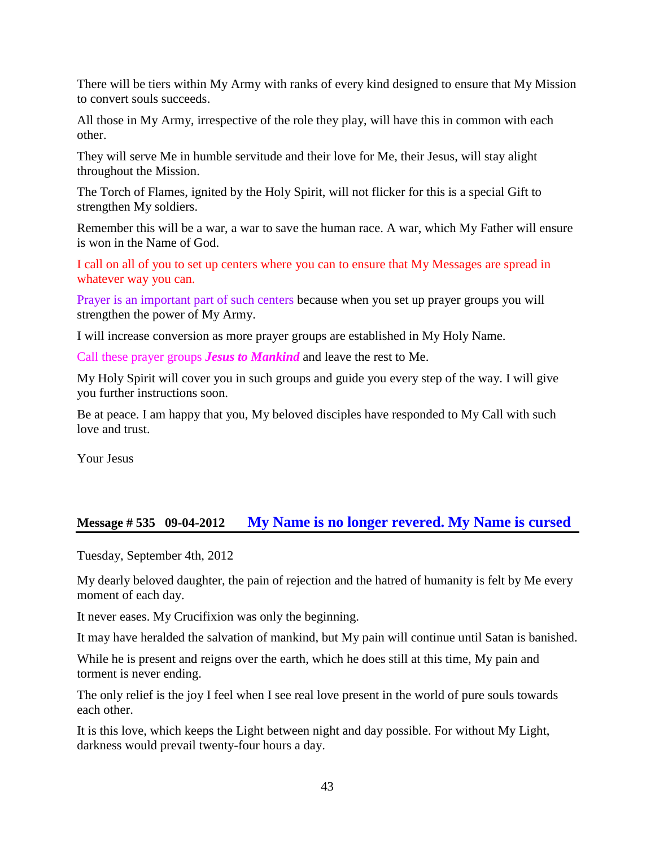There will be tiers within My Army with ranks of every kind designed to ensure that My Mission to convert souls succeeds.

All those in My Army, irrespective of the role they play, will have this in common with each other.

They will serve Me in humble servitude and their love for Me, their Jesus, will stay alight throughout the Mission.

The Torch of Flames, ignited by the Holy Spirit, will not flicker for this is a special Gift to strengthen My soldiers.

Remember this will be a war, a war to save the human race. A war, which My Father will ensure is won in the Name of God.

I call on all of you to set up centers where you can to ensure that My Messages are spread in whatever way you can.

Prayer is an important part of such centers because when you set up prayer groups you will strengthen the power of My Army.

I will increase conversion as more prayer groups are established in My Holy Name.

Call these prayer groups *Jesus to Mankind* and leave the rest to Me.

My Holy Spirit will cover you in such groups and guide you every step of the way. I will give you further instructions soon.

Be at peace. I am happy that you, My beloved disciples have responded to My Call with such love and trust.

Your Jesus

### **Message # 535 09-04-2012 [My Name is no longer revered. My Name is cursed](http://www.thewarningsecondcoming.com/my-name-is-no-longer-revered-my-name-is-cursed/)**

Tuesday, September 4th, 2012

My dearly beloved daughter, the pain of rejection and the hatred of humanity is felt by Me every moment of each day.

It never eases. My Crucifixion was only the beginning.

It may have heralded the salvation of mankind, but My pain will continue until Satan is banished.

While he is present and reigns over the earth, which he does still at this time, My pain and torment is never ending.

The only relief is the joy I feel when I see real love present in the world of pure souls towards each other.

It is this love, which keeps the Light between night and day possible. For without My Light, darkness would prevail twenty-four hours a day.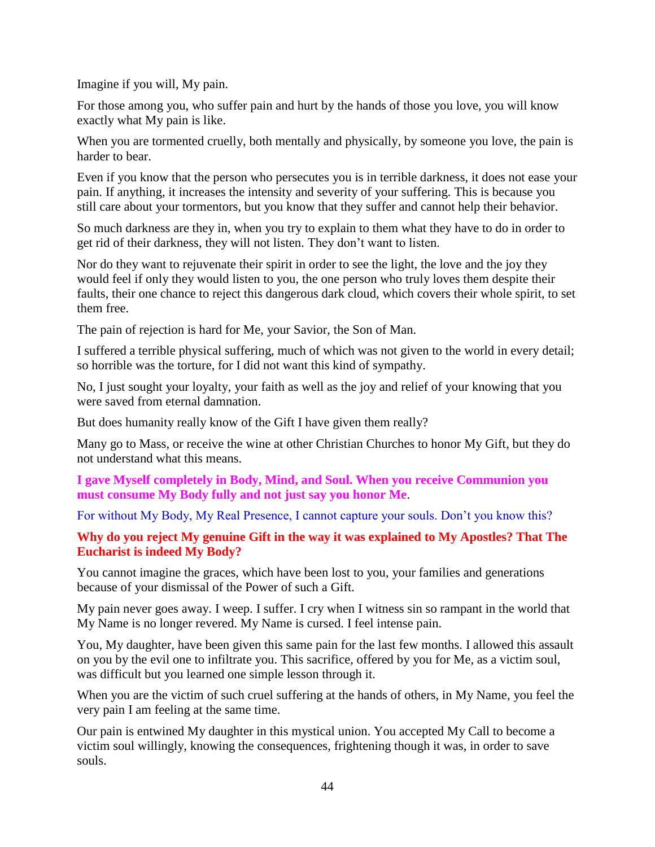Imagine if you will, My pain.

For those among you, who suffer pain and hurt by the hands of those you love, you will know exactly what My pain is like.

When you are tormented cruelly, both mentally and physically, by some one you love, the pain is harder to bear.

Even if you know that the person who persecutes you is in terrible darkness, it does not ease your pain. If anything, it increases the intensity and severity of your suffering. This is because you still care about your tormentors, but you know that they suffer and cannot help their behavior.

So much darkness are they in, when you try to explain to them what they have to do in order to get rid of their darkness, they will not listen. They don't want to listen.

Nor do they want to rejuvenate their spirit in order to see the light, the love and the joy they would feel if only they would listen to you, the one person who truly loves them despite their faults, their one chance to reject this dangerous dark cloud, which covers their whole spirit, to set them free.

The pain of rejection is hard for Me, your Savior, the Son of Man.

I suffered a terrible physical suffering, much of which was not given to the world in every detail; so horrible was the torture, for I did not want this kind of sympathy.

No, I just sought your loyalty, your faith as well as the joy and relief of your knowing that you were saved from eternal damnation.

But does humanity really know of the Gift I have given them really?

Many go to Mass, or receive the wine at other Christian Churches to honor My Gift, but they do not understand what this means.

#### **I gave Myself completely in Body, Mind, and Soul. When you receive Communion you must consume My Body fully and not just say you honor Me**.

For without My Body, My Real Presence, I cannot capture your souls. Don't you know this?

#### **Why do you reject My genuine Gift in the way it was explained to My Apostles? That The Eucharist is indeed My Body?**

You cannot imagine the graces, which have been lost to you, your families and generations because of your dismissal of the Power of such a Gift.

My pain never goes away. I weep. I suffer. I cry when I witness sin so rampant in the world that My Name is no longer revered. My Name is cursed. I feel intense pain.

You, My daughter, have been given this same pain for the last few months. I allowed this assault on you by the evil one to infiltrate you. This sacrifice, offered by you for Me, as a victim soul, was difficult but you learned one simple lesson through it.

When you are the victim of such cruel suffering at the hands of others, in My Name, you feel the very pain I am feeling at the same time.

Our pain is entwined My daughter in this mystical union. You accepted My Call to become a victim soul willingly, knowing the consequences, frightening though it was, in order to save souls.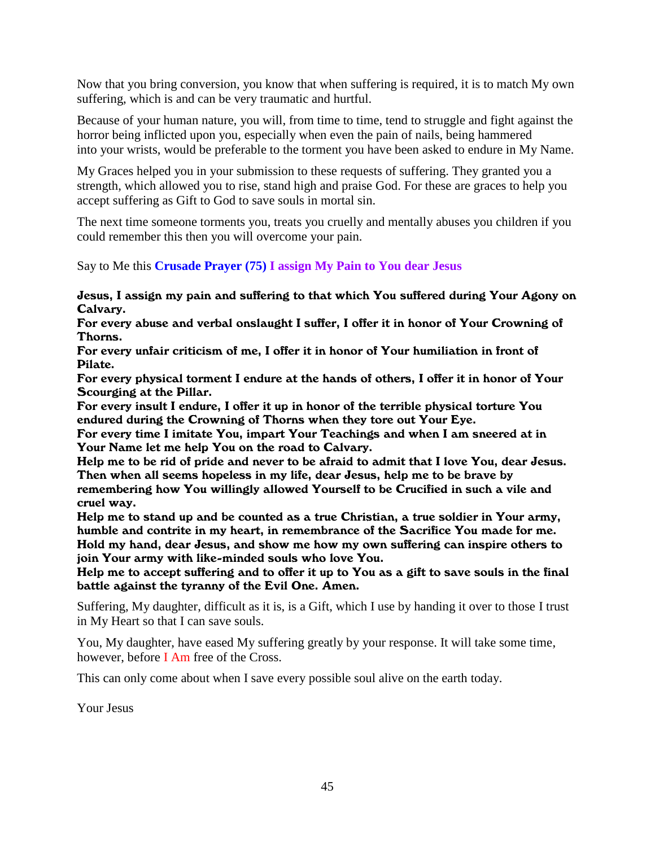Now that you bring conversion, you know that when suffering is required, it is to match My own suffering, which is and can be very traumatic and hurtful.

Because of your human nature, you will, from time to time, tend to struggle and fight against the horror being inflicted upon you, especially when even the pain of nails, being hammered into your wrists, would be preferable to the torment you have been asked to endure in My Name.

My Graces helped you in your submission to these requests of suffering. They granted you a strength, which allowed you to rise, stand high and praise God. For these are graces to help you accept suffering as Gift to God to save souls in mortal sin.

The next time someone torments you, treats you cruelly and mentally abuses you children if you could remember this then you will overcome your pain.

Say to Me this **Crusade Prayer (75) I assign My Pain to You dear Jesus**

Jesus, I assign my pain and suffering to that which You suffered during Your Agony on Calvary.

For every abuse and verbal onslaught I suffer, I offer it in honor of Your Crowning of Thorns.

For every unfair criticism of me, I offer it in honor of Your humiliation in front of Pilate.

For every physical torment I endure at the hands of others, I offer it in honor of Your Scourging at the Pillar.

For every insult I endure, I offer it up in honor of the terrible physical torture You endured during the Crowning of Thorns when they tore out Your Eye.

For every time I imitate You, impart Your Teachings and when I am sneered at in Your Name let me help You on the road to Calvary.

Help me to be rid of pride and never to be afraid to admit that I love You, dear Jesus. Then when all seems hopeless in my life, dear Jesus, help me to be brave by remembering how You willingly allowed Yourself to be Crucified in such a vile and

cruel way. Help me to stand up and be counted as a true Christian, a true soldier in Your army,

humble and contrite in my heart, in remembrance of the Sacrifice You made for me. Hold my hand, dear Jesus, and show me how my own suffering can inspire others to join Your army with like-minded souls who love You.

Help me to accept suffering and to offer it up to You as a gift to save souls in the final battle against the tyranny of the Evil One. Amen.

Suffering, My daughter, difficult as it is, is a Gift, which I use by handing it over to those I trust in My Heart so that I can save souls.

You, My daughter, have eased My suffering greatly by your response. It will take some time, however, before I Am free of the Cross.

This can only come about when I save every possible soul alive on the earth today.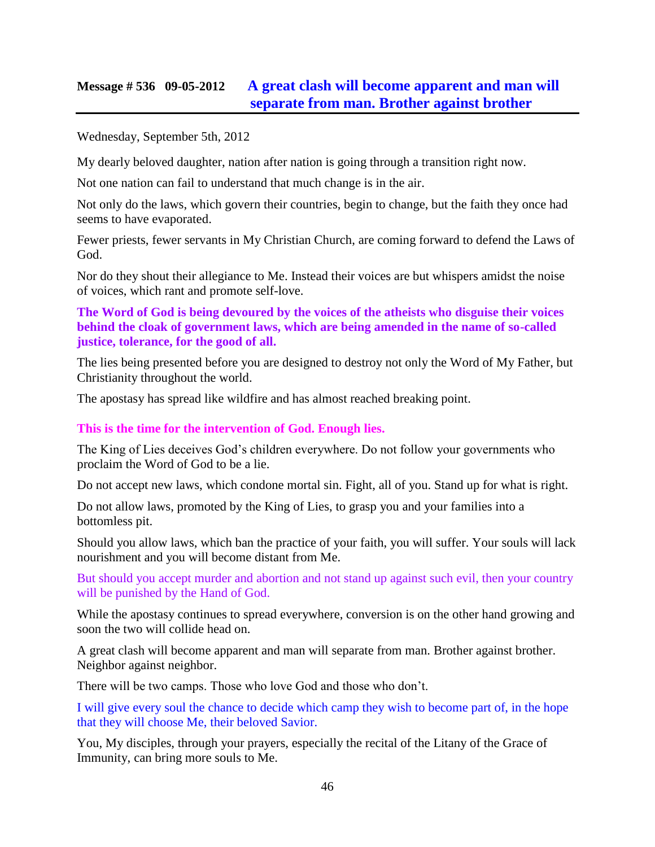## **Message # 536 09-05-2012 [A great clash will become apparent and man will](http://www.thewarningsecondcoming.com/a-great-clash-will-become-apparent-and-man-will-separate-from-man-brother-against-brother/)  [separate from man. Brother against brother](http://www.thewarningsecondcoming.com/a-great-clash-will-become-apparent-and-man-will-separate-from-man-brother-against-brother/)**

Wednesday, September 5th, 2012

My dearly beloved daughter, nation after nation is going through a transition right now.

Not one nation can fail to understand that much change is in the air.

Not only do the laws, which govern their countries, begin to change, but the faith they once had seems to have evaporated.

Fewer priests, fewer servants in My Christian Church, are coming forward to defend the Laws of God.

Nor do they shout their allegiance to Me. Instead their voices are but whispers amidst the noise of voices, which rant and promote self-love.

**The Word of God is being devoured by the voices of the atheists who disguise their voices behind the cloak of government laws, which are being amended in the name of so-called justice, tolerance, for the good of all.**

The lies being presented before you are designed to destroy not only the Word of My Father, but Christianity throughout the world.

The apostasy has spread like wildfire and has almost reached breaking point.

#### **This is the time for the intervention of God. Enough lies.**

The King of Lies deceives God's children everywhere. Do not follow your governments who proclaim the Word of God to be a lie.

Do not accept new laws, which condone mortal sin. Fight, all of you. Stand up for what is right.

Do not allow laws, promoted by the King of Lies, to grasp you and your families into a bottomless pit.

Should you allow laws, which ban the practice of your faith, you will suffer. Your souls will lack nourishment and you will become distant from Me.

But should you accept murder and abortion and not stand up against such evil, then your country will be punished by the Hand of God.

While the apostasy continues to spread everywhere, conversion is on the other hand growing and soon the two will collide head on.

A great clash will become apparent and man will separate from man. Brother against brother. Neighbor against neighbor.

There will be two camps. Those who love God and those who don't.

I will give every soul the chance to decide which camp they wish to become part of, in the hope that they will choose Me, their beloved Savior.

You, My disciples, through your prayers, especially the recital of the Litany of the Grace of Immunity, can bring more souls to Me.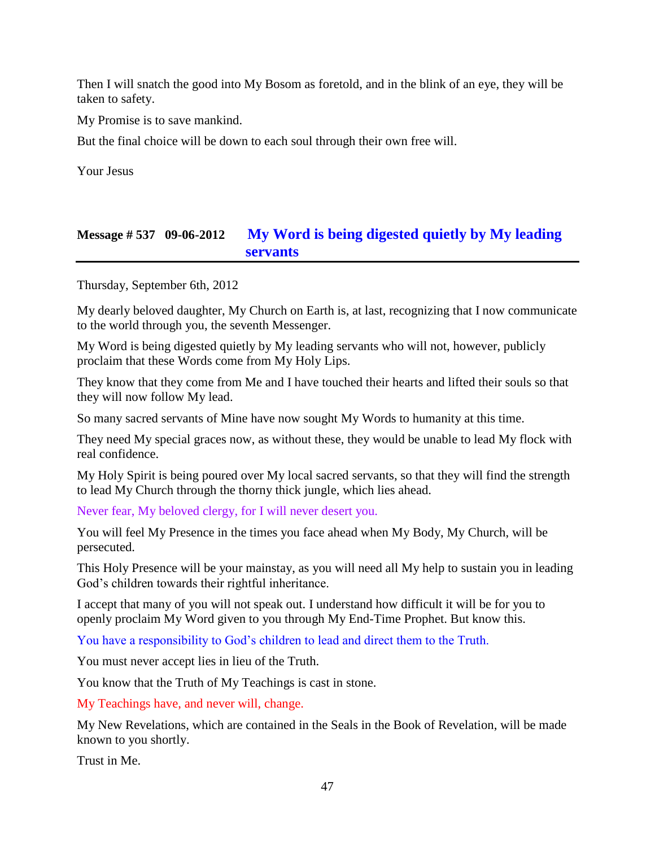Then I will snatch the good into My Bosom as foretold, and in the blink of an eye, they will be taken to safety.

My Promise is to save mankind.

But the final choice will be down to each soul through their own free will.

Your Jesus

## **Message # 537 09-06-2012 [My Word is being digested quietly by My leading](http://www.thewarningsecondcoming.com/my-word-is-being-digested-quietly-by-my-leading-servants/)  [servants](http://www.thewarningsecondcoming.com/my-word-is-being-digested-quietly-by-my-leading-servants/)**

Thursday, September 6th, 2012

My dearly beloved daughter, My Church on Earth is, at last, recognizing that I now communicate to the world through you, the seventh Messenger.

My Word is being digested quietly by My leading servants who will not, however, publicly proclaim that these Words come from My Holy Lips.

They know that they come from Me and I have touched their hearts and lifted their souls so that they will now follow My lead.

So many sacred servants of Mine have now sought My Words to humanity at this time.

They need My special graces now, as without these, they would be unable to lead My flock with real confidence.

My Holy Spirit is being poured over My local sacred servants, so that they will find the strength to lead My Church through the thorny thick jungle, which lies ahead.

Never fear, My beloved clergy, for I will never desert you.

You will feel My Presence in the times you face ahead when My Body, My Church, will be persecuted.

This Holy Presence will be your mainstay, as you will need all My help to sustain you in leading God's children towards their rightful inheritance.

I accept that many of you will not speak out. I understand how difficult it will be for you to openly proclaim My Word given to you through My End-Time Prophet. But know this.

You have a responsibility to God's children to lead and direct them to the Truth.

You must never accept lies in lieu of the Truth.

You know that the Truth of My Teachings is cast in stone.

My Teachings have, and never will, change.

My New Revelations, which are contained in the Seals in the Book of Revelation, will be made known to you shortly.

Trust in Me.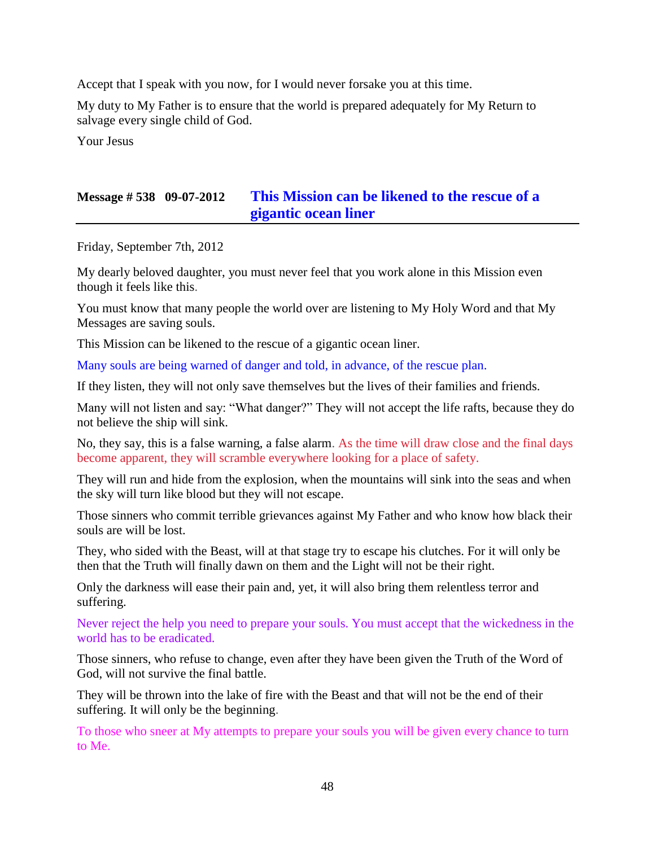Accept that I speak with you now, for I would never forsake you at this time.

My duty to My Father is to ensure that the world is prepared adequately for My Return to salvage every single child of God.

Your Jesus

## **Message # 538 09-07-2012 [This Mission can be likened to the rescue of a](http://www.thewarningsecondcoming.com/this-mission-can-be-likened-to-the-rescue-of-a-gigantic-ocean-liner/)  [gigantic ocean liner](http://www.thewarningsecondcoming.com/this-mission-can-be-likened-to-the-rescue-of-a-gigantic-ocean-liner/)**

Friday, September 7th, 2012

My dearly beloved daughter, you must never feel that you work alone in this Mission even though it feels like this.

You must know that many people the world over are listening to My Holy Word and that My Messages are saving souls.

This Mission can be likened to the rescue of a gigantic ocean liner.

Many souls are being warned of danger and told, in advance, of the rescue plan.

If they listen, they will not only save themselves but the lives of their families and friends.

Many will not listen and say: "What danger?" They will not accept the life rafts, because they do not believe the ship will sink.

No, they say, this is a false warning, a false alarm. As the time will draw close and the final days become apparent, they will scramble everywhere looking for a place of safety.

They will run and hide from the explosion, when the mountains will sink into the seas and when the sky will turn like blood but they will not escape.

Those sinners who commit terrible grievances against My Father and who know how black their souls are will be lost.

They, who sided with the Beast, will at that stage try to escape his clutches. For it will only be then that the Truth will finally dawn on them and the Light will not be their right.

Only the darkness will ease their pain and, yet, it will also bring them relentless terror and suffering.

Never reject the help you need to prepare your souls. You must accept that the wickedness in the world has to be eradicated.

Those sinners, who refuse to change, even after they have been given the Truth of the Word of God, will not survive the final battle.

They will be thrown into the lake of fire with the Beast and that will not be the end of their suffering. It will only be the beginning.

To those who sneer at My attempts to prepare your souls you will be given every chance to turn to Me.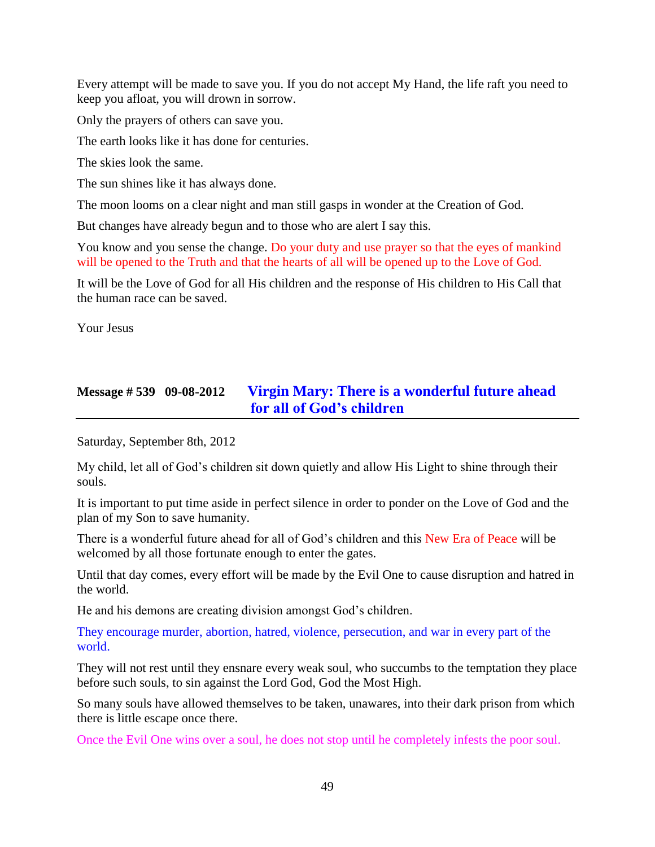Every attempt will be made to save you. If you do not accept My Hand, the life raft you need to keep you afloat, you will drown in sorrow.

Only the prayers of others can save you.

The earth looks like it has done for centuries.

The skies look the same.

The sun shines like it has always done.

The moon looms on a clear night and man still gasps in wonder at the Creation of God.

But changes have already begun and to those who are alert I say this.

You know and you sense the change. Do your duty and use prayer so that the eyes of mankind will be opened to the Truth and that the hearts of all will be opened up to the Love of God.

It will be the Love of God for all His children and the response of His children to His Call that the human race can be saved.

Your Jesus

# **Message # 539 09-08-2012 [Virgin Mary: There is a wonderful future ahead](http://www.thewarningsecondcoming.com/virgin-mary-there-is-a-wonderful-future-ahead-for-all-of-gods-children/)  [for all of God's children](http://www.thewarningsecondcoming.com/virgin-mary-there-is-a-wonderful-future-ahead-for-all-of-gods-children/)**

Saturday, September 8th, 2012

My child, let all of God's children sit down quietly and allow His Light to shine through their souls.

It is important to put time aside in perfect silence in order to ponder on the Love of God and the plan of my Son to save humanity.

There is a wonderful future ahead for all of God's children and this New Era of Peace will be welcomed by all those fortunate enough to enter the gates.

Until that day comes, every effort will be made by the Evil One to cause disruption and hatred in the world.

He and his demons are creating division amongst God's children.

They encourage murder, abortion, hatred, violence, persecution, and war in every part of the world.

They will not rest until they ensnare every weak soul, who succumbs to the temptation they place before such souls, to sin against the Lord God, God the Most High.

So many souls have allowed themselves to be taken, unawares, into their dark prison from which there is little escape once there.

Once the Evil One wins over a soul, he does not stop until he completely infests the poor soul.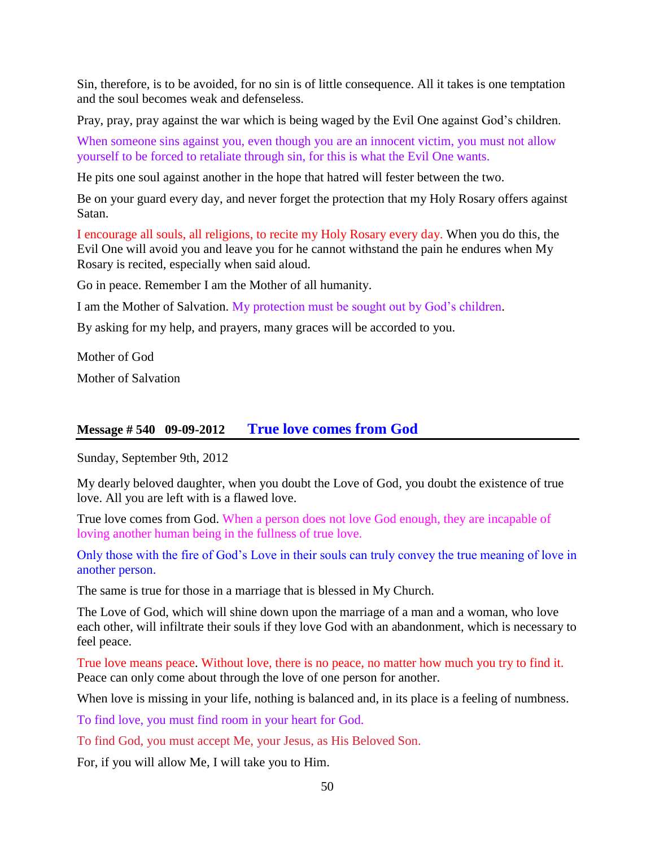Sin, therefore, is to be avoided, for no sin is of little consequence. All it takes is one temptation and the soul becomes weak and defenseless.

Pray, pray, pray against the war which is being waged by the Evil One against God's children.

When someone sins against you, even though you are an innocent victim, you must not allow yourself to be forced to retaliate through sin, for this is what the Evil One wants.

He pits one soul against another in the hope that hatred will fester between the two.

Be on your guard every day, and never forget the protection that my Holy Rosary offers against Satan.

I encourage all souls, all religions, to recite my Holy Rosary every day. When you do this, the Evil One will avoid you and leave you for he cannot withstand the pain he endures when My Rosary is recited, especially when said aloud.

Go in peace. Remember I am the Mother of all humanity.

I am the Mother of Salvation. My protection must be sought out by God's children.

By asking for my help, and prayers, many graces will be accorded to you.

Mother of God

Mother of Salvation

#### **Message # 540 09-09-2012 [True love comes from God](http://www.thewarningsecondcoming.com/true-love-comes-from-god-when-a-person-does-not-love-god-enough-they-are-incapable-of-loving-another-human-being-in-the-fullness-of-true-love/)**

Sunday, September 9th, 2012

My dearly beloved daughter, when you doubt the Love of God, you doubt the existence of true love. All you are left with is a flawed love.

True love comes from God. When a person does not love God enough, they are incapable of loving another human being in the fullness of true love.

Only those with the fire of God's Love in their souls can truly convey the true meaning of love in another person.

The same is true for those in a marriage that is blessed in My Church.

The Love of God, which will shine down upon the marriage of a man and a woman, who love each other, will infiltrate their souls if they love God with an abandonment, which is necessary to feel peace.

True love means peace. Without love, there is no peace, no matter how much you try to find it. Peace can only come about through the love of one person for another.

When love is missing in your life, nothing is balanced and, in its place is a feeling of numbness.

To find love, you must find room in your heart for God.

To find God, you must accept Me, your Jesus, as His Beloved Son.

For, if you will allow Me, I will take you to Him.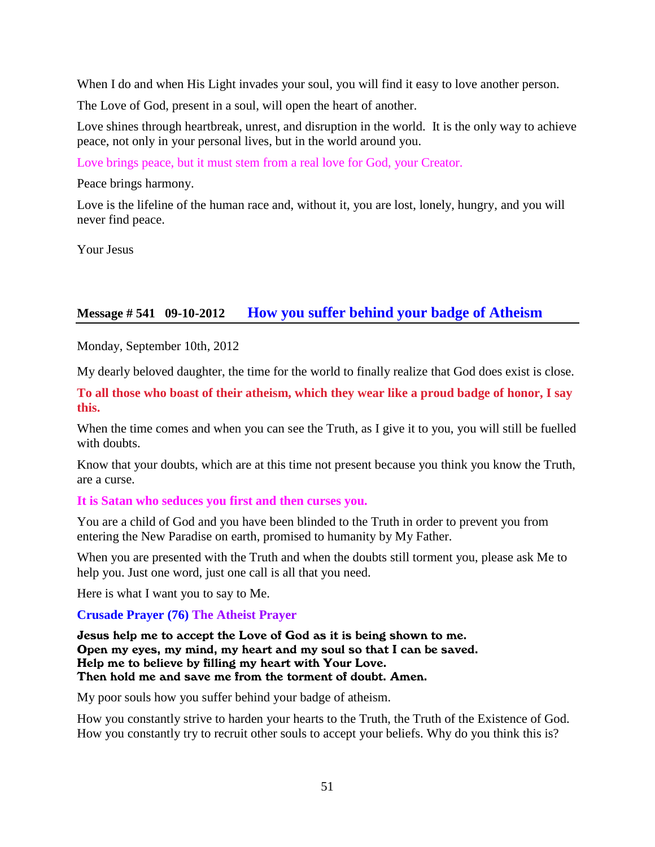When I do and when His Light invades your soul, you will find it easy to love another person.

The Love of God, present in a soul, will open the heart of another.

Love shines through heartbreak, unrest, and disruption in the world. It is the only way to achieve peace, not only in your personal lives, but in the world around you.

Love brings peace, but it must stem from a real love for God, your Creator.

Peace brings harmony.

Love is the lifeline of the human race and, without it, you are lost, lonely, hungry, and you will never find peace.

Your Jesus

### **Message # 541 09-10-2012 [How you suffer behind your badge of Atheism](http://www.thewarningsecondcoming.com/how-you-suffer-behind-your-badge-of-atheism/)**

Monday, September 10th, 2012

My dearly beloved daughter, the time for the world to finally realize that God does exist is close.

**To all those who boast of their atheism, which they wear like a proud badge of honor, I say this.**

When the time comes and when you can see the Truth, as I give it to you, you will still be fuelled with doubts.

Know that your doubts, which are at this time not present because you think you know the Truth, are a curse.

#### **It is Satan who seduces you first and then curses you.**

You are a child of God and you have been blinded to the Truth in order to prevent you from entering the New Paradise on earth, promised to humanity by My Father.

When you are presented with the Truth and when the doubts still torment you, please ask Me to help you. Just one word, just one call is all that you need.

Here is what I want you to say to Me.

#### **Crusade Prayer (76) The Atheist Prayer**

Jesus help me to accept the Love of God as it is being shown to me. Open my eyes, my mind, my heart and my soul so that I can be saved. Help me to believe by filling my heart with Your Love. Then hold me and save me from the torment of doubt. Amen.

My poor souls how you suffer behind your badge of atheism.

How you constantly strive to harden your hearts to the Truth, the Truth of the Existence of God. How you constantly try to recruit other souls to accept your beliefs. Why do you think this is?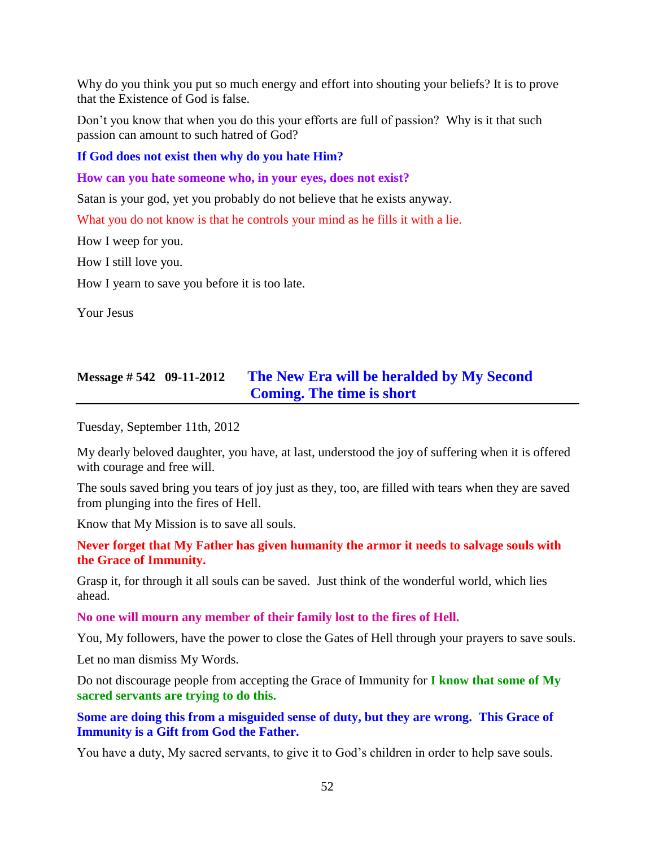Why do you think you put so much energy and effort into shouting your beliefs? It is to prove that the Existence of God is false.

Don't you know that when you do this your efforts are full of passion? Why is it that such passion can amount to such hatred of God?

**If God does not exist then why do you hate Him?**

**How can you hate someone who, in your eyes, does not exist?**

Satan is your god, yet you probably do not believe that he exists anyway.

What you do not know is that he controls your mind as he fills it with a lie.

How I weep for you.

How I still love you.

How I yearn to save you before it is too late.

Your Jesus

# **Message # 542 09-11-2012 [The New Era will be heralded by My Second](http://www.thewarningsecondcoming.com/the-new-era-will-be-heralded-by-my-second-coming-the-time-is-short/)  [Coming. The time is short](http://www.thewarningsecondcoming.com/the-new-era-will-be-heralded-by-my-second-coming-the-time-is-short/)**

Tuesday, September 11th, 2012

My dearly beloved daughter, you have, at last, understood the joy of suffering when it is offered with courage and free will.

The souls saved bring you tears of joy just as they, too, are filled with tears when they are saved from plunging into the fires of Hell.

Know that My Mission is to save all souls.

**Never forget that My Father has given humanity the armor it needs to salvage souls with the Grace of Immunity.**

Grasp it, for through it all souls can be saved. Just think of the wonderful world, which lies ahead.

**No one will mourn any member of their family lost to the fires of Hell.**

You, My followers, have the power to close the Gates of Hell through your prayers to save souls.

Let no man dismiss My Words.

Do not discourage people from accepting the Grace of Immunity for **I know that some of My sacred servants are trying to do this.**

**Some are doing this from a misguided sense of duty, but they are wrong. This Grace of Immunity is a Gift from God the Father.**

You have a duty, My sacred servants, to give it to God's children in order to help save souls.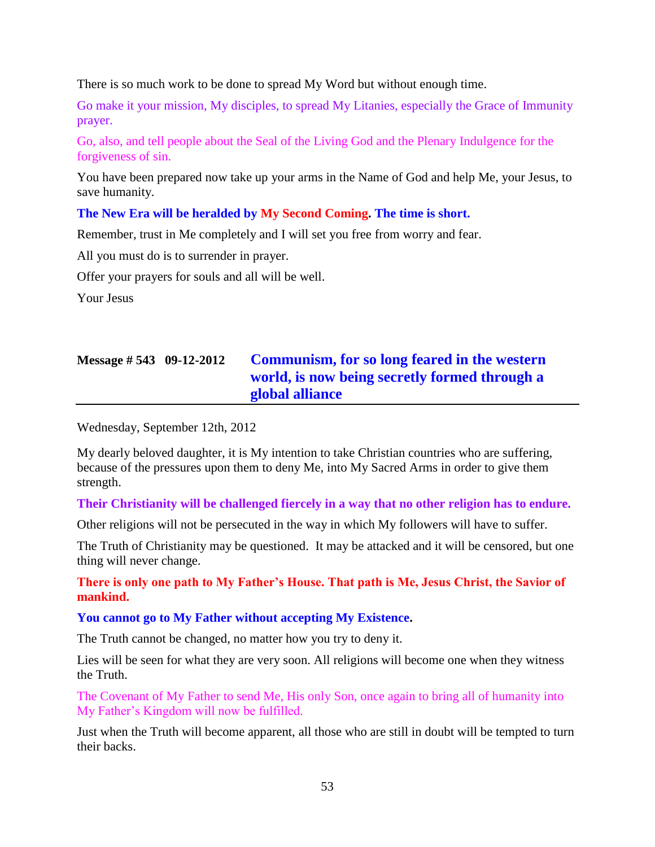There is so much work to be done to spread My Word but without enough time.

Go make it your mission, My disciples, to spread My Litanies, especially the Grace of Immunity prayer.

Go, also, and tell people about the Seal of the Living God and the Plenary Indulgence for the forgiveness of sin.

You have been prepared now take up your arms in the Name of God and help Me, your Jesus, to save humanity.

#### **The New Era will be heralded by My Second Coming. The time is short.**

Remember, trust in Me completely and I will set you free from worry and fear.

All you must do is to surrender in prayer.

Offer your prayers for souls and all will be well.

Your Jesus

# **Message # 543 09-12-2012 [Communism, for so long feared in the western](http://www.thewarningsecondcoming.com/communism-for-so-long-feared-in-the-western-world-is-now-being-secretly-formed-through-a-global-alliance/)  [world, is now being secretly formed through a](http://www.thewarningsecondcoming.com/communism-for-so-long-feared-in-the-western-world-is-now-being-secretly-formed-through-a-global-alliance/)  [global alliance](http://www.thewarningsecondcoming.com/communism-for-so-long-feared-in-the-western-world-is-now-being-secretly-formed-through-a-global-alliance/)**

Wednesday, September 12th, 2012

My dearly beloved daughter, it is My intention to take Christian countries who are suffering, because of the pressures upon them to deny Me, into My Sacred Arms in order to give them strength.

**Their Christianity will be challenged fiercely in a way that no other religion has to endure.**

Other religions will not be persecuted in the way in which My followers will have to suffer.

The Truth of Christianity may be questioned. It may be attacked and it will be censored, but one thing will never change.

**There is only one path to My Father's House. That path is Me, Jesus Christ, the Savior of mankind.**

#### **You cannot go to My Father without accepting My Existence.**

The Truth cannot be changed, no matter how you try to deny it.

Lies will be seen for what they are very soon. All religions will become one when they witness the Truth.

The Covenant of My Father to send Me, His only Son, once again to bring all of humanity into My Father's Kingdom will now be fulfilled.

Just when the Truth will become apparent, all those who are still in doubt will be tempted to turn their backs.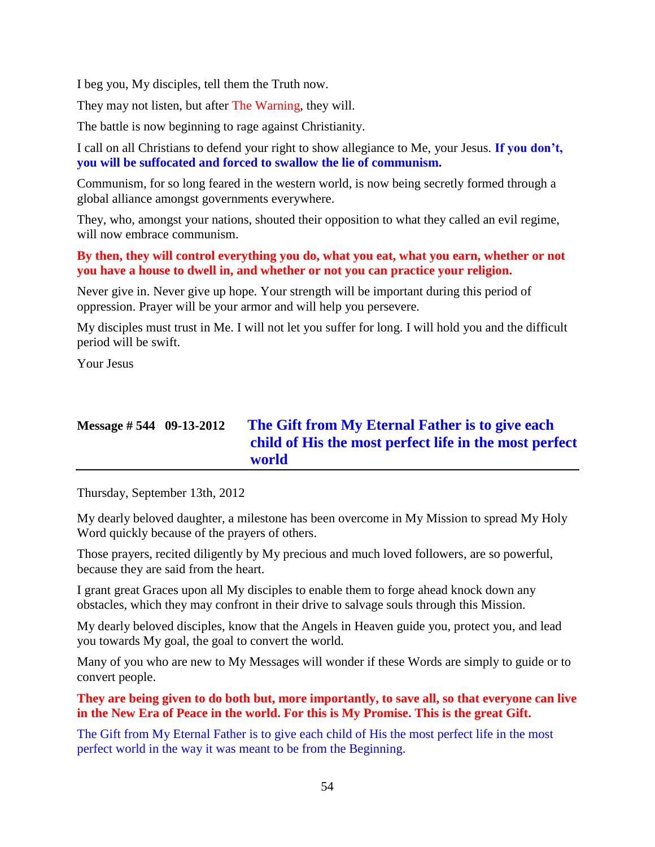I beg you, My disciples, tell them the Truth now.

They may not listen, but after The Warning, they will.

The battle is now beginning to rage against Christianity.

I call on all Christians to defend your right to show allegiance to Me, your Jesus. **If you don't, you will be suffocated and forced to swallow the lie of communism.**

Communism, for so long feared in the western world, is now being secretly formed through a global alliance amongst governments everywhere.

They, who, amongst your nations, shouted their opposition to what they called an evil regime, will now embrace communism.

#### **By then, they will control everything you do, what you eat, what you earn, whether or not you have a house to dwell in, and whether or not you can practice your religion.**

Never give in. Never give up hope. Your strength will be important during this period of oppression. Prayer will be your armor and will help you persevere.

My disciples must trust in Me. I will not let you suffer for long. I will hold you and the difficult period will be swift.

Your Jesus

# **Message # 544 09-13-2012 [The Gift from My Eternal Father is to give each](http://www.thewarningsecondcoming.com/the-gift-from-my-eternal-father-is-to-give-each-child-of-his-the-most-perfect-life-in-the-most-perfect-world/)  [child of His the most perfect life in the most perfect](http://www.thewarningsecondcoming.com/the-gift-from-my-eternal-father-is-to-give-each-child-of-his-the-most-perfect-life-in-the-most-perfect-world/)  [world](http://www.thewarningsecondcoming.com/the-gift-from-my-eternal-father-is-to-give-each-child-of-his-the-most-perfect-life-in-the-most-perfect-world/)**

Thursday, September 13th, 2012

My dearly beloved daughter, a milestone has been overcome in My Mission to spread My Holy Word quickly because of the prayers of others.

Those prayers, recited diligently by My precious and much loved followers, are so powerful, because they are said from the heart.

I grant great Graces upon all My disciples to enable them to forge ahead knock down any obstacles, which they may confront in their drive to salvage souls through this Mission.

My dearly beloved disciples, know that the Angels in Heaven guide you, protect you, and lead you towards My goal, the goal to convert the world.

Many of you who are new to My Messages will wonder if these Words are simply to guide or to convert people.

**They are being given to do both but, more importantly, to save all, so that everyone can live in the New Era of Peace in the world. For this is My Promise. This is the great Gift.**

The Gift from My Eternal Father is to give each child of His the most perfect life in the most perfect world in the way it was meant to be from the Beginning.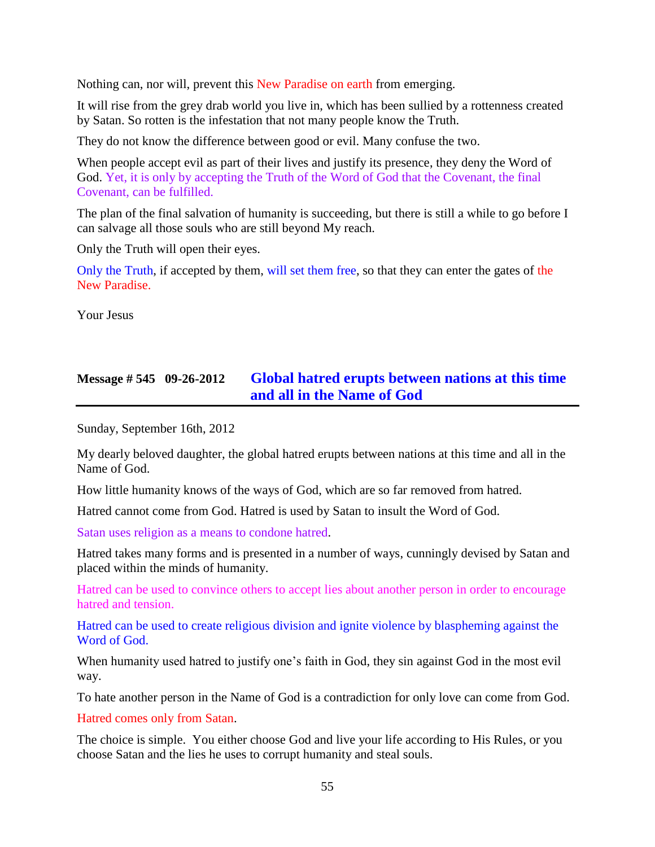Nothing can, nor will, prevent this New Paradise on earth from emerging.

It will rise from the grey drab world you live in, which has been sullied by a rottenness created by Satan. So rotten is the infestation that not many people know the Truth.

They do not know the difference between good or evil. Many confuse the two.

When people accept evil as part of their lives and justify its presence, they deny the Word of God. Yet, it is only by accepting the Truth of the Word of God that the Covenant, the final Covenant, can be fulfilled.

The plan of the final salvation of humanity is succeeding, but there is still a while to go before I can salvage all those souls who are still beyond My reach.

Only the Truth will open their eyes.

Only the Truth, if accepted by them, will set them free, so that they can enter the gates of the New Paradise.

Your Jesus

## **Message # 545 09-26-2012 [Global hatred erupts between nations at this time](http://www.thewarningsecondcoming.com/global-hatred-erupts-between-nations-at-this-time-and-all-in-the-name-of-god/)  [and all in the Name of God](http://www.thewarningsecondcoming.com/global-hatred-erupts-between-nations-at-this-time-and-all-in-the-name-of-god/)**

Sunday, September 16th, 2012

My dearly beloved daughter, the global hatred erupts between nations at this time and all in the Name of God.

How little humanity knows of the ways of God, which are so far removed from hatred.

Hatred cannot come from God. Hatred is used by Satan to insult the Word of God.

Satan uses religion as a means to condone hatred.

Hatred takes many forms and is presented in a number of ways, cunningly devised by Satan and placed within the minds of humanity.

Hatred can be used to convince others to accept lies about another person in order to encourage hatred and tension.

Hatred can be used to create religious division and ignite violence by blaspheming against the Word of God.

When humanity used hatred to justify one's faith in God, they sin against God in the most evil way.

To hate another person in the Name of God is a contradiction for only love can come from God.

Hatred comes only from Satan.

The choice is simple. You either choose God and live your life according to His Rules, or you choose Satan and the lies he uses to corrupt humanity and steal souls.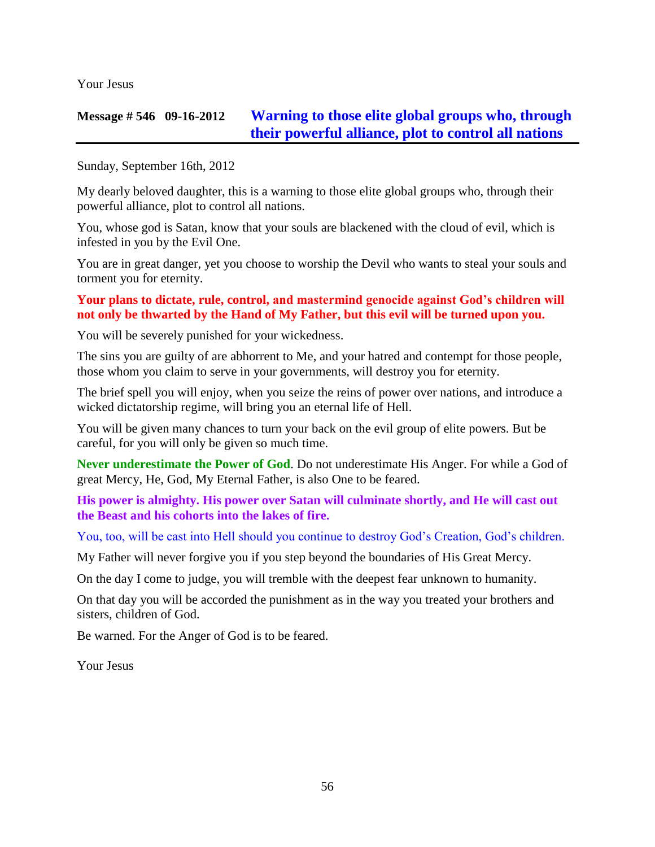Your Jesus

## **Message # 546 09-16-2012 [Warning to those elite global groups who, through](http://www.thewarningsecondcoming.com/warning-to-those-elite-global-groups-who-through-their-powerful-alliance-plot-to-control-all-nations/)  [their powerful alliance, plot to control all nations](http://www.thewarningsecondcoming.com/warning-to-those-elite-global-groups-who-through-their-powerful-alliance-plot-to-control-all-nations/)**

Sunday, September 16th, 2012

My dearly beloved daughter, this is a warning to those elite global groups who, through their powerful alliance, plot to control all nations.

You, whose god is Satan, know that your souls are blackened with the cloud of evil, which is infested in you by the Evil One.

You are in great danger, yet you choose to worship the Devil who wants to steal your souls and torment you for eternity.

#### **Your plans to dictate, rule, control, and mastermind genocide against God's children will not only be thwarted by the Hand of My Father, but this evil will be turned upon you.**

You will be severely punished for your wickedness.

The sins you are guilty of are abhorrent to Me, and your hatred and contempt for those people, those whom you claim to serve in your governments, will destroy you for eternity.

The brief spell you will enjoy, when you seize the reins of power over nations, and introduce a wicked dictatorship regime, will bring you an eternal life of Hell.

You will be given many chances to turn your back on the evil group of elite powers. But be careful, for you will only be given so much time.

**Never underestimate the Power of God**. Do not underestimate His Anger. For while a God of great Mercy, He, God, My Eternal Father, is also One to be feared.

**His power is almighty. His power over Satan will culminate shortly, and He will cast out the Beast and his cohorts into the lakes of fire.**

You, too, will be cast into Hell should you continue to destroy God's Creation, God's children.

My Father will never forgive you if you step beyond the boundaries of His Great Mercy.

On the day I come to judge, you will tremble with the deepest fear unknown to humanity.

On that day you will be accorded the punishment as in the way you treated your brothers and sisters, children of God.

Be warned. For the Anger of God is to be feared.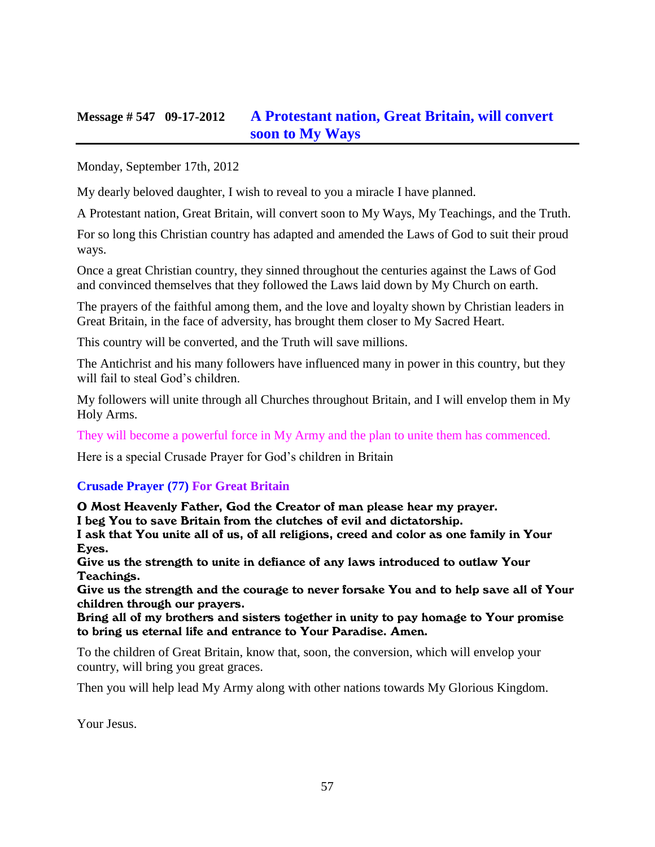## **Message # 547 09-17-2012 [A Protestant nation, Great Britain, will convert](http://www.thewarningsecondcoming.com/a-protestant-nation-great-britain-will-convert-soon-to-my-ways/)  [soon to My Ways](http://www.thewarningsecondcoming.com/a-protestant-nation-great-britain-will-convert-soon-to-my-ways/)**

Monday, September 17th, 2012

My dearly beloved daughter, I wish to reveal to you a miracle I have planned.

A Protestant nation, Great Britain, will convert soon to My Ways, My Teachings, and the Truth.

For so long this Christian country has adapted and amended the Laws of God to suit their proud ways.

Once a great Christian country, they sinned throughout the centuries against the Laws of God and convinced themselves that they followed the Laws laid down by My Church on earth.

The prayers of the faithful among them, and the love and loyalty shown by Christian leaders in Great Britain, in the face of adversity, has brought them closer to My Sacred Heart.

This country will be converted, and the Truth will save millions.

The Antichrist and his many followers have influenced many in power in this country, but they will fail to steal God's children.

My followers will unite through all Churches throughout Britain, and I will envelop them in My Holy Arms.

They will become a powerful force in My Army and the plan to unite them has commenced.

Here is a special Crusade Prayer for God's children in Britain

#### **Crusade Prayer (77) For Great Britain**

O Most Heavenly Father, God the Creator of man please hear my prayer. I beg You to save Britain from the clutches of evil and dictatorship. I ask that You unite all of us, of all religions, creed and color as one family in Your Eyes.

Give us the strength to unite in defiance of any laws introduced to outlaw Your Teachings.

Give us the strength and the courage to never forsake You and to help save all of Your children through our prayers.

Bring all of my brothers and sisters together in unity to pay homage to Your promise to bring us eternal life and entrance to Your Paradise. Amen.

To the children of Great Britain, know that, soon, the conversion, which will envelop your country, will bring you great graces.

Then you will help lead My Army along with other nations towards My Glorious Kingdom.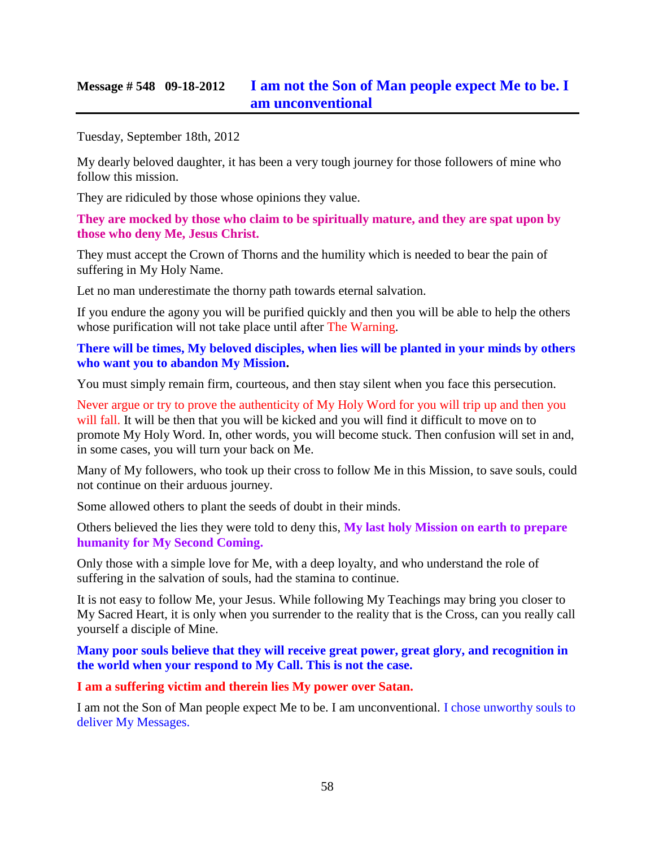## **Message # 548 09-18-2012 [I am not the Son of Man people expect Me to](http://www.thewarningsecondcoming.com/i-am-not-the-son-of-man-people-expect-me-to-be-i-am-unconventional/) be. I [am unconventional](http://www.thewarningsecondcoming.com/i-am-not-the-son-of-man-people-expect-me-to-be-i-am-unconventional/)**

Tuesday, September 18th, 2012

My dearly beloved daughter, it has been a very tough journey for those followers of mine who follow this mission.

They are ridiculed by those whose opinions they value.

**They are mocked by those who claim to be spiritually mature, and they are spat upon by those who deny Me, Jesus Christ.**

They must accept the Crown of Thorns and the humility which is needed to bear the pain of suffering in My Holy Name.

Let no man underestimate the thorny path towards eternal salvation.

If you endure the agony you will be purified quickly and then you will be able to help the others whose purification will not take place until after The Warning.

#### **There will be times, My beloved disciples, when lies will be planted in your minds by others who want you to abandon My Mission.**

You must simply remain firm, courteous, and then stay silent when you face this persecution.

Never argue or try to prove the authenticity of My Holy Word for you will trip up and then you will fall. It will be then that you will be kicked and you will find it difficult to move on to promote My Holy Word. In, other words, you will become stuck. Then confusion will set in and, in some cases, you will turn your back on Me.

Many of My followers, who took up their cross to follow Me in this Mission, to save souls, could not continue on their arduous journey.

Some allowed others to plant the seeds of doubt in their minds.

Others believed the lies they were told to deny this, **My last holy Mission on earth to prepare humanity for My Second Coming.**

Only those with a simple love for Me, with a deep loyalty, and who understand the role of suffering in the salvation of souls, had the stamina to continue.

It is not easy to follow Me, your Jesus. While following My Teachings may bring you closer to My Sacred Heart, it is only when you surrender to the reality that is the Cross, can you really call yourself a disciple of Mine.

**Many poor souls believe that they will receive great power, great glory, and recognition in the world when your respond to My Call. This is not the case.**

#### **I am a suffering victim and therein lies My power over Satan.**

I am not the Son of Man people expect Me to be. I am unconventional. I chose unworthy souls to deliver My Messages.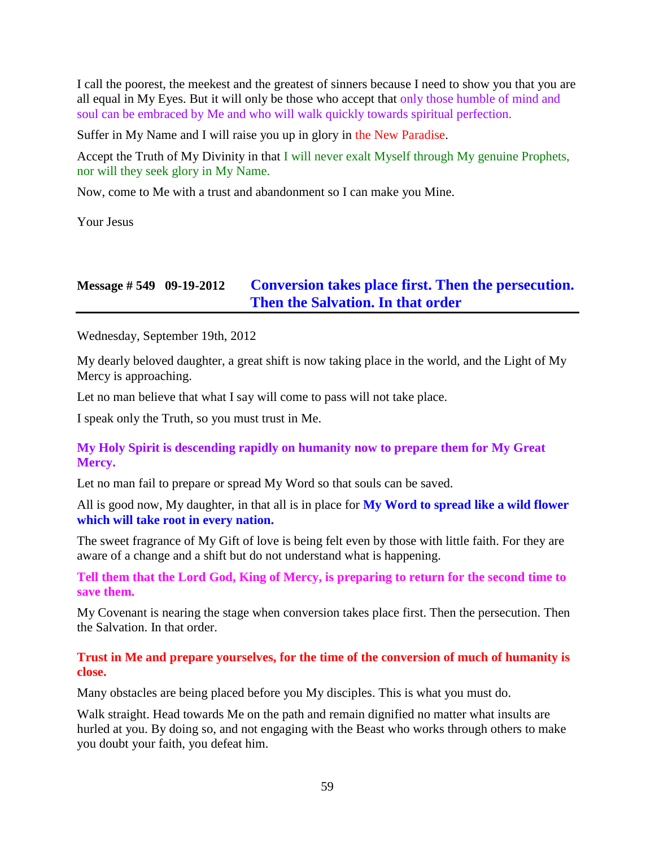I call the poorest, the meekest and the greatest of sinners because I need to show you that you are all equal in My Eyes. But it will only be those who accept that only those humble of mind and soul can be embraced by Me and who will walk quickly towards spiritual perfection.

Suffer in My Name and I will raise you up in glory in the New Paradise.

Accept the Truth of My Divinity in that  $\overline{I}$  will never exalt Myself through My genuine Prophets, nor will they seek glory in My Name.

Now, come to Me with a trust and abandonment so I can make you Mine.

Your Jesus

## **Message # 549 09-19-2012 [Conversion takes place first. Then the persecution.](http://www.thewarningsecondcoming.com/conversion-takes-place-first-then-the-persecution-then-the-salvation-in-that-order/)  [Then the Salvation. In that order](http://www.thewarningsecondcoming.com/conversion-takes-place-first-then-the-persecution-then-the-salvation-in-that-order/)**

Wednesday, September 19th, 2012

My dearly beloved daughter, a great shift is now taking place in the world, and the Light of My Mercy is approaching.

Let no man believe that what I say will come to pass will not take place.

I speak only the Truth, so you must trust in Me.

#### **My Holy Spirit is descending rapidly on humanity now to prepare them for My Great Mercy.**

Let no man fail to prepare or spread My Word so that souls can be saved.

All is good now, My daughter, in that all is in place for **My Word to spread like a wild flower which will take root in every nation.**

The sweet fragrance of My Gift of love is being felt even by those with little faith. For they are aware of a change and a shift but do not understand what is happening.

**Tell them that the Lord God, King of Mercy, is preparing to return for the second time to save them.**

My Covenant is nearing the stage when conversion takes place first. Then the persecution. Then the Salvation. In that order.

**Trust in Me and prepare yourselves, for the time of the conversion of much of humanity is close.**

Many obstacles are being placed before you My disciples. This is what you must do.

Walk straight. Head towards Me on the path and remain dignified no matter what insults are hurled at you. By doing so, and not engaging with the Beast who works through others to make you doubt your faith, you defeat him.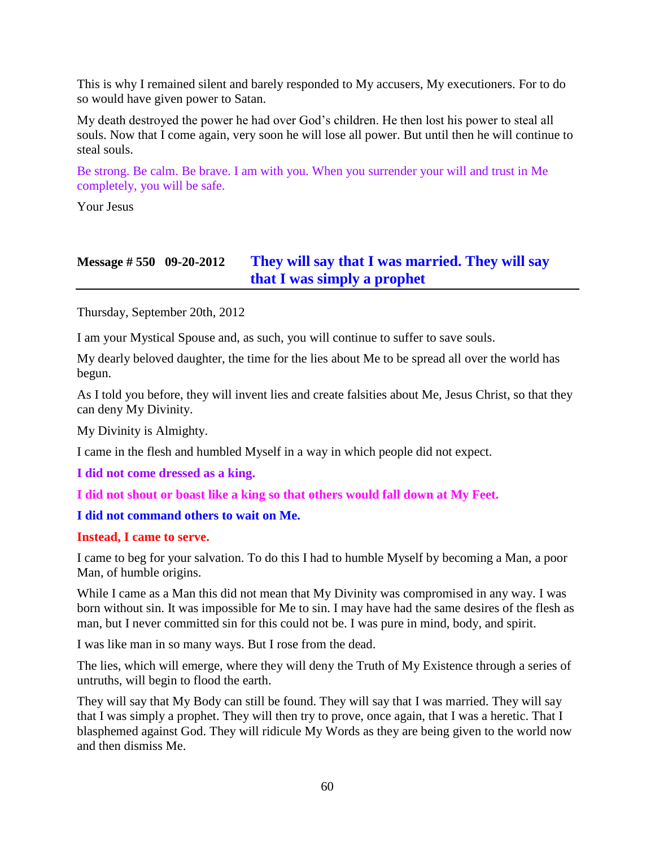This is why I remained silent and barely responded to My accusers, My executioners. For to do so would have given power to Satan.

My death destroyed the power he had over God's children. He then lost his power to steal all souls. Now that I come again, very soon he will lose all power. But until then he will continue to steal souls.

Be strong. Be calm. Be brave. I am with you. When you surrender your will and trust in Me completely, you will be safe.

Your Jesus

## **Message # 550 09-20-2012 [They will say that I was married. They will say](http://www.thewarningsecondcoming.com/they-will-say-that-i-was-married-they-will-say-that-i-was-simply-a-prophet/)  [that I was simply a prophet](http://www.thewarningsecondcoming.com/they-will-say-that-i-was-married-they-will-say-that-i-was-simply-a-prophet/)**

Thursday, September 20th, 2012

I am your Mystical Spouse and, as such, you will continue to suffer to save souls.

My dearly beloved daughter, the time for the lies about Me to be spread all over the world has begun.

As I told you before, they will invent lies and create falsities about Me, Jesus Christ, so that they can deny My Divinity.

My Divinity is Almighty.

I came in the flesh and humbled Myself in a way in which people did not expect.

**I did not come dressed as a king.**

**I did not shout or boast like a king so that others would fall down at My Feet.**

#### **I did not command others to wait on Me.**

#### **Instead, I came to serve.**

I came to beg for your salvation. To do this I had to humble Myself by becoming a Man, a poor Man, of humble origins.

While I came as a Man this did not mean that My Divinity was compromised in any way. I was born without sin. It was impossible for Me to sin. I may have had the same desires of the flesh as man, but I never committed sin for this could not be. I was pure in mind, body, and spirit.

I was like man in so many ways. But I rose from the dead.

The lies, which will emerge, where they will deny the Truth of My Existence through a series of untruths, will begin to flood the earth.

They will say that My Body can still be found. They will say that I was married. They will say that I was simply a prophet. They will then try to prove, once again, that I was a heretic. That I blasphemed against God. They will ridicule My Words as they are being given to the world now and then dismiss Me.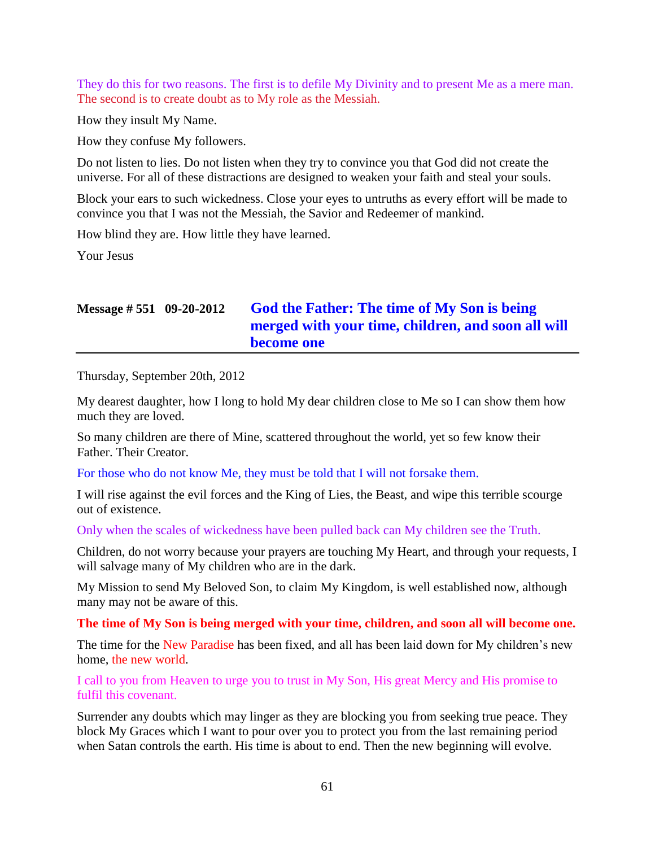They do this for two reasons. The first is to defile My Divinity and to present Me as a mere man. The second is to create doubt as to My role as the Messiah.

How they insult My Name.

How they confuse My followers.

Do not listen to lies. Do not listen when they try to convince you that God did not create the universe. For all of these distractions are designed to weaken your faith and steal your souls.

Block your ears to such wickedness. Close your eyes to untruths as every effort will be made to convince you that I was not the Messiah, the Savior and Redeemer of mankind.

How blind they are. How little they have learned.

Your Jesus

# **Message # 551 09-20-2012 [God the Father: The time](http://www.thewarningsecondcoming.com/god-the-father-the-time-of-my-son-is-being-merged-with-your-time-children-and-soon-all-will-become-one-2/) of My Son is being [merged with your time, children, and soon all will](http://www.thewarningsecondcoming.com/god-the-father-the-time-of-my-son-is-being-merged-with-your-time-children-and-soon-all-will-become-one-2/)  [become one](http://www.thewarningsecondcoming.com/god-the-father-the-time-of-my-son-is-being-merged-with-your-time-children-and-soon-all-will-become-one-2/)**

Thursday, September 20th, 2012

My dearest daughter, how I long to hold My dear children close to Me so I can show them how much they are loved.

So many children are there of Mine, scattered throughout the world, yet so few know their Father. Their Creator.

For those who do not know Me, they must be told that I will not forsake them.

I will rise against the evil forces and the King of Lies, the Beast, and wipe this terrible scourge out of existence.

Only when the scales of wickedness have been pulled back can My children see the Truth.

Children, do not worry because your prayers are touching My Heart, and through your requests, I will salvage many of My children who are in the dark.

My Mission to send My Beloved Son, to claim My Kingdom, is well established now, although many may not be aware of this.

**The time of My Son is being merged with your time, children, and soon all will become one.**

The time for the New Paradise has been fixed, and all has been laid down for My children's new home, the new world.

I call to you from Heaven to urge you to trust in My Son, His great Mercy and His promise to fulfil this covenant.

Surrender any doubts which may linger as they are blocking you from seeking true peace. They block My Graces which I want to pour over you to protect you from the last remaining period when Satan controls the earth. His time is about to end. Then the new beginning will evolve.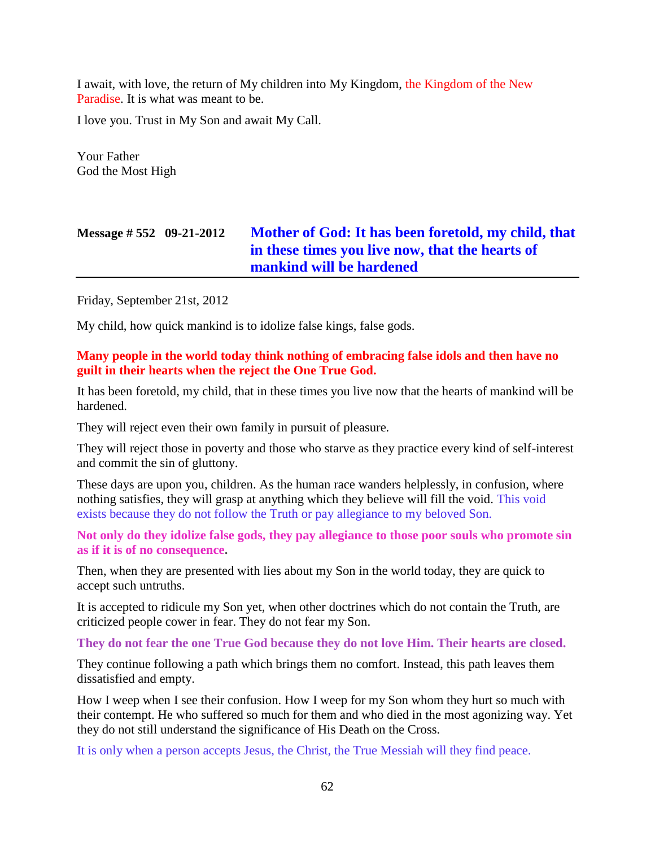I await, with love, the return of My children into My Kingdom, the Kingdom of the New Paradise. It is what was meant to be.

I love you. Trust in My Son and await My Call.

Your Father God the Most High

# **Message # 552 09-21-2012 [Mother of God: It has been foretold, my child, that](http://www.thewarningsecondcoming.com/mother-of-god-it-has-been-foretold-my-child-that-in-these-times-you-live-now-that-the-hearts-of-mankind-will-be-hardened/)  [in these times you live now,](http://www.thewarningsecondcoming.com/mother-of-god-it-has-been-foretold-my-child-that-in-these-times-you-live-now-that-the-hearts-of-mankind-will-be-hardened/) that the hearts of [mankind will be hardened](http://www.thewarningsecondcoming.com/mother-of-god-it-has-been-foretold-my-child-that-in-these-times-you-live-now-that-the-hearts-of-mankind-will-be-hardened/)**

Friday, September 21st, 2012

My child, how quick mankind is to idolize false kings, false gods.

#### **Many people in the world today think nothing of embracing false idols and then have no guilt in their hearts when the reject the One True God.**

It has been foretold, my child, that in these times you live now that the hearts of mankind will be hardened.

They will reject even their own family in pursuit of pleasure.

They will reject those in poverty and those who starve as they practice every kind of self-interest and commit the sin of gluttony.

These days are upon you, children. As the human race wanders helplessly, in confusion, where nothing satisfies, they will grasp at anything which they believe will fill the void. This void exists because they do not follow the Truth or pay allegiance to my beloved Son.

**Not only do they idolize false gods, they pay allegiance to those poor souls who promote sin as if it is of no consequence.**

Then, when they are presented with lies about my Son in the world today, they are quick to accept such untruths.

It is accepted to ridicule my Son yet, when other doctrines which do not contain the Truth, are criticized people cower in fear. They do not fear my Son.

**They do not fear the one True God because they do not love Him. Their hearts are closed.**

They continue following a path which brings them no comfort. Instead, this path leaves them dissatisfied and empty.

How I weep when I see their confusion. How I weep for my Son whom they hurt so much with their contempt. He who suffered so much for them and who died in the most agonizing way. Yet they do not still understand the significance of His Death on the Cross.

It is only when a person accepts Jesus, the Christ, the True Messiah will they find peace.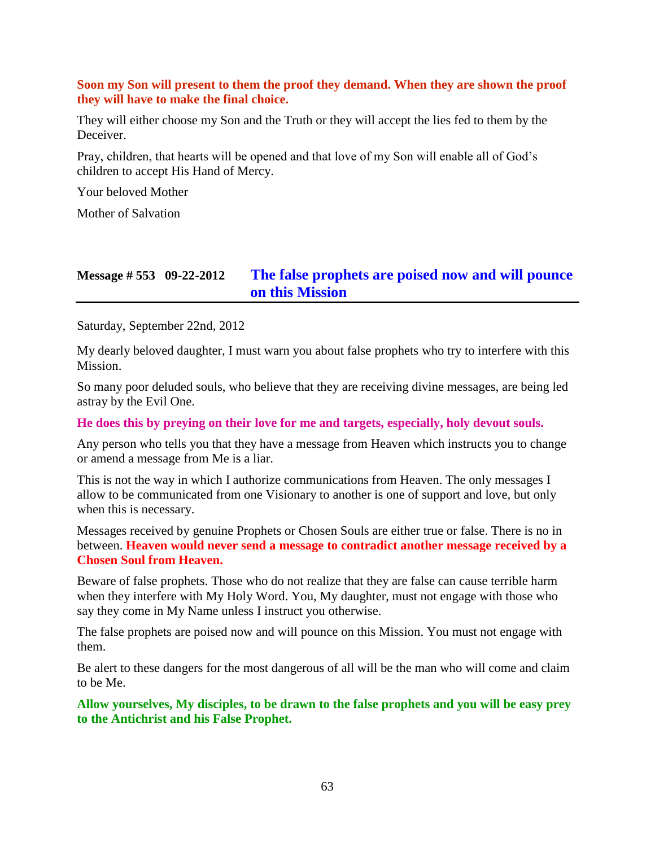#### **Soon my Son will present to them the proof they demand. When they are shown the proof they will have to make the final choice.**

They will either choose my Son and the Truth or they will accept the lies fed to them by the Deceiver.

Pray, children, that hearts will be opened and that love of my Son will enable all of God's children to accept His Hand of Mercy.

Your beloved Mother

Mother of Salvation

## **Message # 553 09-22-2012 [The false prophets are poised](http://www.thewarningsecondcoming.com/the-false-prophets-are-poised-now-and-will-pounce-on-this-mission/) now and will pounce [on this Mission](http://www.thewarningsecondcoming.com/the-false-prophets-are-poised-now-and-will-pounce-on-this-mission/)**

Saturday, September 22nd, 2012

My dearly beloved daughter, I must warn you about false prophets who try to interfere with this Mission.

So many poor deluded souls, who believe that they are receiving divine messages, are being led astray by the Evil One.

**He does this by preying on their love for me and targets, especially, holy devout souls.**

Any person who tells you that they have a message from Heaven which instructs you to change or amend a message from Me is a liar.

This is not the way in which I authorize communications from Heaven. The only messages I allow to be communicated from one Visionary to another is one of support and love, but only when this is necessary.

Messages received by genuine Prophets or Chosen Souls are either true or false. There is no in between. **Heaven would never send a message to contradict another message received by a Chosen Soul from Heaven.**

Beware of false prophets. Those who do not realize that they are false can cause terrible harm when they interfere with My Holy Word. You, My daughter, must not engage with those who say they come in My Name unless I instruct you otherwise.

The false prophets are poised now and will pounce on this Mission. You must not engage with them.

Be alert to these dangers for the most dangerous of all will be the man who will come and claim to be Me.

**Allow yourselves, My disciples, to be drawn to the false prophets and you will be easy prey to the Antichrist and his False Prophet.**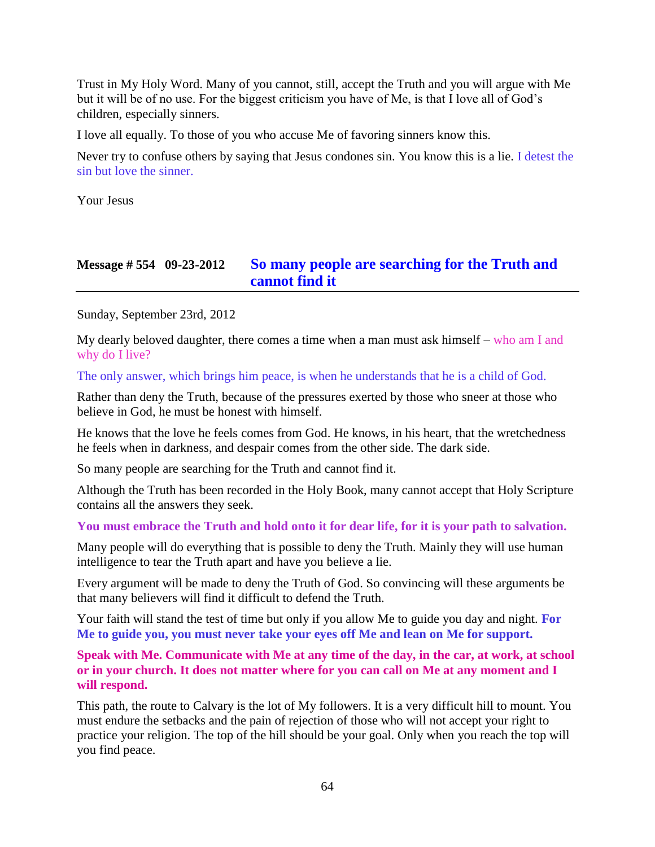Trust in My Holy Word. Many of you cannot, still, accept the Truth and you will argue with Me but it will be of no use. For the biggest criticism you have of Me, is that I love all of God's children, especially sinners.

I love all equally. To those of you who accuse Me of favoring sinners know this.

Never try to confuse others by saying that Jesus condones sin. You know this is a lie. I detest the sin but love the sinner.

Your Jesus

# **Message # 554 09-23-2012 [So many people are searching for the Truth and](http://www.thewarningsecondcoming.com/so-many-people-are-searching-for-the-truth-and-cannot-find-it/)  [cannot find it](http://www.thewarningsecondcoming.com/so-many-people-are-searching-for-the-truth-and-cannot-find-it/)**

Sunday, September 23rd, 2012

My dearly beloved daughter, there comes a time when a man must ask himself – who am I and why do I live?

#### The only answer, which brings him peace, is when he understands that he is a child of God.

Rather than deny the Truth, because of the pressures exerted by those who sneer at those who believe in God, he must be honest with himself.

He knows that the love he feels comes from God. He knows, in his heart, that the wretchedness he feels when in darkness, and despair comes from the other side. The dark side.

So many people are searching for the Truth and cannot find it.

Although the Truth has been recorded in the Holy Book, many cannot accept that Holy Scripture contains all the answers they seek.

#### **You must embrace the Truth and hold onto it for dear life, for it is your path to salvation.**

Many people will do everything that is possible to deny the Truth. Mainly they will use human intelligence to tear the Truth apart and have you believe a lie.

Every argument will be made to deny the Truth of God. So convincing will these arguments be that many believers will find it difficult to defend the Truth.

Your faith will stand the test of time but only if you allow Me to guide you day and night. **For Me to guide you, you must never take your eyes off Me and lean on Me for support.**

**Speak with Me. Communicate with Me at any time of the day, in the car, at work, at school or in your church. It does not matter where for you can call on Me at any moment and I will respond.**

This path, the route to Calvary is the lot of My followers. It is a very difficult hill to mount. You must endure the setbacks and the pain of rejection of those who will not accept your right to practice your religion. The top of the hill should be your goal. Only when you reach the top will you find peace.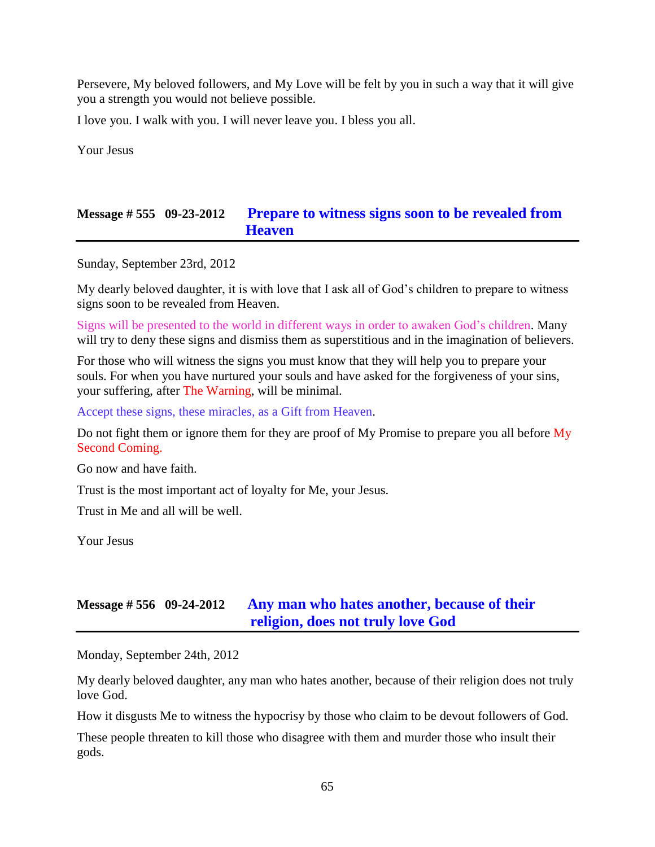Persevere, My beloved followers, and My Love will be felt by you in such a way that it will give you a strength you would not believe possible.

I love you. I walk with you. I will never leave you. I bless you all.

Your Jesus

### **Message # 555 09-23-2012 [Prepare to witness signs soon to be revealed from](http://www.thewarningsecondcoming.com/prepare-to-witness-signs-soon-to-be-revealed-from-heaven/)  [Heaven](http://www.thewarningsecondcoming.com/prepare-to-witness-signs-soon-to-be-revealed-from-heaven/)**

Sunday, September 23rd, 2012

My dearly beloved daughter, it is with love that I ask all of God's children to prepare to witness signs soon to be revealed from Heaven.

Signs will be presented to the world in different ways in order to awaken God's children. Many will try to deny these signs and dismiss them as superstitious and in the imagination of believers.

For those who will witness the signs you must know that they will help you to prepare your souls. For when you have nurtured your souls and have asked for the forgiveness of your sins, your suffering, after The Warning, will be minimal.

Accept these signs, these miracles, as a Gift from Heaven.

Do not fight them or ignore them for they are proof of My Promise to prepare you all before My Second Coming.

Go now and have faith.

Trust is the most important act of loyalty for Me, your Jesus.

Trust in Me and all will be well.

Your Jesus

### **Message # 556 09-24-2012 [Any man who hates another,](http://www.thewarningsecondcoming.com/any-man-who-hates-another-because-of-their-religion-does-not-truly-love-god/) because of their [religion, does not truly love God](http://www.thewarningsecondcoming.com/any-man-who-hates-another-because-of-their-religion-does-not-truly-love-god/)**

Monday, September 24th, 2012

My dearly beloved daughter, any man who hates another, because of their religion does not truly love God.

How it disgusts Me to witness the hypocrisy by those who claim to be devout followers of God.

These people threaten to kill those who disagree with them and murder those who insult their gods.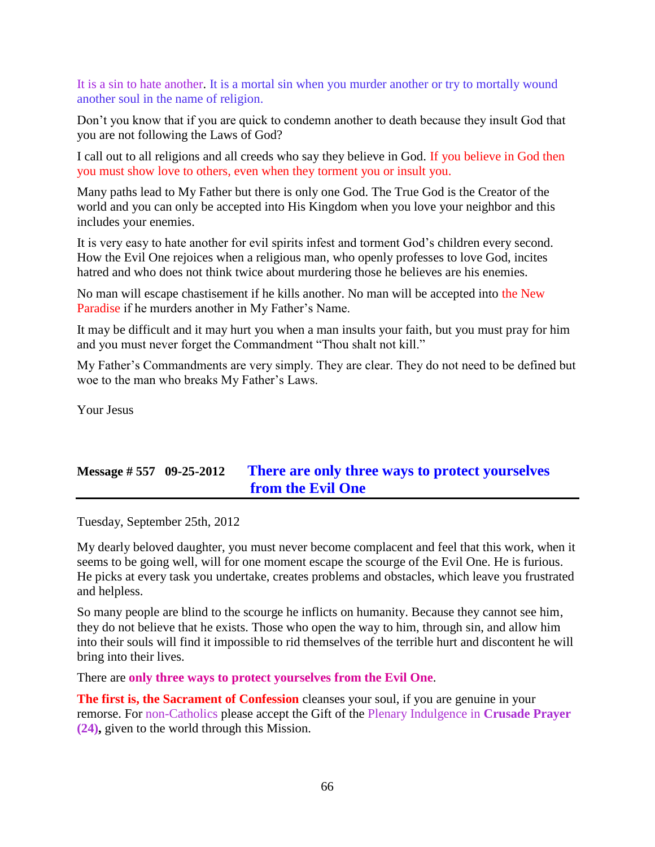It is a sin to hate another. It is a mortal sin when you murder another or try to mortally wound another soul in the name of religion.

Don't you know that if you are quick to condemn another to death because they insult God that you are not following the Laws of God?

I call out to all religions and all creeds who say they believe in God. If you believe in God then you must show love to others, even when they torment you or insult you.

Many paths lead to My Father but there is only one God. The True God is the Creator of the world and you can only be accepted into His Kingdom when you love your neighbor and this includes your enemies.

It is very easy to hate another for evil spirits infest and torment God's children every second. How the Evil One rejoices when a religious man, who openly professes to love God, incites hatred and who does not think twice about murdering those he believes are his enemies.

No man will escape chastisement if he kills another. No man will be accepted into the New Paradise if he murders another in My Father's Name.

It may be difficult and it may hurt you when a man insults your faith, but you must pray for him and you must never forget the Commandment "Thou shalt not kill."

My Father's Commandments are very simply. They are clear. They do not need to be defined but woe to the man who breaks My Father's Laws.

Your Jesus

## **Message # 557 09-25-2012 [There are only three ways to protect yourselves](http://www.thewarningsecondcoming.com/there-are-only-three-ways-to-protect-yourselves-from-the-evil-one/)  from the [Evil One](http://www.thewarningsecondcoming.com/there-are-only-three-ways-to-protect-yourselves-from-the-evil-one/)**

Tuesday, September 25th, 2012

My dearly beloved daughter, you must never become complacent and feel that this work, when it seems to be going well, will for one moment escape the scourge of the Evil One. He is furious. He picks at every task you undertake, creates problems and obstacles, which leave you frustrated and helpless.

So many people are blind to the scourge he inflicts on humanity. Because they cannot see him, they do not believe that he exists. Those who open the way to him, through sin, and allow him into their souls will find it impossible to rid themselves of the terrible hurt and discontent he will bring into their lives.

There are **only three ways to protect yourselves from the Evil One**.

**The first is, the Sacrament of Confession** cleanses your soul, if you are genuine in your remorse. For non-Catholics please accept the Gift of the Plenary Indulgence in **Crusade Prayer (24),** given to the world through this Mission.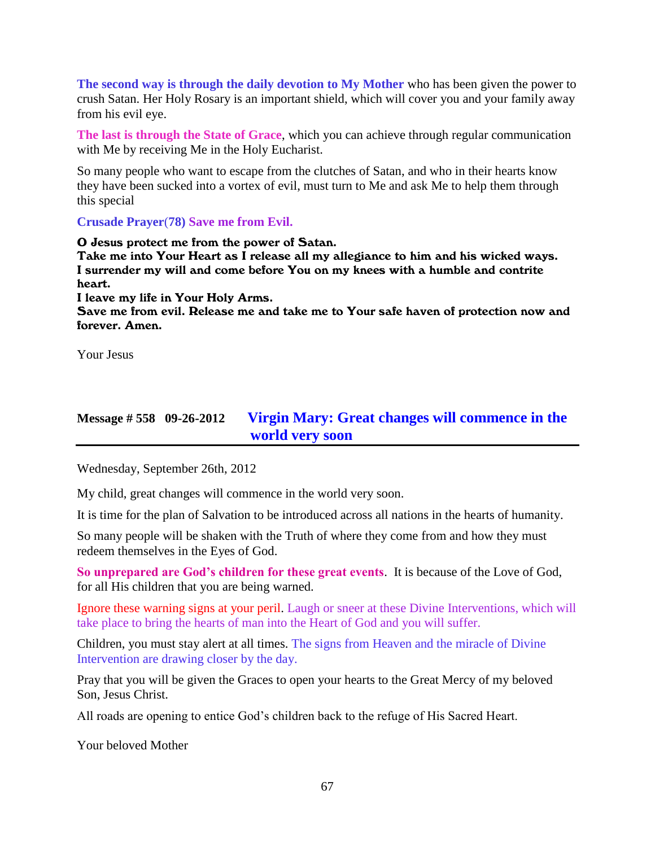**The second way is through the daily devotion to My Mother** who has been given the power to crush Satan. Her Holy Rosary is an important shield, which will cover you and your family away from his evil eye.

**The last is through the State of Grace**, which you can achieve through regular communication with Me by receiving Me in the Holy Eucharist.

So many people who want to escape from the clutches of Satan, and who in their hearts know they have been sucked into a vortex of evil, must turn to Me and ask Me to help them through this special

**Crusade Prayer**(**78) Save me from Evil.**

O Jesus protect me from the power of Satan. Take me into Your Heart as I release all my allegiance to him and his wicked ways. I surrender my will and come before You on my knees with a humble and contrite heart. I leave my life in Your Holy Arms.

Save me from evil. Release me and take me to Your safe haven of protection now and forever. Amen.

Your Jesus

# **Message # 558 09-26-2012 [Virgin Mary: Great changes will commence in the](http://www.thewarningsecondcoming.com/virgin-mary-great-changes-will-commence-in-the-world-very-soon/)  [world very soon](http://www.thewarningsecondcoming.com/virgin-mary-great-changes-will-commence-in-the-world-very-soon/)**

Wednesday, September 26th, 2012

My child, great changes will commence in the world very soon.

It is time for the plan of Salvation to be introduced across all nations in the hearts of humanity.

So many people will be shaken with the Truth of where they come from and how they must redeem themselves in the Eyes of God.

**So unprepared are God's children for these great events**. It is because of the Love of God, for all His children that you are being warned.

Ignore these warning signs at your peril. Laugh or sneer at these Divine Interventions, which will take place to bring the hearts of man into the Heart of God and you will suffer.

Children, you must stay alert at all times. The signs from Heaven and the miracle of Divine Intervention are drawing closer by the day.

Pray that you will be given the Graces to open your hearts to the Great Mercy of my beloved Son, Jesus Christ.

All roads are opening to entice God's children back to the refuge of His Sacred Heart.

Your beloved Mother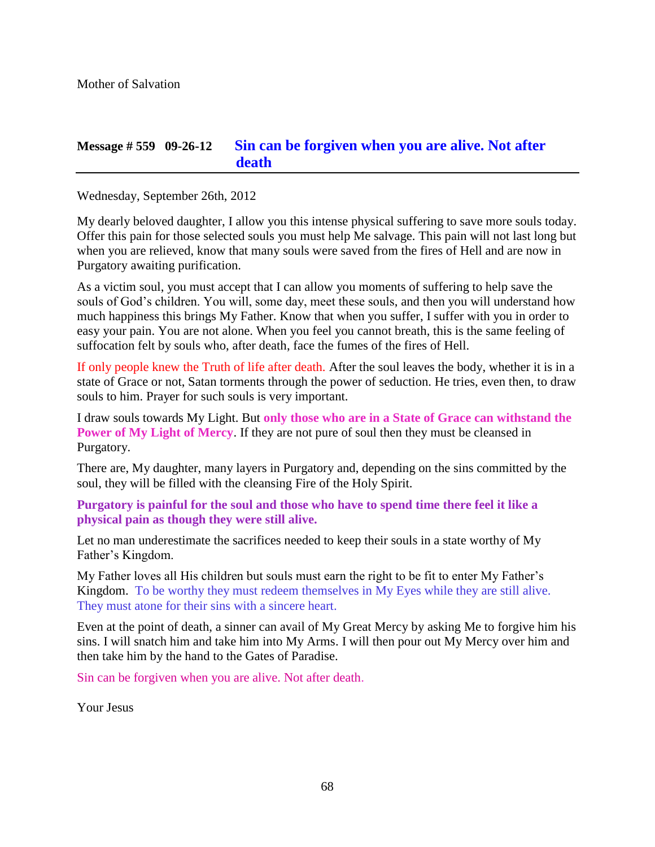### **Message # 559 09-26-12 [Sin can be forgiven when you are alive. Not after](http://www.thewarningsecondcoming.com/sin-can-be-forgiven-when-you-are-alive-not-after-death/)  [death](http://www.thewarningsecondcoming.com/sin-can-be-forgiven-when-you-are-alive-not-after-death/)**

Wednesday, September 26th, 2012

My dearly beloved daughter, I allow you this intense physical suffering to save more souls today. Offer this pain for those selected souls you must help Me salvage. This pain will not last long but when you are relieved, know that many souls were saved from the fires of Hell and are now in Purgatory awaiting purification.

As a victim soul, you must accept that I can allow you moments of suffering to help save the souls of God's children. You will, some day, meet these souls, and then you will understand how much happiness this brings My Father. Know that when you suffer, I suffer with you in order to easy your pain. You are not alone. When you feel you cannot breath, this is the same feeling of suffocation felt by souls who, after death, face the fumes of the fires of Hell.

If only people knew the Truth of life after death. After the soul leaves the body, whether it is in a state of Grace or not, Satan torments through the power of seduction. He tries, even then, to draw souls to him. Prayer for such souls is very important.

I draw souls towards My Light. But **only those who are in a State of Grace can withstand the Power of My Light of Mercy**. If they are not pure of soul then they must be cleansed in Purgatory.

There are, My daughter, many layers in Purgatory and, depending on the sins committed by the soul, they will be filled with the cleansing Fire of the Holy Spirit.

**Purgatory is painful for the soul and those who have to spend time there feel it like a physical pain as though they were still alive.**

Let no man underestimate the sacrifices needed to keep their souls in a state worthy of My Father's Kingdom.

My Father loves all His children but souls must earn the right to be fit to enter My Father's Kingdom. To be worthy they must redeem themselves in My Eyes while they are still alive. They must atone for their sins with a sincere heart.

Even at the point of death, a sinner can avail of My Great Mercy by asking Me to forgive him his sins. I will snatch him and take him into My Arms. I will then pour out My Mercy over him and then take him by the hand to the Gates of Paradise.

Sin can be forgiven when you are alive. Not after death.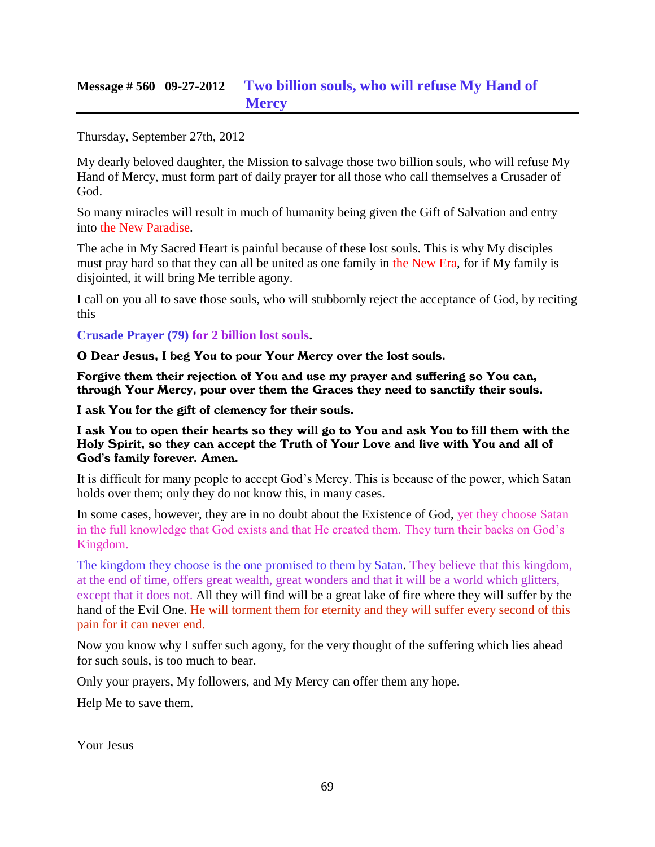## **Message # 560 09-27-2012 [Two billion souls, who will refuse My Hand of](http://www.thewarningsecondcoming.com/two-billion-souls-who-will-refuse-my-hand-of-mercy/)  [Mercy](http://www.thewarningsecondcoming.com/two-billion-souls-who-will-refuse-my-hand-of-mercy/)**

Thursday, September 27th, 2012

My dearly beloved daughter, the Mission to salvage those two billion souls, who will refuse My Hand of Mercy, must form part of daily prayer for all those who call themselves a Crusader of God.

So many miracles will result in much of humanity being given the Gift of Salvation and entry into the New Paradise.

The ache in My Sacred Heart is painful because of these lost souls. This is why My disciples must pray hard so that they can all be united as one family in the New Era, for if My family is disjointed, it will bring Me terrible agony.

I call on you all to save those souls, who will stubbornly reject the acceptance of God, by reciting this

**Crusade Prayer (79) for 2 billion lost souls.**

O Dear Jesus, I beg You to pour Your Mercy over the lost souls.

Forgive them their rejection of You and use my prayer and suffering so You can, through Your Mercy, pour over them the Graces they need to sanctify their souls.

I ask You for the gift of clemency for their souls.

I ask You to open their hearts so they will go to You and ask You to fill them with the Holy Spirit, so they can accept the Truth of Your Love and live with You and all of God's family forever. Amen.

It is difficult for many people to accept God's Mercy. This is because of the power, which Satan holds over them; only they do not know this, in many cases.

In some cases, however, they are in no doubt about the Existence of God, yet they choose Satan in the full knowledge that God exists and that He created them. They turn their backs on God's Kingdom.

The kingdom they choose is the one promised to them by Satan. They believe that this kingdom, at the end of time, offers great wealth, great wonders and that it will be a world which glitters, except that it does not. All they will find will be a great lake of fire where they will suffer by the hand of the Evil One. He will torment them for eternity and they will suffer every second of this pain for it can never end.

Now you know why I suffer such agony, for the very thought of the suffering which lies ahead for such souls, is too much to bear.

Only your prayers, My followers, and My Mercy can offer them any hope.

Help Me to save them.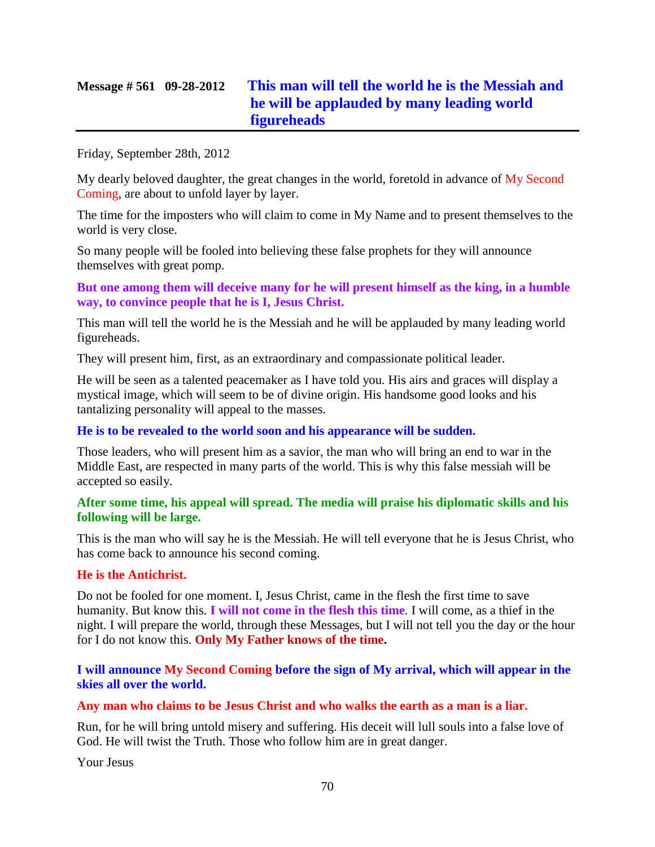# **Message # 561 09-28-2012 [This man will tell the world he is the Messiah and](http://www.thewarningsecondcoming.com/this-man-will-tell-the-world-he-is-the-messiah-and-he-will-be-applauded-by-many-leading-world-figureheads/)  [he will be applauded by many leading world](http://www.thewarningsecondcoming.com/this-man-will-tell-the-world-he-is-the-messiah-and-he-will-be-applauded-by-many-leading-world-figureheads/)  [figureheads](http://www.thewarningsecondcoming.com/this-man-will-tell-the-world-he-is-the-messiah-and-he-will-be-applauded-by-many-leading-world-figureheads/)**

Friday, September 28th, 2012

My dearly beloved daughter, the great changes in the world, foretold in advance of My Second Coming, are about to unfold layer by layer.

The time for the imposters who will claim to come in My Name and to present themselves to the world is very close.

So many people will be fooled into believing these false prophets for they will announce themselves with great pomp.

**But one among them will deceive many for he will present himself as the king, in a humble way, to convince people that he is I, Jesus Christ.**

This man will tell the world he is the Messiah and he will be applauded by many leading world figureheads.

They will present him, first, as an extraordinary and compassionate political leader.

He will be seen as a talented peacemaker as I have told you. His airs and graces will display a mystical image, which will seem to be of divine origin. His handsome good looks and his tantalizing personality will appeal to the masses.

#### **He is to be revealed to the world soon and his appearance will be sudden.**

Those leaders, who will present him as a savior, the man who will bring an end to war in the Middle East, are respected in many parts of the world. This is why this false messiah will be accepted so easily.

#### **After some time, his appeal will spread. The media will praise his diplomatic skills and his following will be large.**

This is the man who will say he is the Messiah. He will tell everyone that he is Jesus Christ, who has come back to announce his second coming.

#### **He is the Antichrist.**

Do not be fooled for one moment. I, Jesus Christ, came in the flesh the first time to save humanity. But know this. **I will not come in the flesh this time**. I will come, as a thief in the night. I will prepare the world, through these Messages, but I will not tell you the day or the hour for I do not know this. **Only My Father knows of the time.**

**I will announce My Second Coming before the sign of My arrival, which will appear in the skies all over the world.**

#### **Any man who claims to be Jesus Christ and who walks the earth as a man is a liar.**

Run, for he will bring untold misery and suffering. His deceit will lull souls into a false love of God. He will twist the Truth. Those who follow him are in great danger.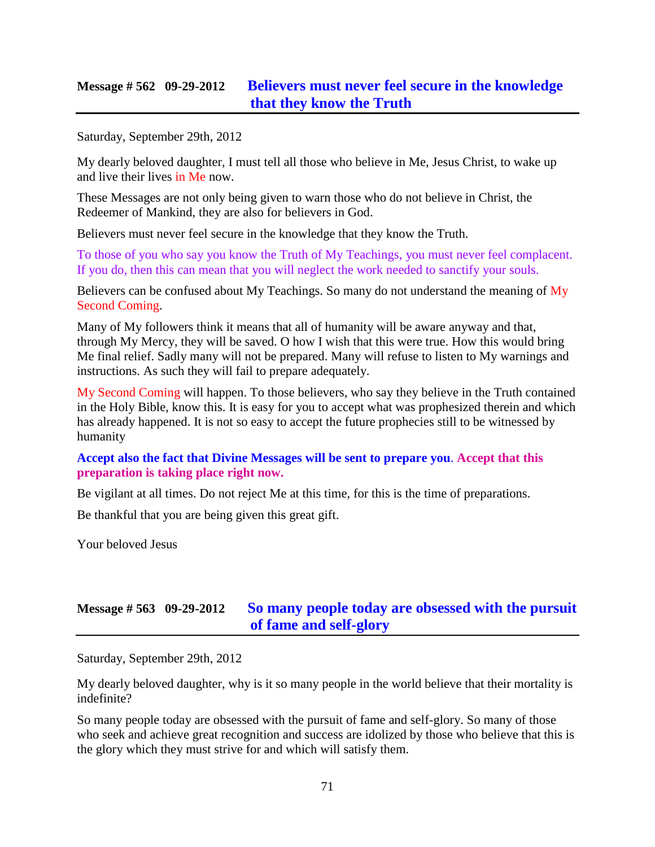### **Message # 562 09-29-2012 [Believers must never feel secure in the knowledge](http://www.thewarningsecondcoming.com/believers-must-never-feel-secure-in-the-knowledge-that-they-know-the-truth/)  [that they know the Truth](http://www.thewarningsecondcoming.com/believers-must-never-feel-secure-in-the-knowledge-that-they-know-the-truth/)**

Saturday, September 29th, 2012

My dearly beloved daughter, I must tell all those who believe in Me, Jesus Christ, to wake up and live their lives in Me now.

These Messages are not only being given to warn those who do not believe in Christ, the Redeemer of Mankind, they are also for believers in God.

Believers must never feel secure in the knowledge that they know the Truth.

To those of you who say you know the Truth of My Teachings, you must never feel complacent. If you do, then this can mean that you will neglect the work needed to sanctify your souls.

Believers can be confused about My Teachings. So many do not understand the meaning of My Second Coming.

Many of My followers think it means that all of humanity will be aware anyway and that, through My Mercy, they will be saved. O how I wish that this were true. How this would bring Me final relief. Sadly many will not be prepared. Many will refuse to listen to My warnings and instructions. As such they will fail to prepare adequately.

My Second Coming will happen. To those believers, who say they believe in the Truth contained in the Holy Bible, know this. It is easy for you to accept what was prophesized therein and which has already happened. It is not so easy to accept the future prophecies still to be witnessed by humanity

#### **Accept also the fact that Divine Messages will be sent to prepare you**. **Accept that this preparation is taking place right now.**

Be vigilant at all times. Do not reject Me at this time, for this is the time of preparations.

Be thankful that you are being given this great gift.

Your beloved Jesus

## **Message # 563 09-29-2012 [So many people today are obsessed with the pursuit](http://www.thewarningsecondcoming.com/so-many-people-today-are-obsessed-with-the-pursuit-of-fame-and-self-glory/)  [of fame and self-glory](http://www.thewarningsecondcoming.com/so-many-people-today-are-obsessed-with-the-pursuit-of-fame-and-self-glory/)**

Saturday, September 29th, 2012

My dearly beloved daughter, why is it so many people in the world believe that their mortality is indefinite?

So many people today are obsessed with the pursuit of fame and self-glory. So many of those who seek and achieve great recognition and success are idolized by those who believe that this is the glory which they must strive for and which will satisfy them.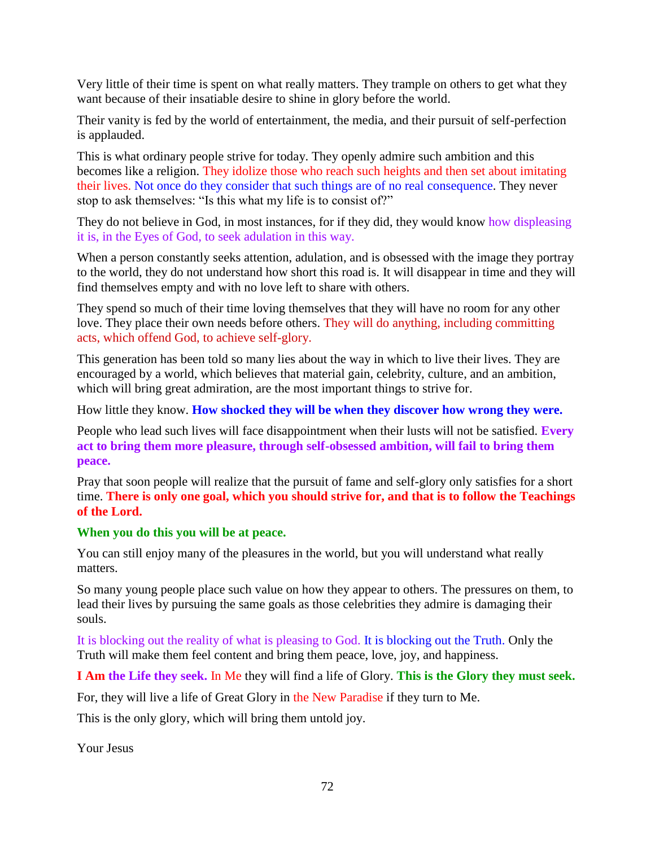Very little of their time is spent on what really matters. They trample on others to get what they want because of their insatiable desire to shine in glory before the world.

Their vanity is fed by the world of entertainment, the media, and their pursuit of self-perfection is applauded.

This is what ordinary people strive for today. They openly admire such ambition and this becomes like a religion. They idolize those who reach such heights and then set about imitating their lives. Not once do they consider that such things are of no real consequence. They never stop to ask themselves: "Is this what my life is to consist of?"

They do not believe in God, in most instances, for if they did, they would know how displeasing it is, in the Eyes of God, to seek adulation in this way.

When a person constantly seeks attention, adulation, and is obsessed with the image they portray to the world, they do not understand how short this road is. It will disappear in time and they will find themselves empty and with no love left to share with others.

They spend so much of their time loving themselves that they will have no room for any other love. They place their own needs before others. They will do anything, including committing acts, which offend God, to achieve self-glory.

This generation has been told so many lies about the way in which to live their lives. They are encouraged by a world, which believes that material gain, celebrity, culture, and an ambition, which will bring great admiration, are the most important things to strive for.

How little they know. **How shocked they will be when they discover how wrong they were.**

People who lead such lives will face disappointment when their lusts will not be satisfied. **Every act to bring them more pleasure, through self-obsessed ambition, will fail to bring them peace.**

Pray that soon people will realize that the pursuit of fame and self-glory only satisfies for a short time. **There is only one goal, which you should strive for, and that is to follow the Teachings of the Lord.**

#### **When you do this you will be at peace.**

You can still enjoy many of the pleasures in the world, but you will understand what really matters.

So many young people place such value on how they appear to others. The pressures on them, to lead their lives by pursuing the same goals as those celebrities they admire is damaging their souls.

It is blocking out the reality of what is pleasing to God. It is blocking out the Truth. Only the Truth will make them feel content and bring them peace, love, joy, and happiness.

**I Am the Life they seek.** In Me they will find a life of Glory. **This is the Glory they must seek.**

For, they will live a life of Great Glory in the New Paradise if they turn to Me.

This is the only glory, which will bring them untold joy.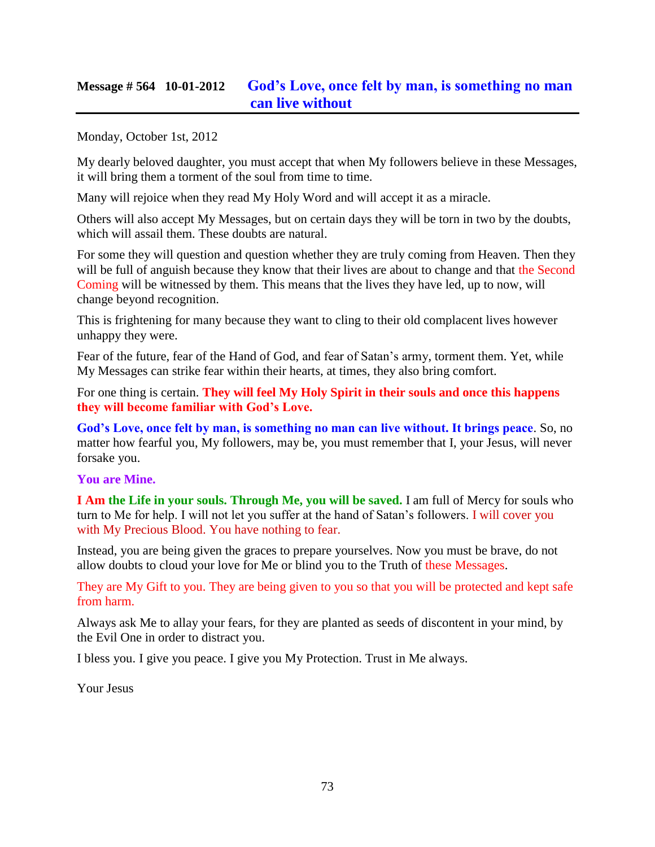### **Message # 564 10-01-2012 [God's Love, once felt by man, is something no man](http://www.thewarningsecondcoming.com/gods-love-once-felt-by-man-is-something-no-man-can-live-without/)  [can live without](http://www.thewarningsecondcoming.com/gods-love-once-felt-by-man-is-something-no-man-can-live-without/)**

Monday, October 1st, 2012

My dearly beloved daughter, you must accept that when My followers believe in these Messages, it will bring them a torment of the soul from time to time.

Many will rejoice when they read My Holy Word and will accept it as a miracle.

Others will also accept My Messages, but on certain days they will be torn in two by the doubts, which will assail them. These doubts are natural.

For some they will question and question whether they are truly coming from Heaven. Then they will be full of anguish because they know that their lives are about to change and that the Second Coming will be witnessed by them. This means that the lives they have led, up to now, will change beyond recognition.

This is frightening for many because they want to cling to their old complacent lives however unhappy they were.

Fear of the future, fear of the Hand of God, and fear of Satan's army, torment them. Yet, while My Messages can strike fear within their hearts, at times, they also bring comfort.

For one thing is certain. **They will feel My Holy Spirit in their souls and once this happens they will become familiar with God's Love.**

**God's Love, once felt by man, is something no man can live without. It brings peace**. So, no matter how fearful you, My followers, may be, you must remember that I, your Jesus, will never forsake you.

### **You are Mine.**

**I Am the Life in your souls. Through Me, you will be saved.** I am full of Mercy for souls who turn to Me for help. I will not let you suffer at the hand of Satan's followers. I will cover you with My Precious Blood. You have nothing to fear.

Instead, you are being given the graces to prepare yourselves. Now you must be brave, do not allow doubts to cloud your love for Me or blind you to the Truth of these Messages.

They are My Gift to you. They are being given to you so that you will be protected and kept safe from harm.

Always ask Me to allay your fears, for they are planted as seeds of discontent in your mind, by the Evil One in order to distract you.

I bless you. I give you peace. I give you My Protection. Trust in Me always.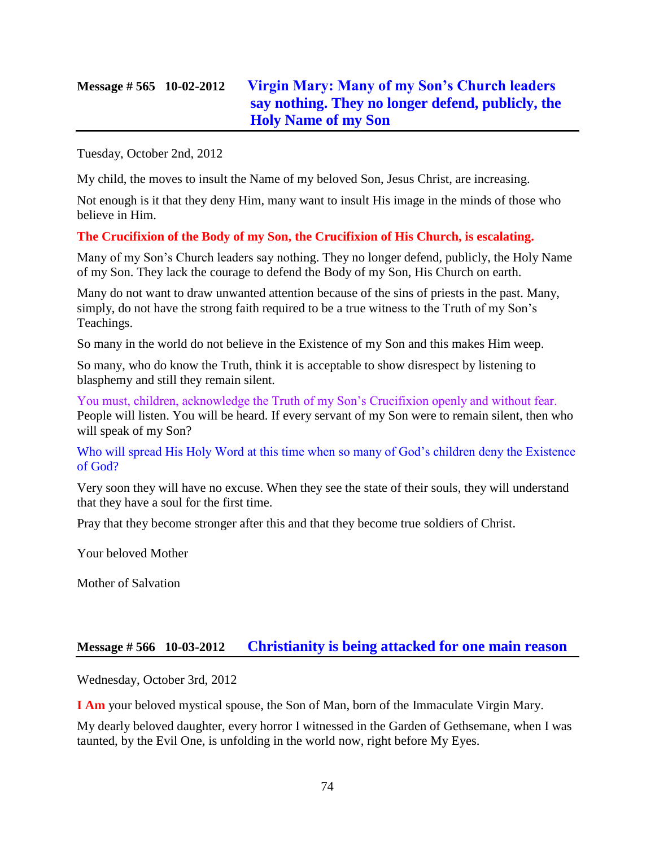# **Message # 565 10-02-2012 [Virgin Mary: Many of my Son's Church leaders](http://www.thewarningsecondcoming.com/virgin-mary-many-of-my-sons-church-leaders-say-nothing-they-no-longer-defend-publicly-the-holy-name-of-my-son/)  [say nothing. They no longer defend, publicly, the](http://www.thewarningsecondcoming.com/virgin-mary-many-of-my-sons-church-leaders-say-nothing-they-no-longer-defend-publicly-the-holy-name-of-my-son/)  [Holy Name of my Son](http://www.thewarningsecondcoming.com/virgin-mary-many-of-my-sons-church-leaders-say-nothing-they-no-longer-defend-publicly-the-holy-name-of-my-son/)**

Tuesday, October 2nd, 2012

My child, the moves to insult the Name of my beloved Son, Jesus Christ, are increasing.

Not enough is it that they deny Him, many want to insult His image in the minds of those who believe in Him.

#### **The Crucifixion of the Body of my Son, the Crucifixion of His Church, is escalating.**

Many of my Son's Church leaders say nothing. They no longer defend, publicly, the Holy Name of my Son. They lack the courage to defend the Body of my Son, His Church on earth.

Many do not want to draw unwanted attention because of the sins of priests in the past. Many, simply, do not have the strong faith required to be a true witness to the Truth of my Son's Teachings.

So many in the world do not believe in the Existence of my Son and this makes Him weep.

So many, who do know the Truth, think it is acceptable to show disrespect by listening to blasphemy and still they remain silent.

You must, children, acknowledge the Truth of my Son's Crucifixion openly and without fear. People will listen. You will be heard. If every servant of my Son were to remain silent, then who will speak of my Son?

Who will spread His Holy Word at this time when so many of God's children deny the Existence of God?

Very soon they will have no excuse. When they see the state of their souls, they will understand that they have a soul for the first time.

Pray that they become stronger after this and that they become true soldiers of Christ.

Your beloved Mother

Mother of Salvation

### **Message # 566 10-03-2012 [Christianity is being attacked for one main reason](http://www.thewarningsecondcoming.com/christianity-is-being-attacked-for-one-main-reason/)**

Wednesday, October 3rd, 2012

**I Am** your beloved mystical spouse, the Son of Man, born of the Immaculate Virgin Mary.

My dearly beloved daughter, every horror I witnessed in the Garden of Gethsemane, when I was taunted, by the Evil One, is unfolding in the world now, right before My Eyes.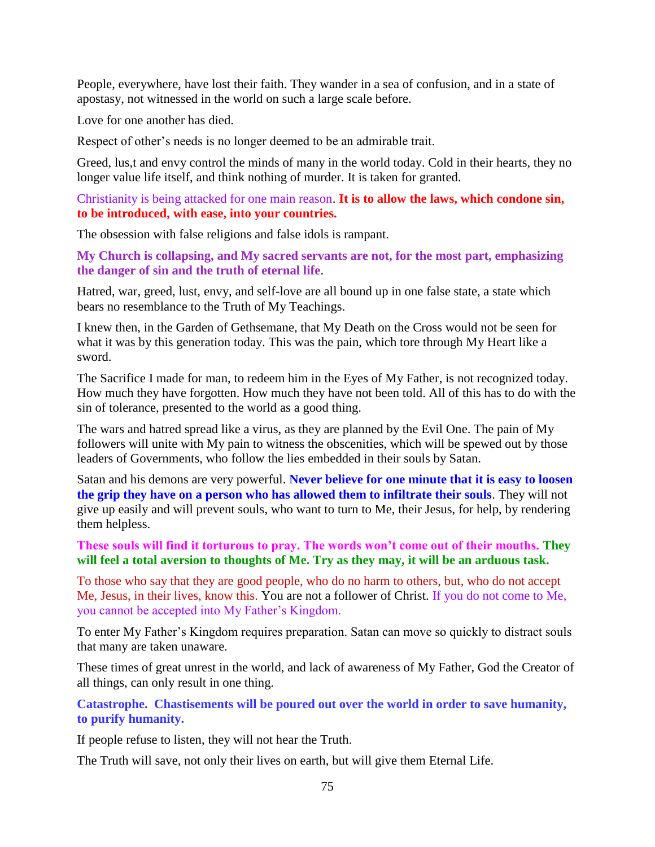People, everywhere, have lost their faith. They wander in a sea of confusion, and in a state of apostasy, not witnessed in the world on such a large scale before.

Love for one another has died.

Respect of other's needs is no longer deemed to be an admirable trait.

Greed, lus,t and envy control the minds of many in the world today. Cold in their hearts, they no longer value life itself, and think nothing of murder. It is taken for granted.

Christianity is being attacked for one main reason. **It is to allow the laws, which condone sin, to be introduced, with ease, into your countries.**

The obsession with false religions and false idols is rampant.

**My Church is collapsing, and My sacred servants are not, for the most part, emphasizing the danger of sin and the truth of eternal life**.

Hatred, war, greed, lust, envy, and self-love are all bound up in one false state, a state which bears no resemblance to the Truth of My Teachings.

I knew then, in the Garden of Gethsemane, that My Death on the Cross would not be seen for what it was by this generation today. This was the pain, which tore through My Heart like a sword.

The Sacrifice I made for man, to redeem him in the Eyes of My Father, is not recognized today. How much they have forgotten. How much they have not been told. All of this has to do with the sin of tolerance, presented to the world as a good thing.

The wars and hatred spread like a virus, as they are planned by the Evil One. The pain of My followers will unite with My pain to witness the obscenities, which will be spewed out by those leaders of Governments, who follow the lies embedded in their souls by Satan.

Satan and his demons are very powerful. **Never believe for one minute that it is easy to loosen the grip they have on a person who has allowed them to infiltrate their souls**. They will not give up easily and will prevent souls, who want to turn to Me, their Jesus, for help, by rendering them helpless.

### **These souls will find it torturous to pray. The words won't come out of their mouths. They will feel a total aversion to thoughts of Me. Try as they may, it will be an arduous task.**

To those who say that they are good people, who do no harm to others, but, who do not accept Me, Jesus, in their lives, know this. You are not a follower of Christ. If you do not come to Me, you cannot be accepted into My Father's Kingdom.

To enter My Father's Kingdom requires preparation. Satan can move so quickly to distract souls that many are taken unaware.

These times of great unrest in the world, and lack of awareness of My Father, God the Creator of all things, can only result in one thing.

**Catastrophe. Chastisements will be poured out over the world in order to save humanity, to purify humanity.**

If people refuse to listen, they will not hear the Truth.

The Truth will save, not only their lives on earth, but will give them Eternal Life.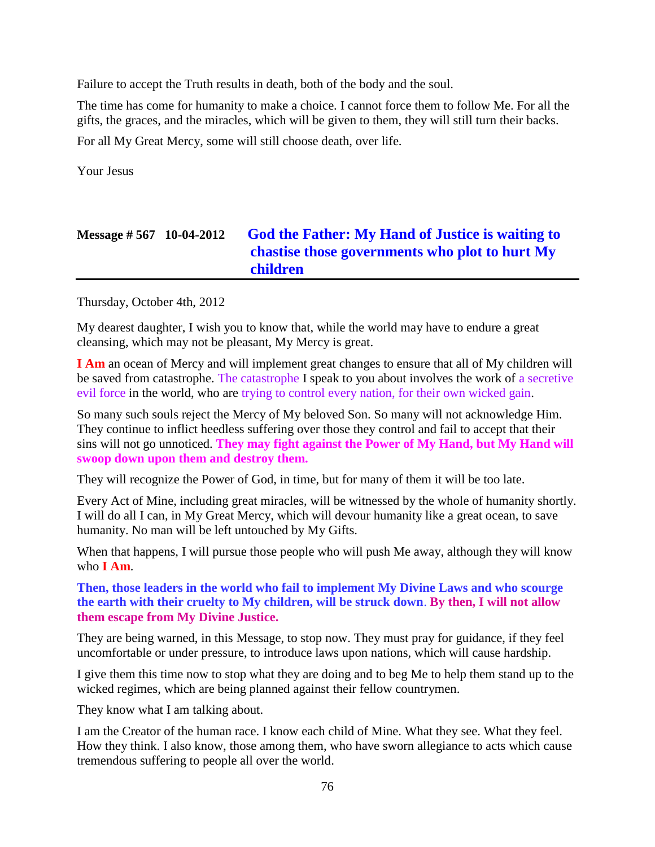Failure to accept the Truth results in death, both of the body and the soul.

The time has come for humanity to make a choice. I cannot force them to follow Me. For all the gifts, the graces, and the miracles, which will be given to them, they will still turn their backs.

For all My Great Mercy, some will still choose death, over life.

Your Jesus

# **Message # 567 10-04-2012 [God the Father: My Hand of Justice is waiting to](http://www.thewarningsecondcoming.com/god-the-father-my-hand-of-justice-is-waiting-to-chastise-those-governments-who-plot-to-hurt-my-children/)  [chastise those governments who plot to hurt My](http://www.thewarningsecondcoming.com/god-the-father-my-hand-of-justice-is-waiting-to-chastise-those-governments-who-plot-to-hurt-my-children/)  [children](http://www.thewarningsecondcoming.com/god-the-father-my-hand-of-justice-is-waiting-to-chastise-those-governments-who-plot-to-hurt-my-children/)**

Thursday, October 4th, 2012

My dearest daughter, I wish you to know that, while the world may have to endure a great cleansing, which may not be pleasant, My Mercy is great.

**I Am** an ocean of Mercy and will implement great changes to ensure that all of My children will be saved from catastrophe. The catastrophe I speak to you about involves the work of a secretive evil force in the world, who are trying to control every nation, for their own wicked gain.

So many such souls reject the Mercy of My beloved Son. So many will not acknowledge Him. They continue to inflict heedless suffering over those they control and fail to accept that their sins will not go unnoticed. **They may fight against the Power of My Hand, but My Hand will swoop down upon them and destroy them.**

They will recognize the Power of God, in time, but for many of them it will be too late.

Every Act of Mine, including great miracles, will be witnessed by the whole of humanity shortly. I will do all I can, in My Great Mercy, which will devour humanity like a great ocean, to save humanity. No man will be left untouched by My Gifts.

When that happens, I will pursue those people who will push Me away, although they will know who **I Am**.

**Then, those leaders in the world who fail to implement My Divine Laws and who scourge the earth with their cruelty to My children, will be struck down**. **By then, I will not allow them escape from My Divine Justice.**

They are being warned, in this Message, to stop now. They must pray for guidance, if they feel uncomfortable or under pressure, to introduce laws upon nations, which will cause hardship.

I give them this time now to stop what they are doing and to beg Me to help them stand up to the wicked regimes, which are being planned against their fellow countrymen.

They know what I am talking about.

I am the Creator of the human race. I know each child of Mine. What they see. What they feel. How they think. I also know, those among them, who have sworn allegiance to acts which cause tremendous suffering to people all over the world.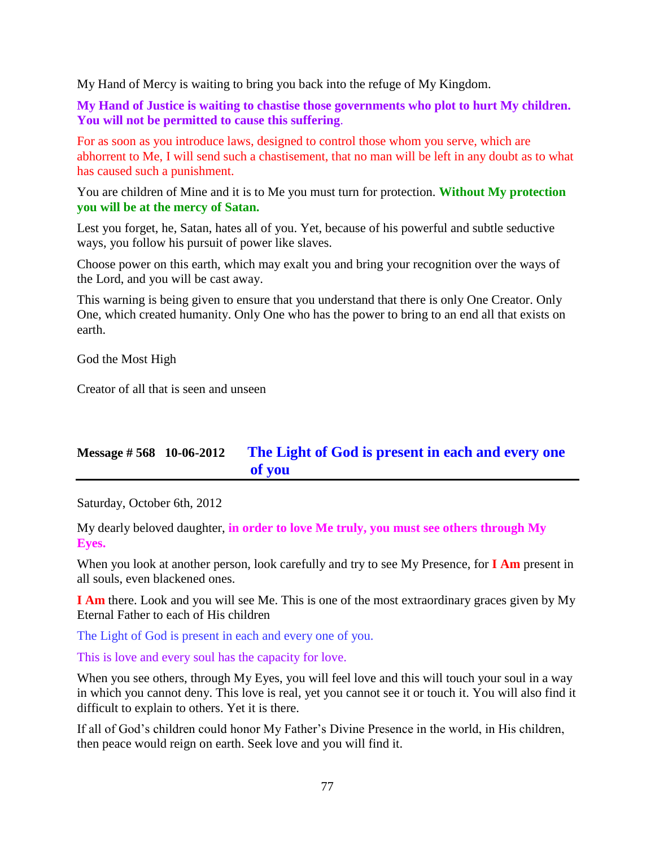My Hand of Mercy is waiting to bring you back into the refuge of My Kingdom.

**My Hand of Justice is waiting to chastise those governments who plot to hurt My children. You will not be permitted to cause this suffering**.

For as soon as you introduce laws, designed to control those whom you serve, which are abhorrent to Me, I will send such a chastisement, that no man will be left in any doubt as to what has caused such a punishment.

You are children of Mine and it is to Me you must turn for protection. **Without My protection you will be at the mercy of Satan.**

Lest you forget, he, Satan, hates all of you. Yet, because of his powerful and subtle seductive ways, you follow his pursuit of power like slaves.

Choose power on this earth, which may exalt you and bring your recognition over the ways of the Lord, and you will be cast away.

This warning is being given to ensure that you understand that there is only One Creator. Only One, which created humanity. Only One who has the power to bring to an end all that exists on earth.

God the Most High

Creator of all that is seen and unseen

# **Message # 568 10-06-2012 [The Light of God is present in each and every one](http://www.thewarningsecondcoming.com/the-light-of-god-is-present-in-each-and-every-one-of-you/)  [of you](http://www.thewarningsecondcoming.com/the-light-of-god-is-present-in-each-and-every-one-of-you/)**

Saturday, October 6th, 2012

My dearly beloved daughter, **in order to love Me truly, you must see others through My Eyes.**

When you look at another person, look carefully and try to see My Presence, for **I Am** present in all souls, even blackened ones.

**I Am** there. Look and you will see Me. This is one of the most extraordinary graces given by My Eternal Father to each of His children

The Light of God is present in each and every one of you.

This is love and every soul has the capacity for love.

When you see others, through My Eyes, you will feel love and this will touch your soul in a way in which you cannot deny. This love is real, yet you cannot see it or touch it. You will also find it difficult to explain to others. Yet it is there.

If all of God's children could honor My Father's Divine Presence in the world, in His children, then peace would reign on earth. Seek love and you will find it.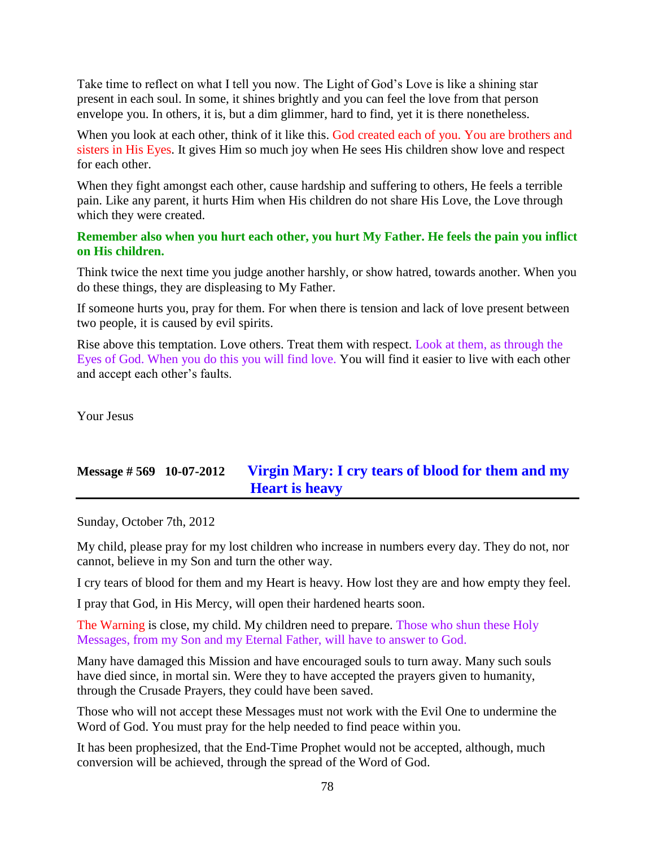Take time to reflect on what I tell you now. The Light of God's Love is like a shining star present in each soul. In some, it shines brightly and you can feel the love from that person envelope you. In others, it is, but a dim glimmer, hard to find, yet it is there nonetheless.

When you look at each other, think of it like this. God created each of you. You are brothers and sisters in His Eyes. It gives Him so much joy when He sees His children show love and respect for each other.

When they fight amongst each other, cause hardship and suffering to others, He feels a terrible pain. Like any parent, it hurts Him when His children do not share His Love, the Love through which they were created.

#### **Remember also when you hurt each other, you hurt My Father. He feels the pain you inflict on His children.**

Think twice the next time you judge another harshly, or show hatred, towards another. When you do these things, they are displeasing to My Father.

If someone hurts you, pray for them. For when there is tension and lack of love present between two people, it is caused by evil spirits.

Rise above this temptation. Love others. Treat them with respect. Look at them, as through the Eyes of God. When you do this you will find love. You will find it easier to live with each other and accept each other's faults.

Your Jesus

# **Message # 569 10-07-2012 [Virgin Mary: I cry tears of blood for them and my](http://www.thewarningsecondcoming.com/virgin-mary-i-cry-tears-of-blood-for-them-and-my-heart-is-heavy/)  [Heart is heavy](http://www.thewarningsecondcoming.com/virgin-mary-i-cry-tears-of-blood-for-them-and-my-heart-is-heavy/)**

Sunday, October 7th, 2012

My child, please pray for my lost children who increase in numbers every day. They do not, nor cannot, believe in my Son and turn the other way.

I cry tears of blood for them and my Heart is heavy. How lost they are and how empty they feel.

I pray that God, in His Mercy, will open their hardened hearts soon.

The Warning is close, my child. My children need to prepare. Those who shun these Holy Messages, from my Son and my Eternal Father, will have to answer to God.

Many have damaged this Mission and have encouraged souls to turn away. Many such souls have died since, in mortal sin. Were they to have accepted the prayers given to humanity, through the Crusade Prayers, they could have been saved.

Those who will not accept these Messages must not work with the Evil One to undermine the Word of God. You must pray for the help needed to find peace within you.

It has been prophesized, that the End-Time Prophet would not be accepted, although, much conversion will be achieved, through the spread of the Word of God.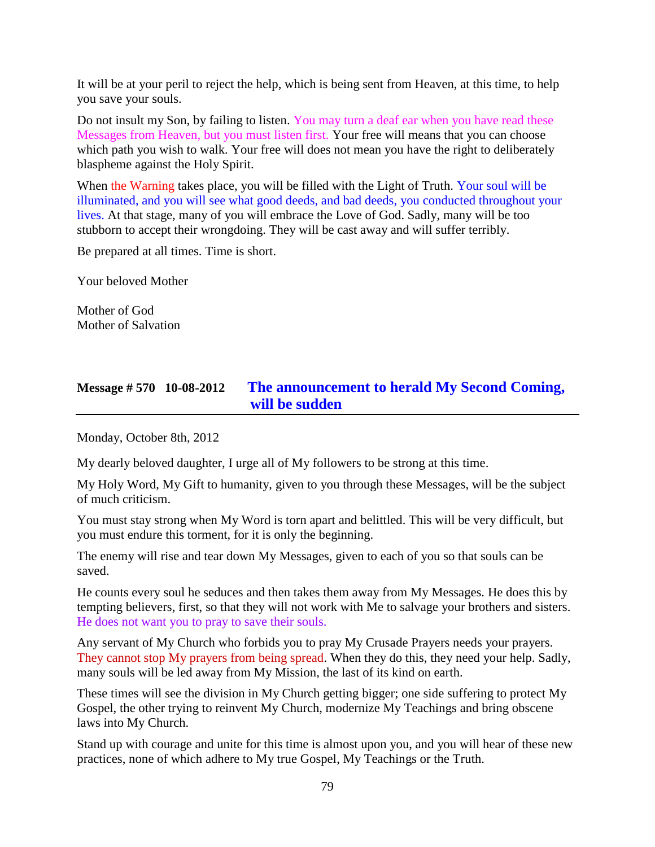It will be at your peril to reject the help, which is being sent from Heaven, at this time, to help you save your souls.

Do not insult my Son, by failing to listen. You may turn a deaf ear when you have read these Messages from Heaven, but you must listen first. Your free will means that you can choose which path you wish to walk. Your free will does not mean you have the right to deliberately blaspheme against the Holy Spirit.

When the Warning takes place, you will be filled with the Light of Truth. Your soul will be illuminated, and you will see what good deeds, and bad deeds, you conducted throughout your lives. At that stage, many of you will embrace the Love of God. Sadly, many will be too stubborn to accept their wrongdoing. They will be cast away and will suffer terribly.

Be prepared at all times. Time is short.

Your beloved Mother

Mother of God Mother of Salvation

### **Message # 570 10-08-2012 [The announcement to herald My Second Coming,](http://www.thewarningsecondcoming.com/the-announcement-to-herald-my-second-coming-will-be-sudden/)  [will be sudden](http://www.thewarningsecondcoming.com/the-announcement-to-herald-my-second-coming-will-be-sudden/)**

Monday, October 8th, 2012

My dearly beloved daughter, I urge all of My followers to be strong at this time.

My Holy Word, My Gift to humanity, given to you through these Messages, will be the subject of much criticism.

You must stay strong when My Word is torn apart and belittled. This will be very difficult, but you must endure this torment, for it is only the beginning.

The enemy will rise and tear down My Messages, given to each of you so that souls can be saved.

He counts every soul he seduces and then takes them away from My Messages. He does this by tempting believers, first, so that they will not work with Me to salvage your brothers and sisters. He does not want you to pray to save their souls.

Any servant of My Church who forbids you to pray My Crusade Prayers needs your prayers. They cannot stop My prayers from being spread. When they do this, they need your help. Sadly, many souls will be led away from My Mission, the last of its kind on earth.

These times will see the division in My Church getting bigger; one side suffering to protect My Gospel, the other trying to reinvent My Church, modernize My Teachings and bring obscene laws into My Church.

Stand up with courage and unite for this time is almost upon you, and you will hear of these new practices, none of which adhere to My true Gospel, My Teachings or the Truth.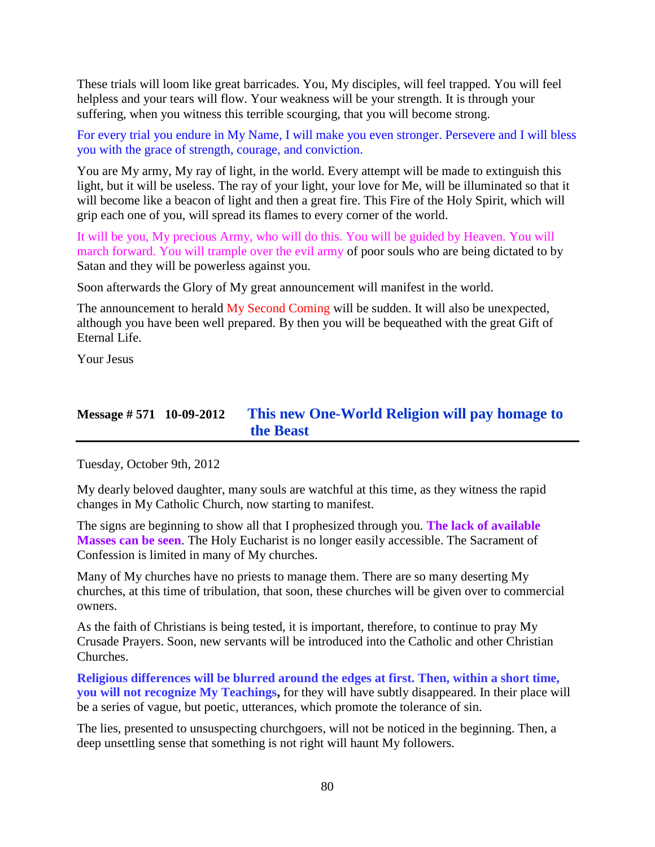These trials will loom like great barricades. You, My disciples, will feel trapped. You will feel helpless and your tears will flow. Your weakness will be your strength. It is through your suffering, when you witness this terrible scourging, that you will become strong.

For every trial you endure in My Name, I will make you even stronger. Persevere and I will bless you with the grace of strength, courage, and conviction.

You are My army, My ray of light, in the world. Every attempt will be made to extinguish this light, but it will be useless. The ray of your light, your love for Me, will be illuminated so that it will become like a beacon of light and then a great fire. This Fire of the Holy Spirit, which will grip each one of you, will spread its flames to every corner of the world.

It will be you, My precious Army, who will do this. You will be guided by Heaven. You will march forward. You will trample over the evil army of poor souls who are being dictated to by Satan and they will be powerless against you.

Soon afterwards the Glory of My great announcement will manifest in the world.

The announcement to herald My Second Coming will be sudden. It will also be unexpected, although you have been well prepared. By then you will be bequeathed with the great Gift of Eternal Life.

Your Jesus

### **Message # 571 10-09-2012 [This new One-World Religion will pay homage to](http://www.thewarningsecondcoming.com/this-new-one-world-religion-will-pay-homage-to-the-beast/)  [the Beast](http://www.thewarningsecondcoming.com/this-new-one-world-religion-will-pay-homage-to-the-beast/)**

Tuesday, October 9th, 2012

My dearly beloved daughter, many souls are watchful at this time, as they witness the rapid changes in My Catholic Church, now starting to manifest.

The signs are beginning to show all that I prophesized through you. **The lack of available Masses can be seen**. The Holy Eucharist is no longer easily accessible. The Sacrament of Confession is limited in many of My churches.

Many of My churches have no priests to manage them. There are so many deserting My churches, at this time of tribulation, that soon, these churches will be given over to commercial owners.

As the faith of Christians is being tested, it is important, therefore, to continue to pray My Crusade Prayers. Soon, new servants will be introduced into the Catholic and other Christian Churches.

**Religious differences will be blurred around the edges at first. Then, within a short time, you will not recognize My Teachings,** for they will have subtly disappeared. In their place will be a series of vague, but poetic, utterances, which promote the tolerance of sin.

The lies, presented to unsuspecting churchgoers, will not be noticed in the beginning. Then, a deep unsettling sense that something is not right will haunt My followers.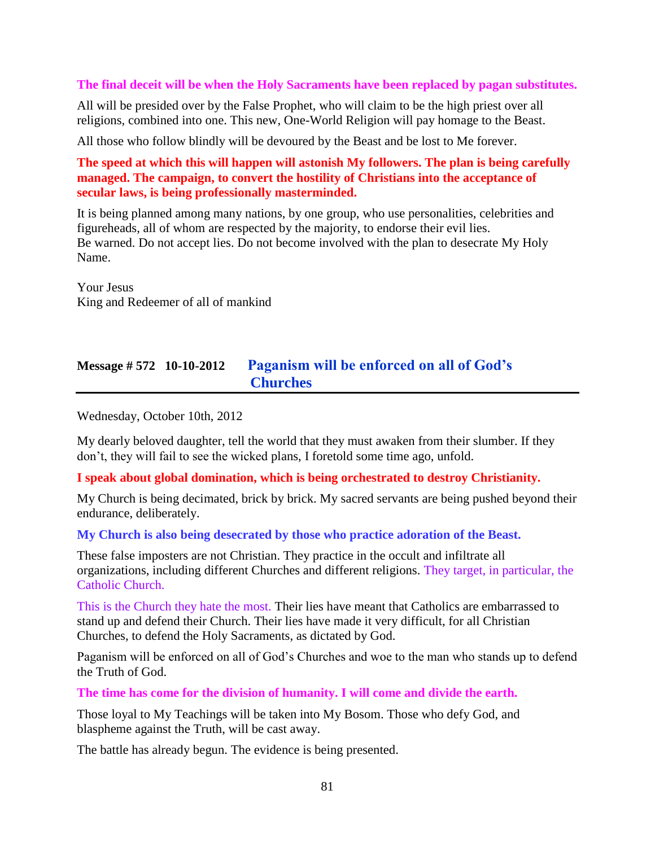#### **The final deceit will be when the Holy Sacraments have been replaced by pagan substitutes.**

All will be presided over by the False Prophet, who will claim to be the high priest over all religions, combined into one. This new, One-World Religion will pay homage to the Beast.

All those who follow blindly will be devoured by the Beast and be lost to Me forever.

**The speed at which this will happen will astonish My followers. The plan is being carefully managed. The campaign, to convert the hostility of Christians into the acceptance of secular laws, is being professionally masterminded.**

It is being planned among many nations, by one group, who use personalities, celebrities and figureheads, all of whom are respected by the majority, to endorse their evil lies. Be warned. Do not accept lies. Do not become involved with the plan to desecrate My Holy Name.

Your Jesus King and Redeemer of all of mankind

### **Message # 572 10-10-2012 [Paganism will be enforced on all of God's](http://www.thewarningsecondcoming.com/paganism-will-be-enforced-on-all-of-gods-churches/)  [Churches](http://www.thewarningsecondcoming.com/paganism-will-be-enforced-on-all-of-gods-churches/)**

Wednesday, October 10th, 2012

My dearly beloved daughter, tell the world that they must awaken from their slumber. If they don't, they will fail to see the wicked plans, I foretold some time ago, unfold.

#### **I speak about global domination, which is being orchestrated to destroy Christianity.**

My Church is being decimated, brick by brick. My sacred servants are being pushed beyond their endurance, deliberately.

#### **My Church is also being desecrated by those who practice adoration of the Beast.**

These false imposters are not Christian. They practice in the occult and infiltrate all organizations, including different Churches and different religions. They target, in particular, the Catholic Church.

This is the Church they hate the most. Their lies have meant that Catholics are embarrassed to stand up and defend their Church. Their lies have made it very difficult, for all Christian Churches, to defend the Holy Sacraments, as dictated by God.

Paganism will be enforced on all of God's Churches and woe to the man who stands up to defend the Truth of God.

**The time has come for the division of humanity. I will come and divide the earth.**

Those loyal to My Teachings will be taken into My Bosom. Those who defy God, and blaspheme against the Truth, will be cast away.

The battle has already begun. The evidence is being presented.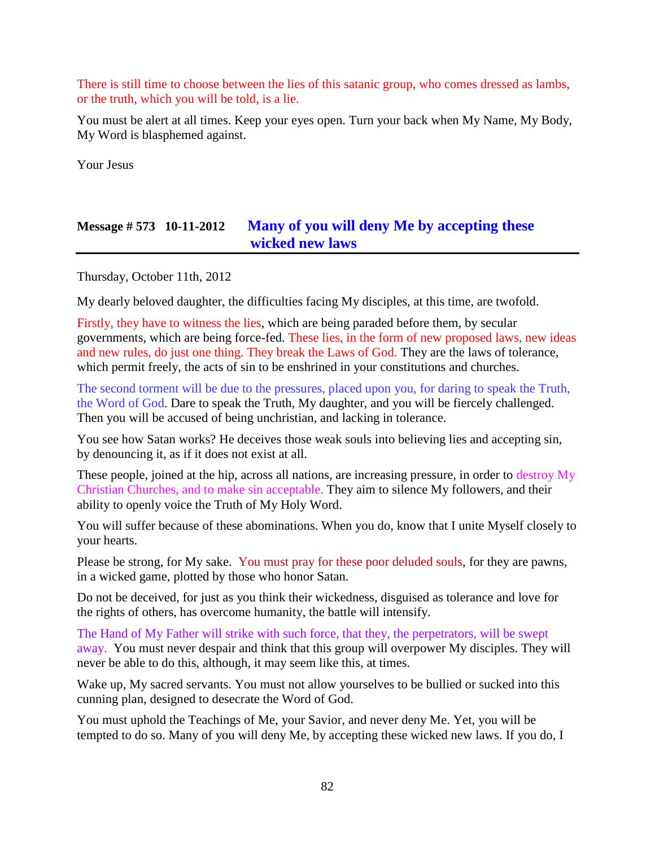There is still time to choose between the lies of this satanic group, who comes dressed as lambs, or the truth, which you will be told, is a lie.

You must be alert at all times. Keep your eyes open. Turn your back when My Name, My Body, My Word is blasphemed against.

Your Jesus

### **Message # 573 10-11-2012 [Many of you will deny Me by accepting these](http://www.thewarningsecondcoming.com/many-of-you-will-deny-me-by-accepting-these-wicked-new-laws/)  [wicked new laws](http://www.thewarningsecondcoming.com/many-of-you-will-deny-me-by-accepting-these-wicked-new-laws/)**

Thursday, October 11th, 2012

My dearly beloved daughter, the difficulties facing My disciples, at this time, are twofold.

Firstly, they have to witness the lies, which are being paraded before them, by secular governments, which are being force-fed. These lies, in the form of new proposed laws, new ideas and new rules, do just one thing. They break the Laws of God. They are the laws of tolerance, which permit freely, the acts of sin to be enshrined in your constitutions and churches.

The second torment will be due to the pressures, placed upon you, for daring to speak the Truth, the Word of God. Dare to speak the Truth, My daughter, and you will be fiercely challenged. Then you will be accused of being unchristian, and lacking in tolerance.

You see how Satan works? He deceives those weak souls into believing lies and accepting sin, by denouncing it, as if it does not exist at all.

These people, joined at the hip, across all nations, are increasing pressure, in order to destroy My Christian Churches, and to make sin acceptable. They aim to silence My followers, and their ability to openly voice the Truth of My Holy Word.

You will suffer because of these abominations. When you do, know that I unite Myself closely to your hearts.

Please be strong, for My sake. You must pray for these poor deluded souls, for they are pawns, in a wicked game, plotted by those who honor Satan.

Do not be deceived, for just as you think their wickedness, disguised as tolerance and love for the rights of others, has overcome humanity, the battle will intensify.

The Hand of My Father will strike with such force, that they, the perpetrators, will be swept away. You must never despair and think that this group will overpower My disciples. They will never be able to do this, although, it may seem like this, at times.

Wake up, My sacred servants. You must not allow yourselves to be bullied or sucked into this cunning plan, designed to desecrate the Word of God.

You must uphold the Teachings of Me, your Savior, and never deny Me. Yet, you will be tempted to do so. Many of you will deny Me, by accepting these wicked new laws. If you do, I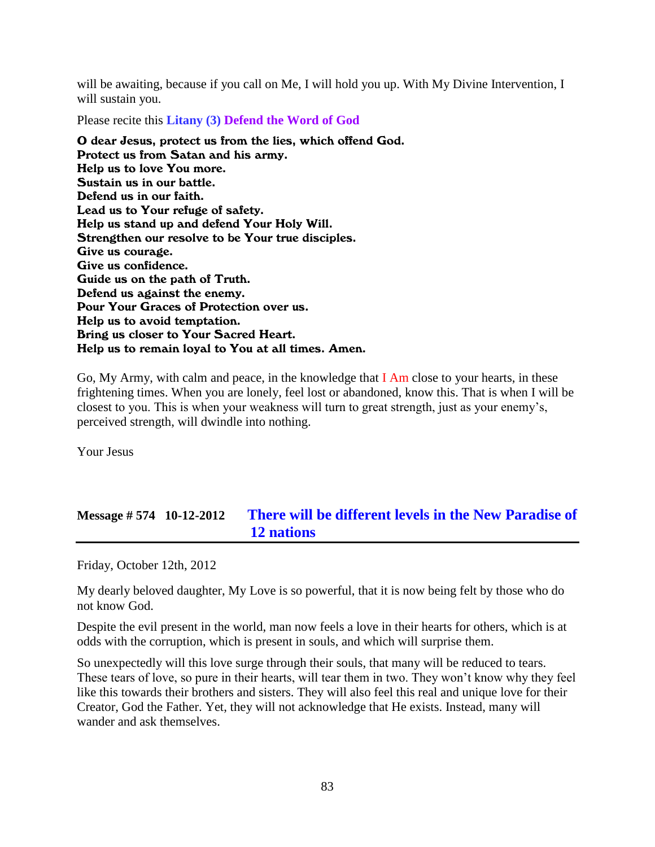will be awaiting, because if you call on Me, I will hold you up. With My Divine Intervention, I will sustain you.

Please recite this **Litany (3) Defend the Word of God**

O dear Jesus, protect us from the lies, which offend God. Protect us from Satan and his army. Help us to love You more. Sustain us in our battle. Defend us in our faith. Lead us to Your refuge of safety. Help us stand up and defend Your Holy Will. Strengthen our resolve to be Your true disciples. Give us courage. Give us confidence. Guide us on the path of Truth. Defend us against the enemy. Pour Your Graces of Protection over us. Help us to avoid temptation. Bring us closer to Your Sacred Heart. Help us to remain loyal to You at all times. Amen.

Go, My Army, with calm and peace, in the knowledge that I Am close to your hearts, in these frightening times. When you are lonely, feel lost or abandoned, know this. That is when I will be closest to you. This is when your weakness will turn to great strength, just as your enemy's, perceived strength, will dwindle into nothing.

Your Jesus

# **Message # 574 10-12-2012 [There will be different levels in the New Paradise of](http://www.thewarningsecondcoming.com/there-will-be-different-levels-in-the-new-paradise-of-12-nations/)  [12 nations](http://www.thewarningsecondcoming.com/there-will-be-different-levels-in-the-new-paradise-of-12-nations/)**

Friday, October 12th, 2012

My dearly beloved daughter, My Love is so powerful, that it is now being felt by those who do not know God.

Despite the evil present in the world, man now feels a love in their hearts for others, which is at odds with the corruption, which is present in souls, and which will surprise them.

So unexpectedly will this love surge through their souls, that many will be reduced to tears. These tears of love, so pure in their hearts, will tear them in two. They won't know why they feel like this towards their brothers and sisters. They will also feel this real and unique love for their Creator, God the Father. Yet, they will not acknowledge that He exists. Instead, many will wander and ask themselves.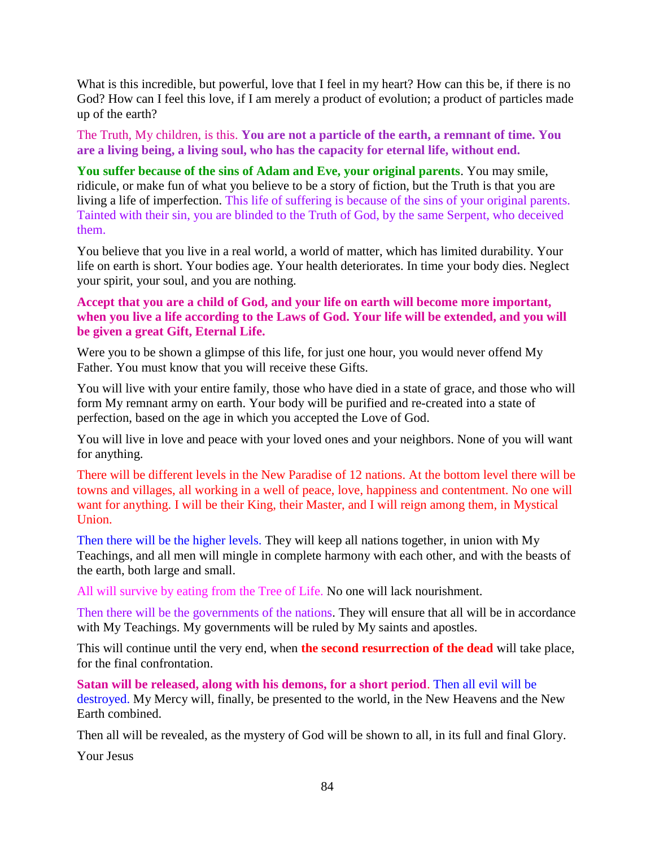What is this incredible, but powerful, love that I feel in my heart? How can this be, if there is no God? How can I feel this love, if I am merely a product of evolution; a product of particles made up of the earth?

The Truth, My children, is this. **You are not a particle of the earth, a remnant of time. You are a living being, a living soul, who has the capacity for eternal life, without end.**

**You suffer because of the sins of Adam and Eve, your original parents**. You may smile, ridicule, or make fun of what you believe to be a story of fiction, but the Truth is that you are living a life of imperfection. This life of suffering is because of the sins of your original parents. Tainted with their sin, you are blinded to the Truth of God, by the same Serpent, who deceived them.

You believe that you live in a real world, a world of matter, which has limited durability. Your life on earth is short. Your bodies age. Your health deteriorates. In time your body dies. Neglect your spirit, your soul, and you are nothing.

#### **Accept that you are a child of God, and your life on earth will become more important, when you live a life according to the Laws of God. Your life will be extended, and you will be given a great Gift, Eternal Life.**

Were you to be shown a glimpse of this life, for just one hour, you would never offend My Father. You must know that you will receive these Gifts.

You will live with your entire family, those who have died in a state of grace, and those who will form My remnant army on earth. Your body will be purified and re-created into a state of perfection, based on the age in which you accepted the Love of God.

You will live in love and peace with your loved ones and your neighbors. None of you will want for anything.

There will be different levels in the New Paradise of 12 nations. At the bottom level there will be towns and villages, all working in a well of peace, love, happiness and contentment. No one will want for anything. I will be their King, their Master, and I will reign among them, in Mystical Union.

Then there will be the higher levels. They will keep all nations together, in union with My Teachings, and all men will mingle in complete harmony with each other, and with the beasts of the earth, both large and small.

All will survive by eating from the Tree of Life. No one will lack nourishment.

Then there will be the governments of the nations. They will ensure that all will be in accordance with My Teachings. My governments will be ruled by My saints and apostles.

This will continue until the very end, when **the second resurrection of the dead** will take place, for the final confrontation.

**Satan will be released, along with his demons, for a short period**. Then all evil will be destroyed. My Mercy will, finally, be presented to the world, in the New Heavens and the New Earth combined.

Then all will be revealed, as the mystery of God will be shown to all, in its full and final Glory.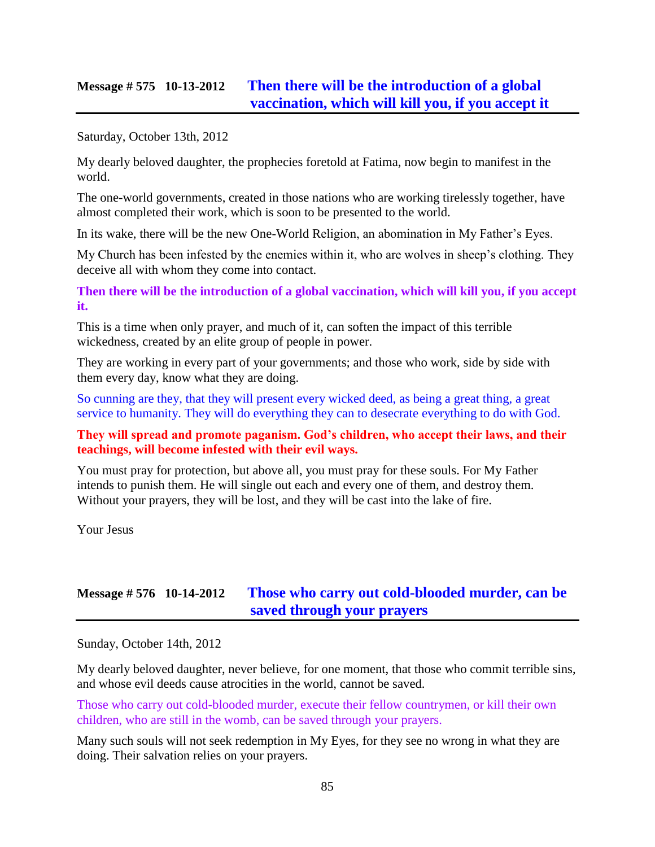### **Message # 575 10-13-2012 [Then there will be the introduction of a global](http://www.thewarningsecondcoming.com/then-there-will-be-the-introduction-of-a-global-vaccination-which-will-kill-you-if-you-accept-it/)  [vaccination, which will kill you, if you accept it](http://www.thewarningsecondcoming.com/then-there-will-be-the-introduction-of-a-global-vaccination-which-will-kill-you-if-you-accept-it/)**

Saturday, October 13th, 2012

My dearly beloved daughter, the prophecies foretold at Fatima, now begin to manifest in the world.

The one-world governments, created in those nations who are working tirelessly together, have almost completed their work, which is soon to be presented to the world.

In its wake, there will be the new One-World Religion, an abomination in My Father's Eyes.

My Church has been infested by the enemies within it, who are wolves in sheep's clothing. They deceive all with whom they come into contact.

**Then there will be the introduction of a global vaccination, which will kill you, if you accept it.**

This is a time when only prayer, and much of it, can soften the impact of this terrible wickedness, created by an elite group of people in power.

They are working in every part of your governments; and those who work, side by side with them every day, know what they are doing.

So cunning are they, that they will present every wicked deed, as being a great thing, a great service to humanity. They will do everything they can to desecrate everything to do with God.

### **They will spread and promote paganism. God's children, who accept their laws, and their teachings, will become infested with their evil ways.**

You must pray for protection, but above all, you must pray for these souls. For My Father intends to punish them. He will single out each and every one of them, and destroy them. Without your prayers, they will be lost, and they will be cast into the lake of fire.

Your Jesus

# **Message # 576 10-14-2012 [Those who carry out cold-blooded murder, can be](http://www.thewarningsecondcoming.com/those-who-carry-out-cold-blooded-murder-can-be-saved-through-your-prayers/)  [saved through your prayers](http://www.thewarningsecondcoming.com/those-who-carry-out-cold-blooded-murder-can-be-saved-through-your-prayers/)**

Sunday, October 14th, 2012

My dearly beloved daughter, never believe, for one moment, that those who commit terrible sins, and whose evil deeds cause atrocities in the world, cannot be saved.

Those who carry out cold-blooded murder, execute their fellow countrymen, or kill their own children, who are still in the womb, can be saved through your prayers.

Many such souls will not seek redemption in My Eyes, for they see no wrong in what they are doing. Their salvation relies on your prayers.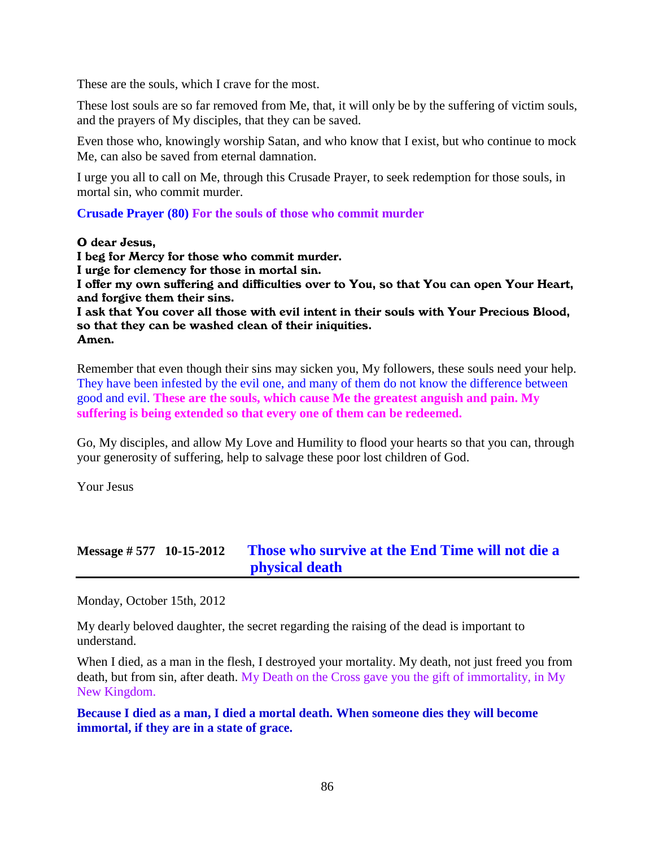These are the souls, which I crave for the most.

These lost souls are so far removed from Me, that, it will only be by the suffering of victim souls, and the prayers of My disciples, that they can be saved.

Even those who, knowingly worship Satan, and who know that I exist, but who continue to mock Me, can also be saved from eternal damnation.

I urge you all to call on Me, through this Crusade Prayer, to seek redemption for those souls, in mortal sin, who commit murder.

**Crusade Prayer (80) For the souls of those who commit murder**

#### O dear Jesus,

I beg for Mercy for those who commit murder. I urge for clemency for those in mortal sin. I offer my own suffering and difficulties over to You, so that You can open Your Heart, and forgive them their sins. I ask that You cover all those with evil intent in their souls with Your Precious Blood, so that they can be washed clean of their iniquities. Amen.

Remember that even though their sins may sicken you, My followers, these souls need your help. They have been infested by the evil one, and many of them do not know the difference between good and evil. **These are the souls, which cause Me the greatest anguish and pain. My suffering is being extended so that every one of them can be redeemed.**

Go, My disciples, and allow My Love and Humility to flood your hearts so that you can, through your generosity of suffering, help to salvage these poor lost children of God.

Your Jesus

# **Message # 577 10-15-2012 [Those who survive at the End Time will not die a](http://www.thewarningsecondcoming.com/those-who-survive-at-the-end-time-will-not-die-a-physical-death/)  [physical death](http://www.thewarningsecondcoming.com/those-who-survive-at-the-end-time-will-not-die-a-physical-death/)**

Monday, October 15th, 2012

My dearly beloved daughter, the secret regarding the raising of the dead is important to understand.

When I died, as a man in the flesh, I destroyed your mortality. My death, not just freed you from death, but from sin, after death. My Death on the Cross gave you the gift of immortality, in My New Kingdom.

**Because I died as a man, I died a mortal death. When someone dies they will become immortal, if they are in a state of grace.**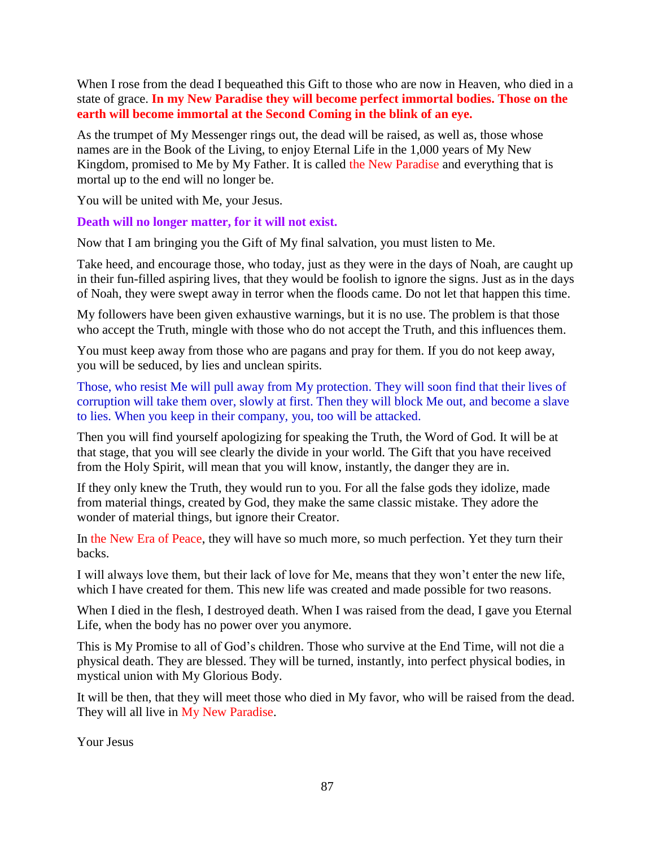When I rose from the dead I bequeathed this Gift to those who are now in Heaven, who died in a state of grace. **In my New Paradise they will become perfect immortal bodies. Those on the earth will become immortal at the Second Coming in the blink of an eye.**

As the trumpet of My Messenger rings out, the dead will be raised, as well as, those whose names are in the Book of the Living, to enjoy Eternal Life in the 1,000 years of My New Kingdom, promised to Me by My Father. It is called the New Paradise and everything that is mortal up to the end will no longer be.

You will be united with Me, your Jesus.

**Death will no longer matter, for it will not exist.**

Now that I am bringing you the Gift of My final salvation, you must listen to Me.

Take heed, and encourage those, who today, just as they were in the days of Noah, are caught up in their fun-filled aspiring lives, that they would be foolish to ignore the signs. Just as in the days of Noah, they were swept away in terror when the floods came. Do not let that happen this time.

My followers have been given exhaustive warnings, but it is no use. The problem is that those who accept the Truth, mingle with those who do not accept the Truth, and this influences them.

You must keep away from those who are pagans and pray for them. If you do not keep away, you will be seduced, by lies and unclean spirits.

Those, who resist Me will pull away from My protection. They will soon find that their lives of corruption will take them over, slowly at first. Then they will block Me out, and become a slave to lies. When you keep in their company, you, too will be attacked.

Then you will find yourself apologizing for speaking the Truth, the Word of God. It will be at that stage, that you will see clearly the divide in your world. The Gift that you have received from the Holy Spirit, will mean that you will know, instantly, the danger they are in.

If they only knew the Truth, they would run to you. For all the false gods they idolize, made from material things, created by God, they make the same classic mistake. They adore the wonder of material things, but ignore their Creator.

In the New Era of Peace, they will have so much more, so much perfection. Yet they turn their backs.

I will always love them, but their lack of love for Me, means that they won't enter the new life, which I have created for them. This new life was created and made possible for two reasons.

When I died in the flesh, I destroyed death. When I was raised from the dead, I gave you Eternal Life, when the body has no power over you anymore.

This is My Promise to all of God's children. Those who survive at the End Time, will not die a physical death. They are blessed. They will be turned, instantly, into perfect physical bodies, in mystical union with My Glorious Body.

It will be then, that they will meet those who died in My favor, who will be raised from the dead. They will all live in My New Paradise.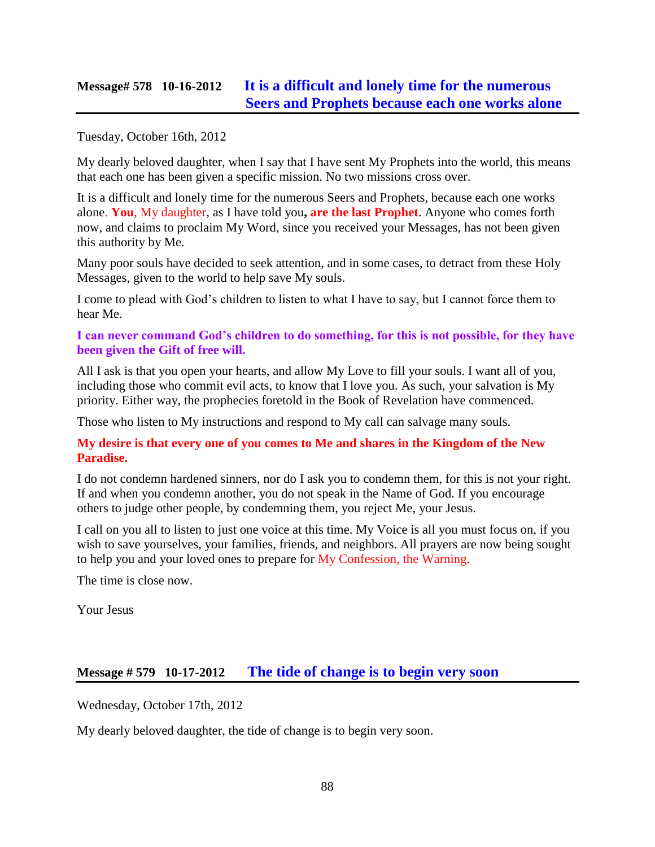### **Message# 578 10-16-2012 [It is a difficult and lonely time for the numerous](http://www.thewarningsecondcoming.com/it-is-a-difficult-and-lonely-time-for-the-numerous-seers-and-prophets-because-each-one-works-alone/)  [Seers and Prophets because each one works alone](http://www.thewarningsecondcoming.com/it-is-a-difficult-and-lonely-time-for-the-numerous-seers-and-prophets-because-each-one-works-alone/)**

Tuesday, October 16th, 2012

My dearly beloved daughter, when I say that I have sent My Prophets into the world, this means that each one has been given a specific mission. No two missions cross over.

It is a difficult and lonely time for the numerous Seers and Prophets, because each one works alone. **You**, My daughter, as I have told you**, are the last Prophet**. Anyone who comes forth now, and claims to proclaim My Word, since you received your Messages, has not been given this authority by Me.

Many poor souls have decided to seek attention, and in some cases, to detract from these Holy Messages, given to the world to help save My souls.

I come to plead with God's children to listen to what I have to say, but I cannot force them to hear Me.

**I can never command God's children to do something, for this is not possible, for they have been given the Gift of free will.**

All I ask is that you open your hearts, and allow My Love to fill your souls. I want all of you, including those who commit evil acts, to know that I love you. As such, your salvation is My priority. Either way, the prophecies foretold in the Book of Revelation have commenced.

Those who listen to My instructions and respond to My call can salvage many souls.

#### **My desire is that every one of you comes to Me and shares in the Kingdom of the New Paradise.**

I do not condemn hardened sinners, nor do I ask you to condemn them, for this is not your right. If and when you condemn another, you do not speak in the Name of God. If you encourage others to judge other people, by condemning them, you reject Me, your Jesus.

I call on you all to listen to just one voice at this time. My Voice is all you must focus on, if you wish to save yourselves, your families, friends, and neighbors. All prayers are now being sought to help you and your loved ones to prepare for My Confession, the Warning.

The time is close now.

Your Jesus

### **Message # 579 10-17-2012 [The tide of change is to begin very soon](http://www.thewarningsecondcoming.com/the-tide-of-change-is-to-begin-very-soon/)**

Wednesday, October 17th, 2012

My dearly beloved daughter, the tide of change is to begin very soon.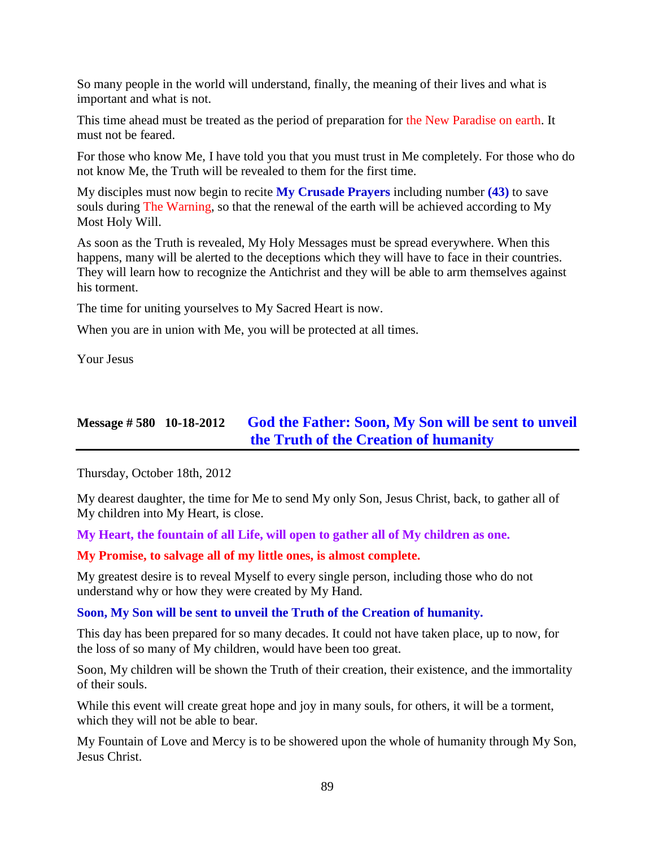So many people in the world will understand, finally, the meaning of their lives and what is important and what is not.

This time ahead must be treated as the period of preparation for the New Paradise on earth. It must not be feared.

For those who know Me, I have told you that you must trust in Me completely. For those who do not know Me, the Truth will be revealed to them for the first time.

My disciples must now begin to recite **My Crusade Prayers** including [number](http://www.thewarningsecondcoming.com/crusade-prayer-43-save-souls-during-the-warning/) **(43)** to save [souls during The Warning,](http://www.thewarningsecondcoming.com/crusade-prayer-43-save-souls-during-the-warning/) so that the renewal of the earth will be achieved according to My Most Holy Will.

As soon as the Truth is revealed, My Holy Messages must be spread everywhere. When this happens, many will be alerted to the deceptions which they will have to face in their countries. They will learn how to recognize the Antichrist and they will be able to arm themselves against his torment.

The time for uniting yourselves to My Sacred Heart is now.

When you are in union with Me, you will be protected at all times.

Your Jesus

# **Message # 580 10-18-2012 [God the Father: Soon, My Son will be sent to unveil](http://www.thewarningsecondcoming.com/god-the-father-soon-my-son-will-be-sent-to-unveil-the-truth-of-the-creation-of-humanity/)  [the Truth of the Creation of humanity](http://www.thewarningsecondcoming.com/god-the-father-soon-my-son-will-be-sent-to-unveil-the-truth-of-the-creation-of-humanity/)**

Thursday, October 18th, 2012

My dearest daughter, the time for Me to send My only Son, Jesus Christ, back, to gather all of My children into My Heart, is close.

**My Heart, the fountain of all Life, will open to gather all of My children as one.**

**My Promise, to salvage all of my little ones, is almost complete.**

My greatest desire is to reveal Myself to every single person, including those who do not understand why or how they were created by My Hand.

### **Soon, My Son will be sent to unveil the Truth of the Creation of humanity.**

This day has been prepared for so many decades. It could not have taken place, up to now, for the loss of so many of My children, would have been too great.

Soon, My children will be shown the Truth of their creation, their existence, and the immortality of their souls.

While this event will create great hope and joy in many souls, for others, it will be a torment, which they will not be able to bear.

My Fountain of Love and Mercy is to be showered upon the whole of humanity through My Son, Jesus Christ.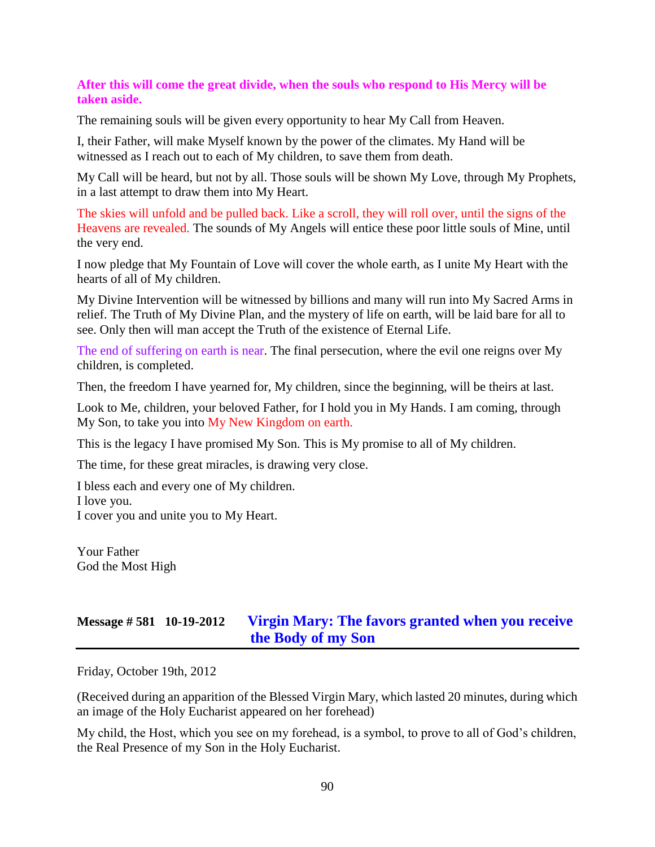#### **After this will come the great divide, when the souls who respond to His Mercy will be taken aside.**

The remaining souls will be given every opportunity to hear My Call from Heaven.

I, their Father, will make Myself known by the power of the climates. My Hand will be witnessed as I reach out to each of My children, to save them from death.

My Call will be heard, but not by all. Those souls will be shown My Love, through My Prophets, in a last attempt to draw them into My Heart.

The skies will unfold and be pulled back. Like a scroll, they will roll over, until the signs of the Heavens are revealed. The sounds of My Angels will entice these poor little souls of Mine, until the very end.

I now pledge that My Fountain of Love will cover the whole earth, as I unite My Heart with the hearts of all of My children.

My Divine Intervention will be witnessed by billions and many will run into My Sacred Arms in relief. The Truth of My Divine Plan, and the mystery of life on earth, will be laid bare for all to see. Only then will man accept the Truth of the existence of Eternal Life.

The end of suffering on earth is near. The final persecution, where the evil one reigns over My children, is completed.

Then, the freedom I have yearned for, My children, since the beginning, will be theirs at last.

Look to Me, children, your beloved Father, for I hold you in My Hands. I am coming, through My Son, to take you into My New Kingdom on earth.

This is the legacy I have promised My Son. This is My promise to all of My children.

The time, for these great miracles, is drawing very close.

I bless each and every one of My children.

I love you.

I cover you and unite you to My Heart.

Your Father God the Most High

# **Message # 581 10-19-2012 [Virgin Mary: The favors granted when you receive](http://www.thewarningsecondcoming.com/irgin-mary-the-favovirgin-mary-favours-granted-to-those-who-receive-his-body-and-blood-include-salvation-from-purgatory-if-received-every-day/)  [the Body of my Son](http://www.thewarningsecondcoming.com/irgin-mary-the-favovirgin-mary-favours-granted-to-those-who-receive-his-body-and-blood-include-salvation-from-purgatory-if-received-every-day/)**

Friday, October 19th, 2012

(Received during an apparition of the Blessed Virgin Mary, which lasted 20 minutes, during which an image of the Holy Eucharist appeared on her forehead)

My child, the Host, which you see on my forehead, is a symbol, to prove to all of God's children, the Real Presence of my Son in the Holy Eucharist.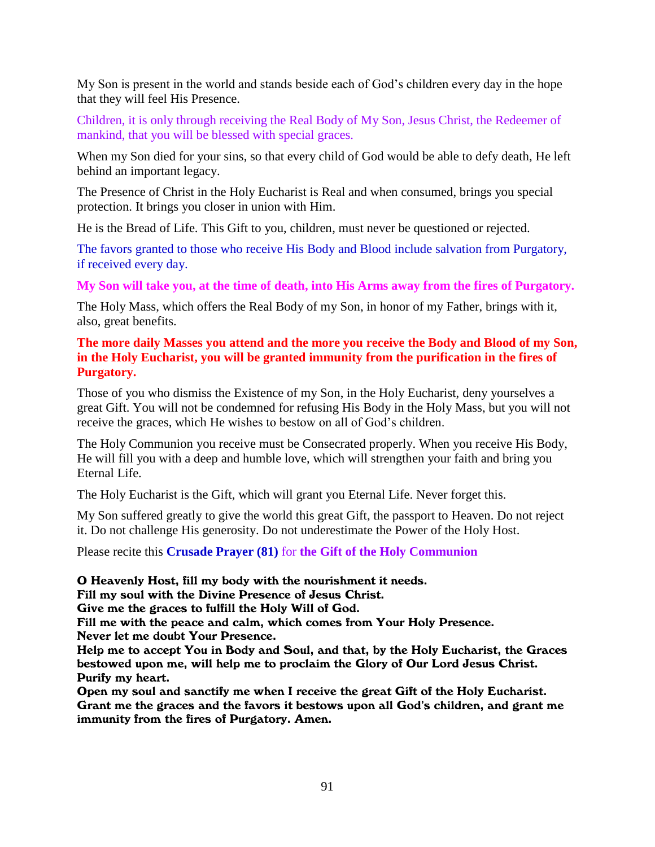My Son is present in the world and stands beside each of God's children every day in the hope that they will feel His Presence.

Children, it is only through receiving the Real Body of My Son, Jesus Christ, the Redeemer of mankind, that you will be blessed with special graces.

When my Son died for your sins, so that every child of God would be able to defy death, He left behind an important legacy.

The Presence of Christ in the Holy Eucharist is Real and when consumed, brings you special protection. It brings you closer in union with Him.

He is the Bread of Life. This Gift to you, children, must never be questioned or rejected.

The favors granted to those who receive His Body and Blood include salvation from Purgatory, if received every day.

**My Son will take you, at the time of death, into His Arms away from the fires of Purgatory.**

The Holy Mass, which offers the Real Body of my Son, in honor of my Father, brings with it, also, great benefits.

### **The more daily Masses you attend and the more you receive the Body and Blood of my Son, in the Holy Eucharist, you will be granted immunity from the purification in the fires of Purgatory.**

Those of you who dismiss the Existence of my Son, in the Holy Eucharist, deny yourselves a great Gift. You will not be condemned for refusing His Body in the Holy Mass, but you will not receive the graces, which He wishes to bestow on all of God's children.

The Holy Communion you receive must be Consecrated properly. When you receive His Body, He will fill you with a deep and humble love, which will strengthen your faith and bring you Eternal Life.

The Holy Eucharist is the Gift, which will grant you Eternal Life. Never forget this.

My Son suffered greatly to give the world this great Gift, the passport to Heaven. Do not reject it. Do not challenge His generosity. Do not underestimate the Power of the Holy Host.

Please recite this **Crusade Prayer (81)** for **the Gift of the Holy Communion**

O Heavenly Host, fill my body with the nourishment it needs.

Fill my soul with the Divine Presence of Jesus Christ.

Give me the graces to fulfill the Holy Will of God.

Fill me with the peace and calm, which comes from Your Holy Presence. Never let me doubt Your Presence.

Help me to accept You in Body and Soul, and that, by the Holy Eucharist, the Graces bestowed upon me, will help me to proclaim the Glory of Our Lord Jesus Christ. Purify my heart.

Open my soul and sanctify me when I receive the great Gift of the Holy Eucharist. Grant me the graces and the favors it bestows upon all God's children, and grant me immunity from the fires of Purgatory. Amen.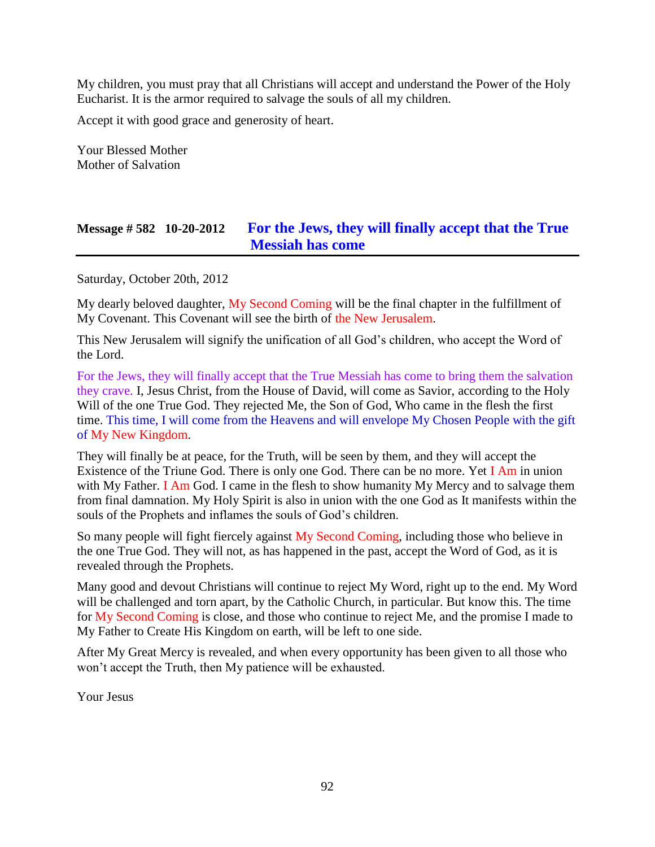My children, you must pray that all Christians will accept and understand the Power of the Holy Eucharist. It is the armor required to salvage the souls of all my children.

Accept it with good grace and generosity of heart.

Your Blessed Mother Mother of Salvation

# **Message # 582 10-20-2012 [For the Jews, they will finally accept that the True](http://www.thewarningsecondcoming.com/for-the-jews-they-will-finally-accept-that-the-true-messiah-has-come/)  [Messiah has come](http://www.thewarningsecondcoming.com/for-the-jews-they-will-finally-accept-that-the-true-messiah-has-come/)**

Saturday, October 20th, 2012

My dearly beloved daughter, My Second Coming will be the final chapter in the fulfillment of My Covenant. This Covenant will see the birth of the New Jerusalem.

This New Jerusalem will signify the unification of all God's children, who accept the Word of the Lord.

For the Jews, they will finally accept that the True Messiah has come to bring them the salvation they crave. I, Jesus Christ, from the House of David, will come as Savior, according to the Holy Will of the one True God. They rejected Me, the Son of God, Who came in the flesh the first time. This time, I will come from the Heavens and will envelope My Chosen People with the gift of My New Kingdom.

They will finally be at peace, for the Truth, will be seen by them, and they will accept the Existence of the Triune God. There is only one God. There can be no more. Yet I Am in union with My Father. I Am God. I came in the flesh to show humanity My Mercy and to salvage them from final damnation. My Holy Spirit is also in union with the one God as It manifests within the souls of the Prophets and inflames the souls of God's children.

So many people will fight fiercely against My Second Coming, including those who believe in the one True God. They will not, as has happened in the past, accept the Word of God, as it is revealed through the Prophets.

Many good and devout Christians will continue to reject My Word, right up to the end. My Word will be challenged and torn apart, by the Catholic Church, in particular. But know this. The time for My Second Coming is close, and those who continue to reject Me, and the promise I made to My Father to Create His Kingdom on earth, will be left to one side.

After My Great Mercy is revealed, and when every opportunity has been given to all those who won't accept the Truth, then My patience will be exhausted.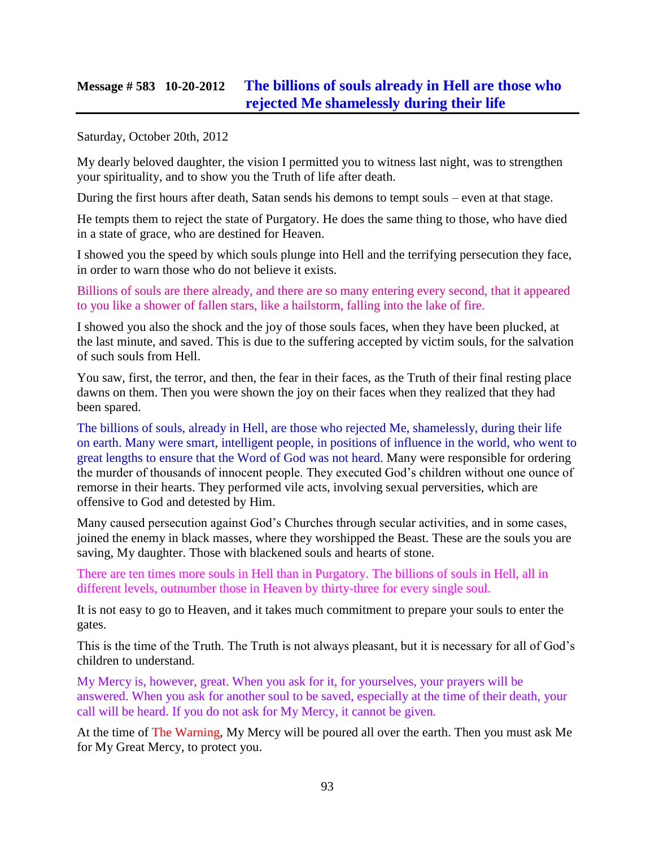### **Message # 583 10-20-2012 [The billions of souls already in Hell are those who](http://www.thewarningsecondcoming.com/the-billions-of-souls-already-in-hell-are-those-who-rejected-me-shamelessly-during-their-life/)  [rejected Me shamelessly during their life](http://www.thewarningsecondcoming.com/the-billions-of-souls-already-in-hell-are-those-who-rejected-me-shamelessly-during-their-life/)**

Saturday, October 20th, 2012

My dearly beloved daughter, the vision I permitted you to witness last night, was to strengthen your spirituality, and to show you the Truth of life after death.

During the first hours after death, Satan sends his demons to tempt souls – even at that stage.

He tempts them to reject the state of Purgatory. He does the same thing to those, who have died in a state of grace, who are destined for Heaven.

I showed you the speed by which souls plunge into Hell and the terrifying persecution they face, in order to warn those who do not believe it exists.

Billions of souls are there already, and there are so many entering every second, that it appeared to you like a shower of fallen stars, like a hailstorm, falling into the lake of fire.

I showed you also the shock and the joy of those souls faces, when they have been plucked, at the last minute, and saved. This is due to the suffering accepted by victim souls, for the salvation of such souls from Hell.

You saw, first, the terror, and then, the fear in their faces, as the Truth of their final resting place dawns on them. Then you were shown the joy on their faces when they realized that they had been spared.

The billions of souls, already in Hell, are those who rejected Me, shamelessly, during their life on earth. Many were smart, intelligent people, in positions of influence in the world, who went to great lengths to ensure that the Word of God was not heard. Many were responsible for ordering the murder of thousands of innocent people. They executed God's children without one ounce of remorse in their hearts. They performed vile acts, involving sexual perversities, which are offensive to God and detested by Him.

Many caused persecution against God's Churches through secular activities, and in some cases, joined the enemy in black masses, where they worshipped the Beast. These are the souls you are saving, My daughter. Those with blackened souls and hearts of stone.

There are ten times more souls in Hell than in Purgatory. The billions of souls in Hell, all in different levels, outnumber those in Heaven by thirty-three for every single soul.

It is not easy to go to Heaven, and it takes much commitment to prepare your souls to enter the gates.

This is the time of the Truth. The Truth is not always pleasant, but it is necessary for all of God's children to understand.

My Mercy is, however, great. When you ask for it, for yourselves, your prayers will be answered. When you ask for another soul to be saved, especially at the time of their death, your call will be heard. If you do not ask for My Mercy, it cannot be given.

At the time of The Warning, My Mercy will be poured all over the earth. Then you must ask Me for My Great Mercy, to protect you.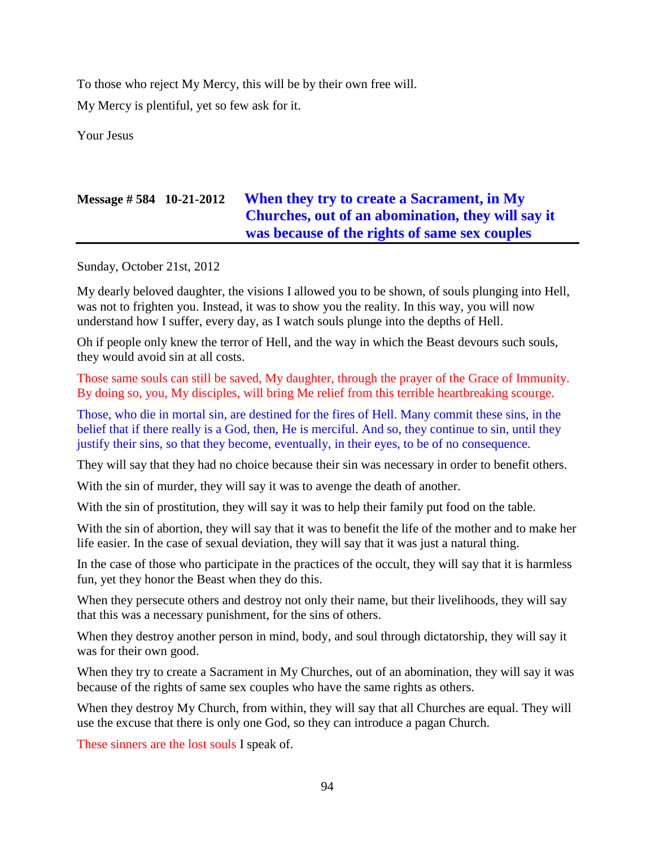To those who reject My Mercy, this will be by their own free will.

My Mercy is plentiful, yet so few ask for it.

Your Jesus

## **Message # 584 10-21-2012 [When they try to create a Sacrament, in My](http://www.thewarningsecondcoming.com/when-they-try-to-create-a-sacrament-in-my-churches-out-of-an-abomination-they-will-say-it-was-because-of-the-rights-of-same-sex-couples/)  [Churches, out of an abomination, they will say it](http://www.thewarningsecondcoming.com/when-they-try-to-create-a-sacrament-in-my-churches-out-of-an-abomination-they-will-say-it-was-because-of-the-rights-of-same-sex-couples/)  [was because of the rights of same sex couples](http://www.thewarningsecondcoming.com/when-they-try-to-create-a-sacrament-in-my-churches-out-of-an-abomination-they-will-say-it-was-because-of-the-rights-of-same-sex-couples/)**

Sunday, October 21st, 2012

My dearly beloved daughter, the visions I allowed you to be shown, of souls plunging into Hell, was not to frighten you. Instead, it was to show you the reality. In this way, you will now understand how I suffer, every day, as I watch souls plunge into the depths of Hell.

Oh if people only knew the terror of Hell, and the way in which the Beast devours such souls, they would avoid sin at all costs.

Those same souls can still be saved, My daughter, through the prayer of the Grace of Immunity. By doing so, you, My disciples, will bring Me relief from this terrible heartbreaking scourge.

Those, who die in mortal sin, are destined for the fires of Hell. Many commit these sins, in the belief that if there really is a God, then, He is merciful. And so, they continue to sin, until they justify their sins, so that they become, eventually, in their eyes, to be of no consequence.

They will say that they had no choice because their sin was necessary in order to benefit others.

With the sin of murder, they will say it was to avenge the death of another.

With the sin of prostitution, they will say it was to help their family put food on the table.

With the sin of abortion, they will say that it was to benefit the life of the mother and to make her life easier. In the case of sexual deviation, they will say that it was just a natural thing.

In the case of those who participate in the practices of the occult, they will say that it is harmless fun, yet they honor the Beast when they do this.

When they persecute others and destroy not only their name, but their livelihoods, they will say that this was a necessary punishment, for the sins of others.

When they destroy another person in mind, body, and soul through dictatorship, they will say it was for their own good.

When they try to create a Sacrament in My Churches, out of an abomination, they will say it was because of the rights of same sex couples who have the same rights as others.

When they destroy My Church, from within, they will say that all Churches are equal. They will use the excuse that there is only one God, so they can introduce a pagan Church.

These sinners are the lost souls I speak of.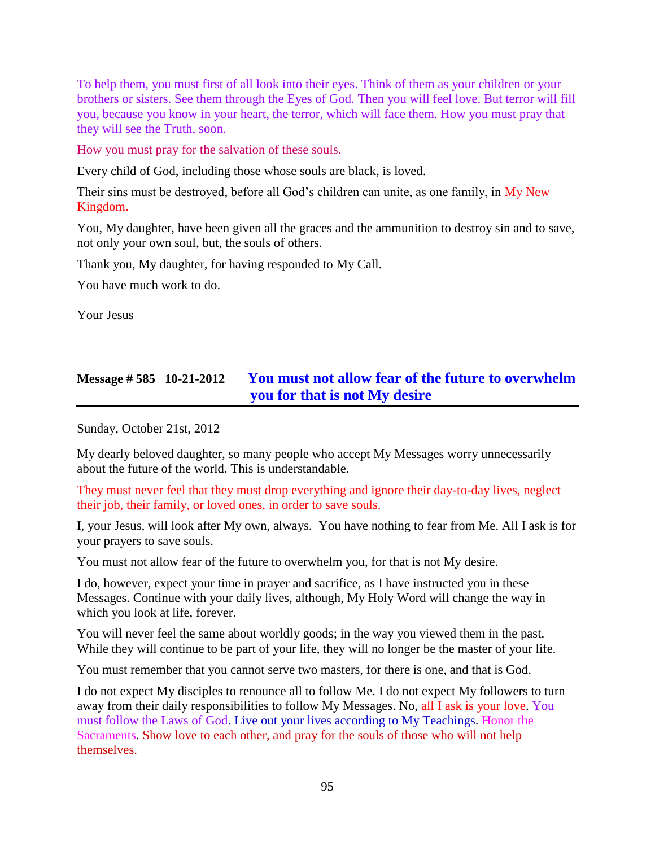To help them, you must first of all look into their eyes. Think of them as your children or your brothers or sisters. See them through the Eyes of God. Then you will feel love. But terror will fill you, because you know in your heart, the terror, which will face them. How you must pray that they will see the Truth, soon.

How you must pray for the salvation of these souls.

Every child of God, including those whose souls are black, is loved.

Their sins must be destroyed, before all God's children can unite, as one family, in My New Kingdom.

You, My daughter, have been given all the graces and the ammunition to destroy sin and to save, not only your own soul, but, the souls of others.

Thank you, My daughter, for having responded to My Call.

You have much work to do.

Your Jesus

# **Message # 585 10-21-2012 [You must not allow fear of the future to overwhelm](http://www.thewarningsecondcoming.com/you-must-not-allow-fear-of-the-future-to-overwhelm-you-for-that-is-not-my-desire/)  [you for that is not My desire](http://www.thewarningsecondcoming.com/you-must-not-allow-fear-of-the-future-to-overwhelm-you-for-that-is-not-my-desire/)**

Sunday, October 21st, 2012

My dearly beloved daughter, so many people who accept My Messages worry unnecessarily about the future of the world. This is understandable.

They must never feel that they must drop everything and ignore their day-to-day lives, neglect their job, their family, or loved ones, in order to save souls.

I, your Jesus, will look after My own, always. You have nothing to fear from Me. All I ask is for your prayers to save souls.

You must not allow fear of the future to overwhelm you, for that is not My desire.

I do, however, expect your time in prayer and sacrifice, as I have instructed you in these Messages. Continue with your daily lives, although, My Holy Word will change the way in which you look at life, forever.

You will never feel the same about worldly goods; in the way you viewed them in the past. While they will continue to be part of your life, they will no longer be the master of your life.

You must remember that you cannot serve two masters, for there is one, and that is God.

I do not expect My disciples to renounce all to follow Me. I do not expect My followers to turn away from their daily responsibilities to follow My Messages. No, all I ask is your love. You must follow the Laws of God. Live out your lives according to My Teachings. Honor the Sacraments. Show love to each other, and pray for the souls of those who will not help themselves.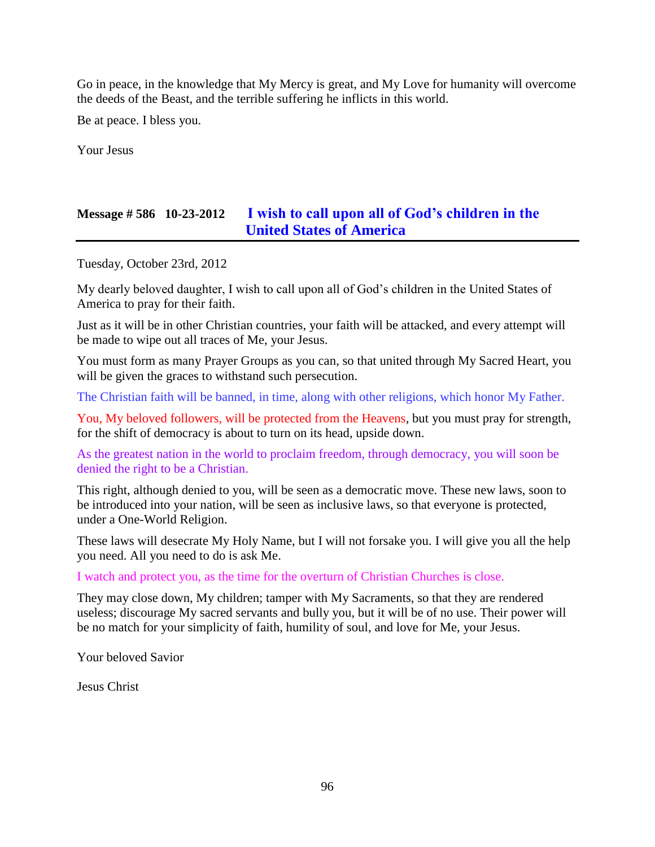Go in peace, in the knowledge that My Mercy is great, and My Love for humanity will overcome the deeds of the Beast, and the terrible suffering he inflicts in this world.

Be at peace. I bless you.

Your Jesus

## **Message # 586 10-23-2012 [I wish to call upon all of God's children in the](http://www.thewarningsecondcoming.com/i-wish-to-call-upon-all-of-gods-children-in-the-united-states-of-america/)  [United States of America](http://www.thewarningsecondcoming.com/i-wish-to-call-upon-all-of-gods-children-in-the-united-states-of-america/)**

Tuesday, October 23rd, 2012

My dearly beloved daughter, I wish to call upon all of God's children in the United States of America to pray for their faith.

Just as it will be in other Christian countries, your faith will be attacked, and every attempt will be made to wipe out all traces of Me, your Jesus.

You must form as many Prayer Groups as you can, so that united through My Sacred Heart, you will be given the graces to withstand such persecution.

The Christian faith will be banned, in time, along with other religions, which honor My Father.

You, My beloved followers, will be protected from the Heavens, but you must pray for strength, for the shift of democracy is about to turn on its head, upside down.

As the greatest nation in the world to proclaim freedom, through democracy, you will soon be denied the right to be a Christian.

This right, although denied to you, will be seen as a democratic move. These new laws, soon to be introduced into your nation, will be seen as inclusive laws, so that everyone is protected, under a One-World Religion.

These laws will desecrate My Holy Name, but I will not forsake you. I will give you all the help you need. All you need to do is ask Me.

I watch and protect you, as the time for the overturn of Christian Churches is close.

They may close down, My children; tamper with My Sacraments, so that they are rendered useless; discourage My sacred servants and bully you, but it will be of no use. Their power will be no match for your simplicity of faith, humility of soul, and love for Me, your Jesus.

Your beloved Savior

Jesus Christ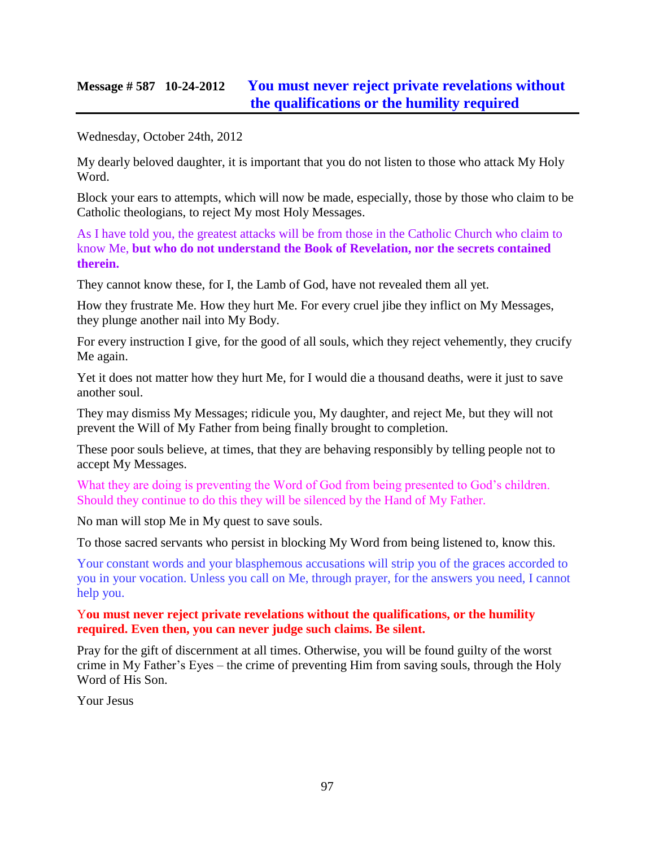### **Message # 587 10-24-2012 [You must never reject private revelations without](http://www.thewarningsecondcoming.com/you-must-never-reject-private-revelations-without-the-qualifications-or-the-humility-required/)  [the qualifications or the humility required](http://www.thewarningsecondcoming.com/you-must-never-reject-private-revelations-without-the-qualifications-or-the-humility-required/)**

Wednesday, October 24th, 2012

My dearly beloved daughter, it is important that you do not listen to those who attack My Holy Word.

Block your ears to attempts, which will now be made, especially, those by those who claim to be Catholic theologians, to reject My most Holy Messages.

As I have told you, the greatest attacks will be from those in the Catholic Church who claim to know Me, **but who do not understand the Book of Revelation, nor the secrets contained therein.**

They cannot know these, for I, the Lamb of God, have not revealed them all yet.

How they frustrate Me. How they hurt Me. For every cruel jibe they inflict on My Messages, they plunge another nail into My Body.

For every instruction I give, for the good of all souls, which they reject vehemently, they crucify Me again.

Yet it does not matter how they hurt Me, for I would die a thousand deaths, were it just to save another soul.

They may dismiss My Messages; ridicule you, My daughter, and reject Me, but they will not prevent the Will of My Father from being finally brought to completion.

These poor souls believe, at times, that they are behaving responsibly by telling people not to accept My Messages.

What they are doing is preventing the Word of God from being presented to God's children. Should they continue to do this they will be silenced by the Hand of My Father.

No man will stop Me in My quest to save souls.

To those sacred servants who persist in blocking My Word from being listened to, know this.

Your constant words and your blasphemous accusations will strip you of the graces accorded to you in your vocation. Unless you call on Me, through prayer, for the answers you need, I cannot help you.

#### Y**ou must never reject private revelations without the qualifications, or the humility required. Even then, you can never judge such claims. Be silent.**

Pray for the gift of discernment at all times. Otherwise, you will be found guilty of the worst crime in My Father's Eyes – the crime of preventing Him from saving souls, through the Holy Word of His Son.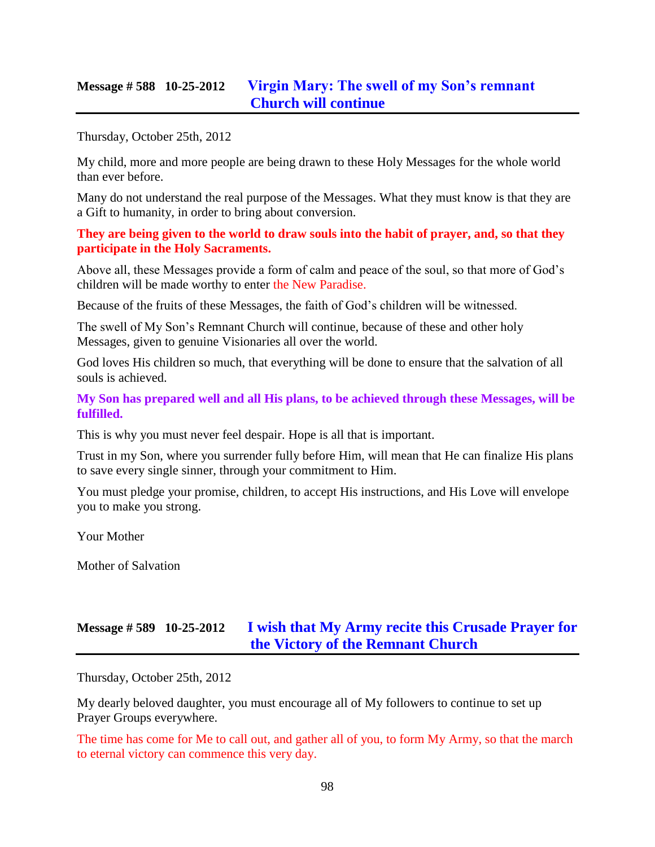### **Message # 588 10-25-2012 [Virgin Mary: The swell of my Son's remnant](http://www.thewarningsecondcoming.com/virgin-mary-the-swell-of-my-sons-remnant-church-will-continue/)  [Church will continue](http://www.thewarningsecondcoming.com/virgin-mary-the-swell-of-my-sons-remnant-church-will-continue/)**

Thursday, October 25th, 2012

My child, more and more people are being drawn to these Holy Messages for the whole world than ever before.

Many do not understand the real purpose of the Messages. What they must know is that they are a Gift to humanity, in order to bring about conversion.

**They are being given to the world to draw souls into the habit of prayer, and, so that they participate in the Holy Sacraments.**

Above all, these Messages provide a form of calm and peace of the soul, so that more of God's children will be made worthy to enter the New Paradise.

Because of the fruits of these Messages, the faith of God's children will be witnessed.

The swell of My Son's Remnant Church will continue, because of these and other holy Messages, given to genuine Visionaries all over the world.

God loves His children so much, that everything will be done to ensure that the salvation of all souls is achieved.

**My Son has prepared well and all His plans, to be achieved through these Messages, will be fulfilled.**

This is why you must never feel despair. Hope is all that is important.

Trust in my Son, where you surrender fully before Him, will mean that He can finalize His plans to save every single sinner, through your commitment to Him.

You must pledge your promise, children, to accept His instructions, and His Love will envelope you to make you strong.

Your Mother

Mother of Salvation

# **Message # 589 10-25-2012 [I wish that My Army recite this Crusade Prayer for](http://www.thewarningsecondcoming.com/i-wish-that-my-army-recite-this-crusade-prayer-for-the-victory-of-the-remnant-church/)  [the Victory of the Remnant Church](http://www.thewarningsecondcoming.com/i-wish-that-my-army-recite-this-crusade-prayer-for-the-victory-of-the-remnant-church/)**

Thursday, October 25th, 2012

My dearly beloved daughter, you must encourage all of My followers to continue to set up Prayer Groups everywhere.

The time has come for Me to call out, and gather all of you, to form My Army, so that the march to eternal victory can commence this very day.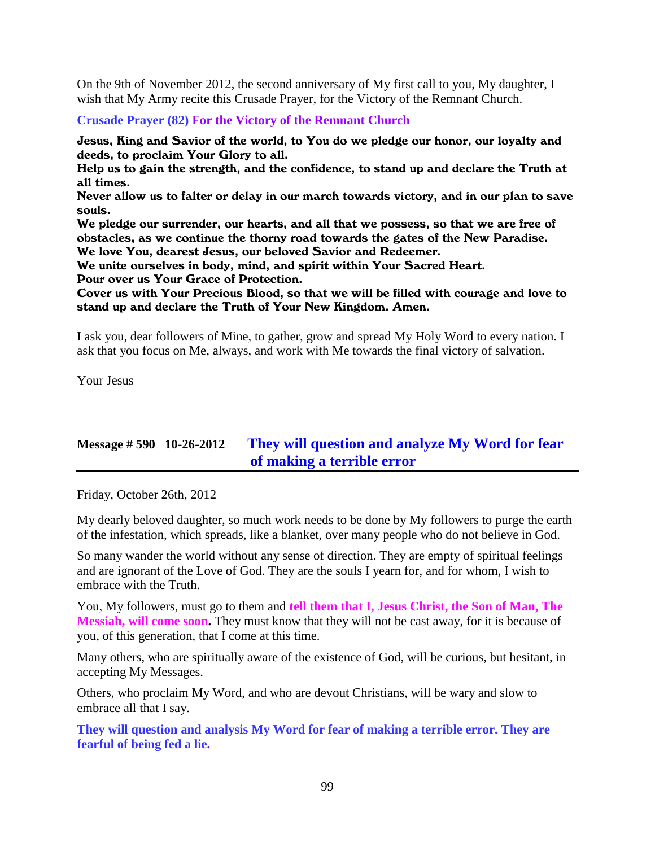On the 9th of November 2012, the second anniversary of My first call to you, My daughter, I wish that My Army recite this Crusade Prayer, for the Victory of the Remnant Church.

**Crusade Prayer (82) For the Victory of the Remnant Church**

Jesus, King and Savior of the world, to You do we pledge our honor, our loyalty and deeds, to proclaim Your Glory to all.

Help us to gain the strength, and the confidence, to stand up and declare the Truth at all times.

Never allow us to falter or delay in our march towards victory, and in our plan to save souls.

We pledge our surrender, our hearts, and all that we possess, so that we are free of obstacles, as we continue the thorny road towards the gates of the New Paradise. We love You, dearest Jesus, our beloved Savior and Redeemer.

We unite ourselves in body, mind, and spirit within Your Sacred Heart.

Pour over us Your Grace of Protection.

Cover us with Your Precious Blood, so that we will be filled with courage and love to stand up and declare the Truth of Your New Kingdom. Amen.

I ask you, dear followers of Mine, to gather, grow and spread My Holy Word to every nation. I ask that you focus on Me, always, and work with Me towards the final victory of salvation.

Your Jesus

# **Message # 590 10-26-2012 [They will question and analyze My Word for fear](http://www.thewarningsecondcoming.com/they-will-question-and-analyse-my-word-for-fear-of-making-a-terrible-error/)  [of making a terrible error](http://www.thewarningsecondcoming.com/they-will-question-and-analyse-my-word-for-fear-of-making-a-terrible-error/)**

Friday, October 26th, 2012

My dearly beloved daughter, so much work needs to be done by My followers to purge the earth of the infestation, which spreads, like a blanket, over many people who do not believe in God.

So many wander the world without any sense of direction. They are empty of spiritual feelings and are ignorant of the Love of God. They are the souls I yearn for, and for whom, I wish to embrace with the Truth.

You, My followers, must go to them and **tell them that I, Jesus Christ, the Son of Man, The Messiah, will come soon.** They must know that they will not be cast away, for it is because of you, of this generation, that I come at this time.

Many others, who are spiritually aware of the existence of God, will be curious, but hesitant, in accepting My Messages.

Others, who proclaim My Word, and who are devout Christians, will be wary and slow to embrace all that I say.

**They will question and analysis My Word for fear of making a terrible error. They are fearful of being fed a lie.**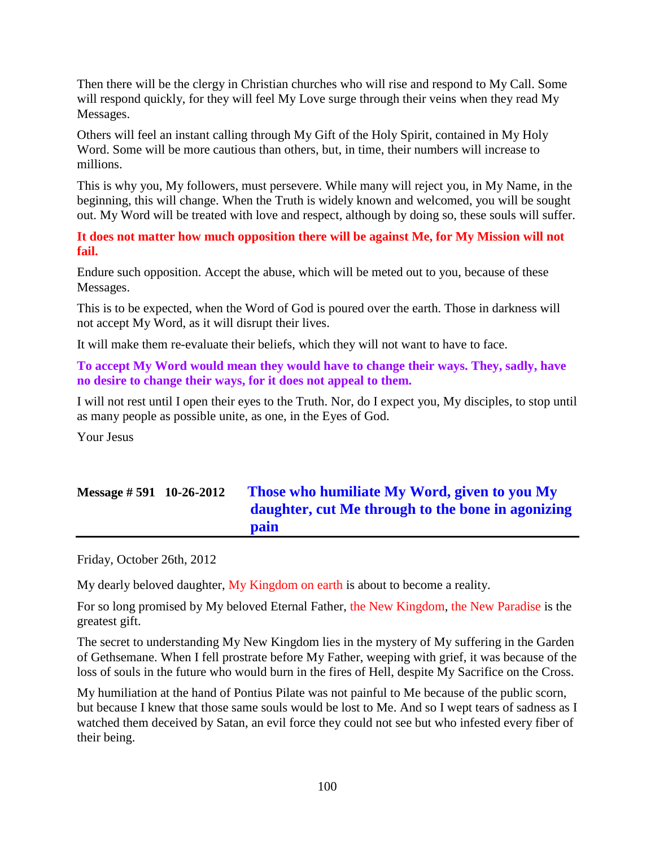Then there will be the clergy in Christian churches who will rise and respond to My Call. Some will respond quickly, for they will feel My Love surge through their veins when they read My Messages.

Others will feel an instant calling through My Gift of the Holy Spirit, contained in My Holy Word. Some will be more cautious than others, but, in time, their numbers will increase to millions.

This is why you, My followers, must persevere. While many will reject you, in My Name, in the beginning, this will change. When the Truth is widely known and welcomed, you will be sought out. My Word will be treated with love and respect, although by doing so, these souls will suffer.

**It does not matter how much opposition there will be against Me, for My Mission will not fail.**

Endure such opposition. Accept the abuse, which will be meted out to you, because of these Messages.

This is to be expected, when the Word of God is poured over the earth. Those in darkness will not accept My Word, as it will disrupt their lives.

It will make them re-evaluate their beliefs, which they will not want to have to face.

**To accept My Word would mean they would have to change their ways. They, sadly, have no desire to change their ways, for it does not appeal to them.**

I will not rest until I open their eyes to the Truth. Nor, do I expect you, My disciples, to stop until as many people as possible unite, as one, in the Eyes of God.

Your Jesus

# **Message # 591 10-26-2012 [Those who humiliate My Word, given to you My](http://www.thewarningsecondcoming.com/those-who-humiliate-my-word-given-to-you-my-daughter-cut-me-through-to-the-bone-in-agonising-pain/)  [daughter, cut Me through to the bone in agonizing](http://www.thewarningsecondcoming.com/those-who-humiliate-my-word-given-to-you-my-daughter-cut-me-through-to-the-bone-in-agonising-pain/)  [pain](http://www.thewarningsecondcoming.com/those-who-humiliate-my-word-given-to-you-my-daughter-cut-me-through-to-the-bone-in-agonising-pain/)**

Friday, October 26th, 2012

My dearly beloved daughter, My Kingdom on earth is about to become a reality.

For so long promised by My beloved Eternal Father, the New Kingdom, the New Paradise is the greatest gift.

The secret to understanding My New Kingdom lies in the mystery of My suffering in the Garden of Gethsemane. When I fell prostrate before My Father, weeping with grief, it was because of the loss of souls in the future who would burn in the fires of Hell, despite My Sacrifice on the Cross.

My humiliation at the hand of Pontius Pilate was not painful to Me because of the public scorn, but because I knew that those same souls would be lost to Me. And so I wept tears of sadness as I watched them deceived by Satan, an evil force they could not see but who infested every fiber of their being.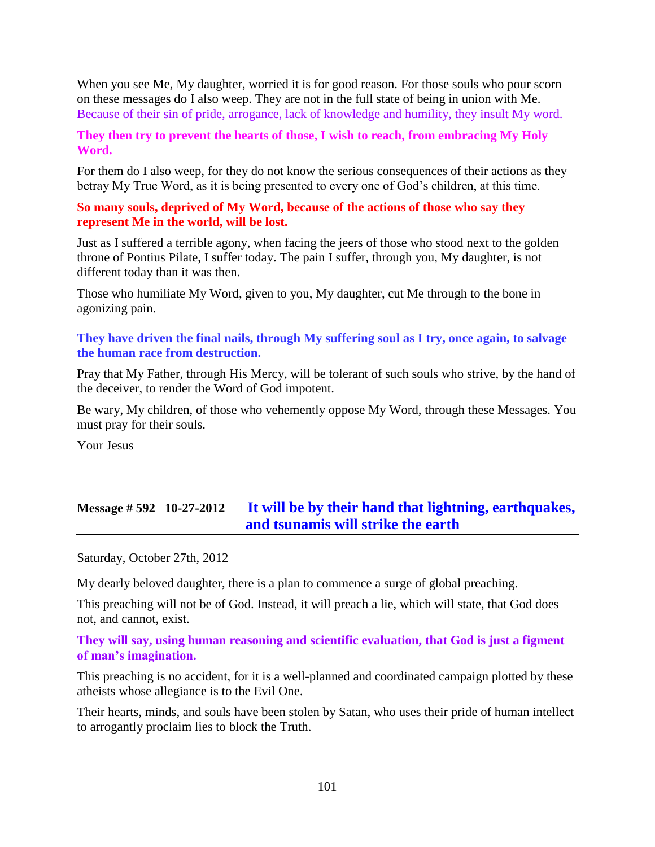When you see Me, My daughter, worried it is for good reason. For those souls who pour scorn on these messages do I also weep. They are not in the full state of being in union with Me. Because of their sin of pride, arrogance, lack of knowledge and humility, they insult My word.

#### **They then try to prevent the hearts of those, I wish to reach, from embracing My Holy Word.**

For them do I also weep, for they do not know the serious consequences of their actions as they betray My True Word, as it is being presented to every one of God's children, at this time.

#### **So many souls, deprived of My Word, because of the actions of those who say they represent Me in the world, will be lost.**

Just as I suffered a terrible agony, when facing the jeers of those who stood next to the golden throne of Pontius Pilate, I suffer today. The pain I suffer, through you, My daughter, is not different today than it was then.

Those who humiliate My Word, given to you, My daughter, cut Me through to the bone in agonizing pain.

#### **They have driven the final nails, through My suffering soul as I try, once again, to salvage the human race from destruction.**

Pray that My Father, through His Mercy, will be tolerant of such souls who strive, by the hand of the deceiver, to render the Word of God impotent.

Be wary, My children, of those who vehemently oppose My Word, through these Messages. You must pray for their souls.

Your Jesus

# **Message # 592 10-27-2012 [It will be by their hand that lightning, earthquakes,](http://www.thewarningsecondcoming.com/it-will-be-by-their-hand-that-lightening-earthquakes-and-tsunamis-will-strike-the-earth/) [and tsunamis will strike the earth](http://www.thewarningsecondcoming.com/it-will-be-by-their-hand-that-lightening-earthquakes-and-tsunamis-will-strike-the-earth/)**

Saturday, October 27th, 2012

My dearly beloved daughter, there is a plan to commence a surge of global preaching.

This preaching will not be of God. Instead, it will preach a lie, which will state, that God does not, and cannot, exist.

### **They will say, using human reasoning and scientific evaluation, that God is just a figment of man's imagination.**

This preaching is no accident, for it is a well-planned and coordinated campaign plotted by these atheists whose allegiance is to the Evil One.

Their hearts, minds, and souls have been stolen by Satan, who uses their pride of human intellect to arrogantly proclaim lies to block the Truth.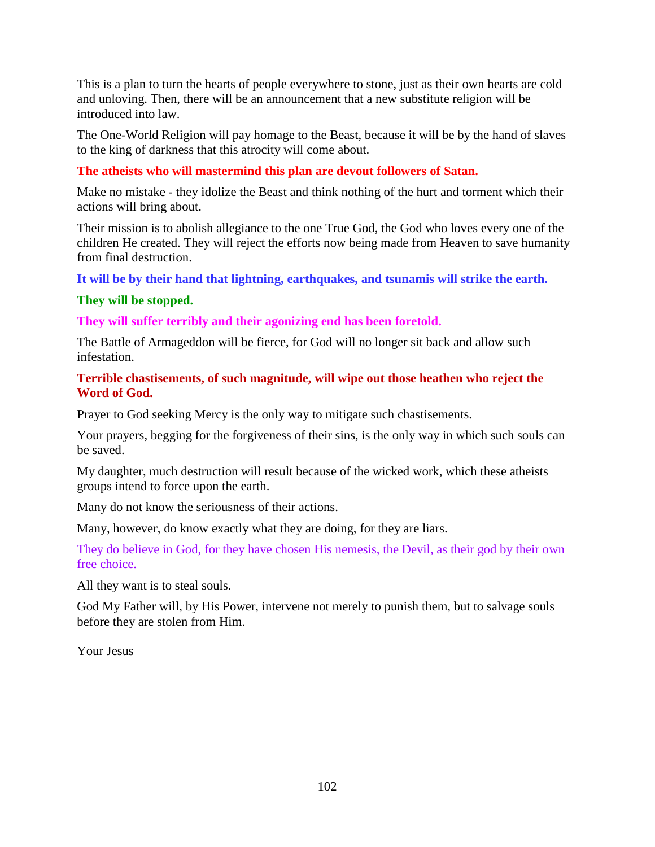This is a plan to turn the hearts of people everywhere to stone, just as their own hearts are cold and unloving. Then, there will be an announcement that a new substitute religion will be introduced into law.

The One-World Religion will pay homage to the Beast, because it will be by the hand of slaves to the king of darkness that this atrocity will come about.

### **The atheists who will mastermind this plan are devout followers of Satan.**

Make no mistake - they idolize the Beast and think nothing of the hurt and torment which their actions will bring about.

Their mission is to abolish allegiance to the one True God, the God who loves every one of the children He created. They will reject the efforts now being made from Heaven to save humanity from final destruction.

**It will be by their hand that lightning, earthquakes, and tsunamis will strike the earth.**

### **They will be stopped.**

**They will suffer terribly and their agonizing end has been foretold.**

The Battle of Armageddon will be fierce, for God will no longer sit back and allow such infestation.

### **Terrible chastisements, of such magnitude, will wipe out those heathen who reject the Word of God.**

Prayer to God seeking Mercy is the only way to mitigate such chastisements.

Your prayers, begging for the forgiveness of their sins, is the only way in which such souls can be saved.

My daughter, much destruction will result because of the wicked work, which these atheists groups intend to force upon the earth.

Many do not know the seriousness of their actions.

Many, however, do know exactly what they are doing, for they are liars.

They do believe in God, for they have chosen His nemesis, the Devil, as their god by their own free choice.

All they want is to steal souls.

God My Father will, by His Power, intervene not merely to punish them, but to salvage souls before they are stolen from Him.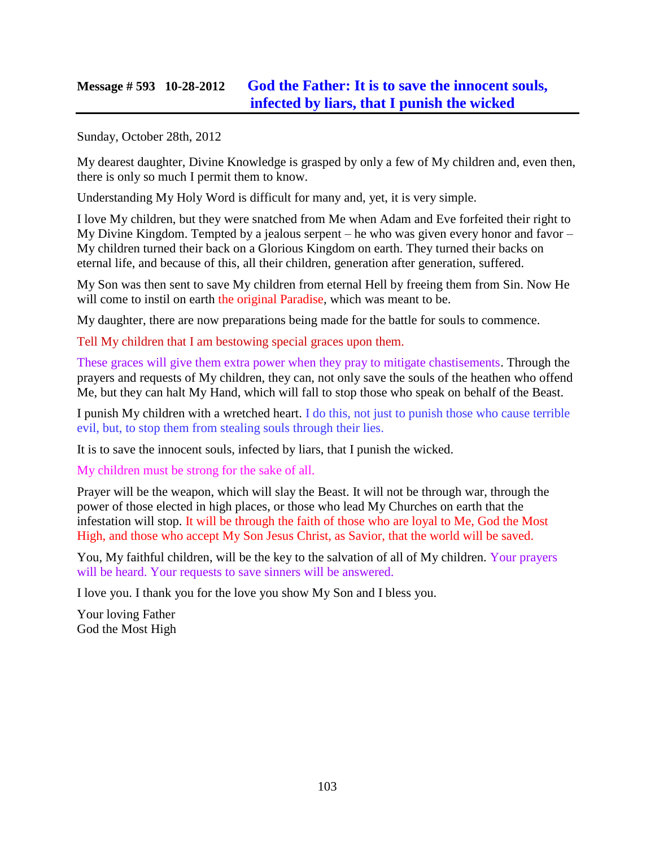## **Message # 593 10-28-2012 [God the Father: It is to save the innocent souls,](http://www.thewarningsecondcoming.com/god-the-father-it-is-to-save-the-innocent-souls-infected-by-liars-that-i-punish-the-wicked/)  [infected by liars, that I punish the wicked](http://www.thewarningsecondcoming.com/god-the-father-it-is-to-save-the-innocent-souls-infected-by-liars-that-i-punish-the-wicked/)**

Sunday, October 28th, 2012

My dearest daughter, Divine Knowledge is grasped by only a few of My children and, even then, there is only so much I permit them to know.

Understanding My Holy Word is difficult for many and, yet, it is very simple.

I love My children, but they were snatched from Me when Adam and Eve forfeited their right to My Divine Kingdom. Tempted by a jealous serpent – he who was given every honor and favor – My children turned their back on a Glorious Kingdom on earth. They turned their backs on eternal life, and because of this, all their children, generation after generation, suffered.

My Son was then sent to save My children from eternal Hell by freeing them from Sin. Now He will come to instil on earth the original Paradise, which was meant to be.

My daughter, there are now preparations being made for the battle for souls to commence.

Tell My children that I am bestowing special graces upon them.

These graces will give them extra power when they pray to mitigate chastisements. Through the prayers and requests of My children, they can, not only save the souls of the heathen who offend Me, but they can halt My Hand, which will fall to stop those who speak on behalf of the Beast.

I punish My children with a wretched heart. I do this, not just to punish those who cause terrible evil, but, to stop them from stealing souls through their lies.

It is to save the innocent souls, infected by liars, that I punish the wicked.

My children must be strong for the sake of all.

Prayer will be the weapon, which will slay the Beast. It will not be through war, through the power of those elected in high places, or those who lead My Churches on earth that the infestation will stop. It will be through the faith of those who are loyal to Me, God the Most High, and those who accept My Son Jesus Christ, as Savior, that the world will be saved.

You, My faithful children, will be the key to the salvation of all of My children. Your prayers will be heard. Your requests to save sinners will be answered.

I love you. I thank you for the love you show My Son and I bless you.

Your loving Father God the Most High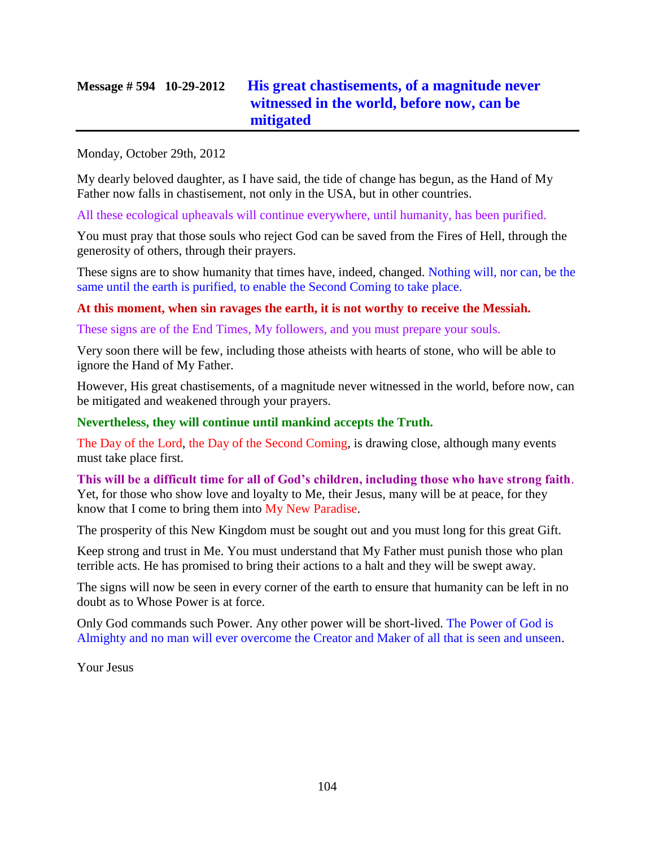# **Message # 594 10-29-2012 [His great chastisements, of a magnitude never](http://www.thewarningsecondcoming.com/his-great-chastisements-of-a-magnitude-never-witnessed-in-the-world-before-now-can-be-mitigated/)  [witnessed in the world, before now, can be](http://www.thewarningsecondcoming.com/his-great-chastisements-of-a-magnitude-never-witnessed-in-the-world-before-now-can-be-mitigated/)  [mitigated](http://www.thewarningsecondcoming.com/his-great-chastisements-of-a-magnitude-never-witnessed-in-the-world-before-now-can-be-mitigated/)**

Monday, October 29th, 2012

My dearly beloved daughter, as I have said, the tide of change has begun, as the Hand of My Father now falls in chastisement, not only in the USA, but in other countries.

All these ecological upheavals will continue everywhere, until humanity, has been purified.

You must pray that those souls who reject God can be saved from the Fires of Hell, through the generosity of others, through their prayers.

These signs are to show humanity that times have, indeed, changed. Nothing will, nor can, be the same until the earth is purified, to enable the Second Coming to take place.

**At this moment, when sin ravages the earth, it is not worthy to receive the Messiah.**

These signs are of the End Times, My followers, and you must prepare your souls.

Very soon there will be few, including those atheists with hearts of stone, who will be able to ignore the Hand of My Father.

However, His great chastisements, of a magnitude never witnessed in the world, before now, can be mitigated and weakened through your prayers.

#### **Nevertheless, they will continue until mankind accepts the Truth.**

The Day of the Lord, the Day of the Second Coming, is drawing close, although many events must take place first.

**This will be a difficult time for all of God's children, including those who have strong faith**. Yet, for those who show love and loyalty to Me, their Jesus, many will be at peace, for they know that I come to bring them into My New Paradise.

The prosperity of this New Kingdom must be sought out and you must long for this great Gift.

Keep strong and trust in Me. You must understand that My Father must punish those who plan terrible acts. He has promised to bring their actions to a halt and they will be swept away.

The signs will now be seen in every corner of the earth to ensure that humanity can be left in no doubt as to Whose Power is at force.

Only God commands such Power. Any other power will be short-lived. The Power of God is Almighty and no man will ever overcome the Creator and Maker of all that is seen and unseen.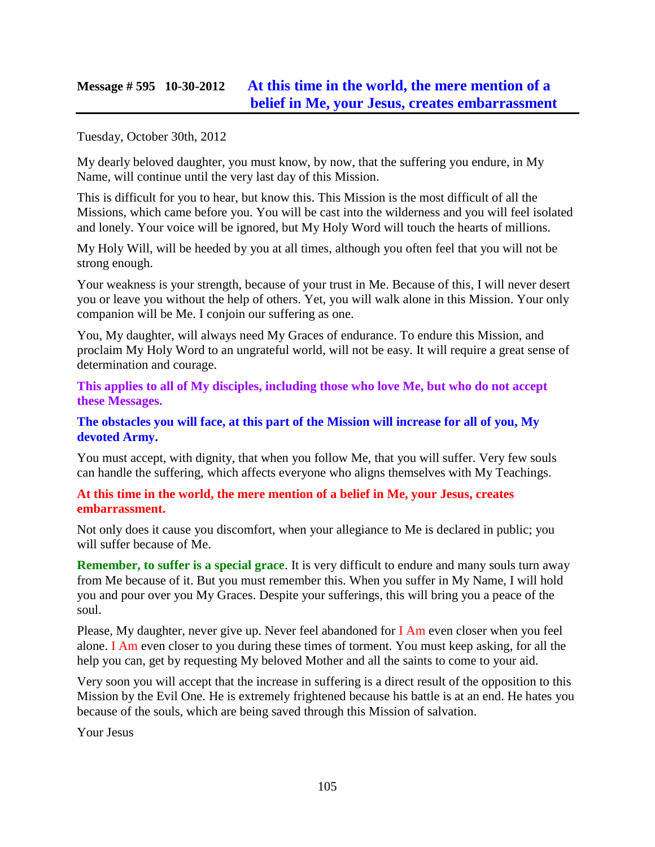## **Message # 595 10-30-2012 [At this time in the world, the mere mention of a](http://www.thewarningsecondcoming.com/at-this-time-in-the-world-the-mere-mention-of-a-belief-in-me-your-jesus-creates-embarrassment/)  [belief in Me, your Jesus, creates embarrassment](http://www.thewarningsecondcoming.com/at-this-time-in-the-world-the-mere-mention-of-a-belief-in-me-your-jesus-creates-embarrassment/)**

Tuesday, October 30th, 2012

My dearly beloved daughter, you must know, by now, that the suffering you endure, in My Name, will continue until the very last day of this Mission.

This is difficult for you to hear, but know this. This Mission is the most difficult of all the Missions, which came before you. You will be cast into the wilderness and you will feel isolated and lonely. Your voice will be ignored, but My Holy Word will touch the hearts of millions.

My Holy Will, will be heeded by you at all times, although you often feel that you will not be strong enough.

Your weakness is your strength, because of your trust in Me. Because of this, I will never desert you or leave you without the help of others. Yet, you will walk alone in this Mission. Your only companion will be Me. I conjoin our suffering as one.

You, My daughter, will always need My Graces of endurance. To endure this Mission, and proclaim My Holy Word to an ungrateful world, will not be easy. It will require a great sense of determination and courage.

**This applies to all of My disciples, including those who love Me, but who do not accept these Messages.**

#### **The obstacles you will face, at this part of the Mission will increase for all of you, My devoted Army.**

You must accept, with dignity, that when you follow Me, that you will suffer. Very few souls can handle the suffering, which affects everyone who aligns themselves with My Teachings.

#### **At this time in the world, the mere mention of a belief in Me, your Jesus, creates embarrassment.**

Not only does it cause you discomfort, when your allegiance to Me is declared in public; you will suffer because of Me.

**Remember, to suffer is a special grace**. It is very difficult to endure and many souls turn away from Me because of it. But you must remember this. When you suffer in My Name, I will hold you and pour over you My Graces. Despite your sufferings, this will bring you a peace of the soul.

Please, My daughter, never give up. Never feel abandoned for I Am even closer when you feel alone. I Am even closer to you during these times of torment. You must keep asking, for all the help you can, get by requesting My beloved Mother and all the saints to come to your aid.

Very soon you will accept that the increase in suffering is a direct result of the opposition to this Mission by the Evil One. He is extremely frightened because his battle is at an end. He hates you because of the souls, which are being saved through this Mission of salvation.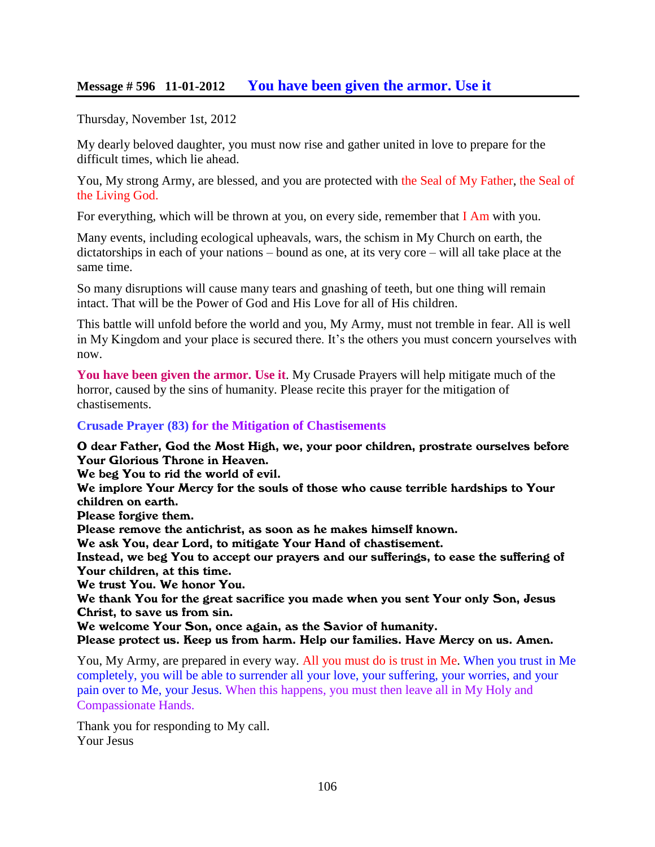### **Message # 596 11-01-2012 [You have been given the armor. Use it](http://www.thewarningsecondcoming.com/you-have-been-given-the-armour-use-it/)**

Thursday, November 1st, 2012

My dearly beloved daughter, you must now rise and gather united in love to prepare for the difficult times, which lie ahead.

You, My strong Army, are blessed, and you are protected with the Seal of My Father, the Seal of the Living God.

For everything, which will be thrown at you, on every side, remember that  $I$  Am with you.

Many events, including ecological upheavals, wars, the schism in My Church on earth, the dictatorships in each of your nations – bound as one, at its very core – will all take place at the same time.

So many disruptions will cause many tears and gnashing of teeth, but one thing will remain intact. That will be the Power of God and His Love for all of His children.

This battle will unfold before the world and you, My Army, must not tremble in fear. All is well in My Kingdom and your place is secured there. It's the others you must concern yourselves with now.

**You have been given the armor. Use it**. My Crusade Prayers will help mitigate much of the horror, caused by the sins of humanity. Please recite this prayer for the mitigation of chastisements.

#### **Crusade Prayer (83) for the Mitigation of Chastisements**

O dear Father, God the Most High, we, your poor children, prostrate ourselves before Your Glorious Throne in Heaven.

We beg You to rid the world of evil.

We implore Your Mercy for the souls of those who cause terrible hardships to Your children on earth.

Please forgive them.

Please remove the antichrist, as soon as he makes himself known.

We ask You, dear Lord, to mitigate Your Hand of chastisement.

Instead, we beg You to accept our prayers and our sufferings, to ease the suffering of Your children, at this time.

We trust You. We honor You.

We thank You for the great sacrifice you made when you sent Your only Son, Jesus Christ, to save us from sin.

We welcome Your Son, once again, as the Savior of humanity.

Please protect us. Keep us from harm. Help our families. Have Mercy on us. Amen.

You, My Army, are prepared in every way. All you must do is trust in Me. When you trust in Me completely, you will be able to surrender all your love, your suffering, your worries, and your pain over to Me, your Jesus. When this happens, you must then leave all in My Holy and Compassionate Hands.

Thank you for responding to My call. Your Jesus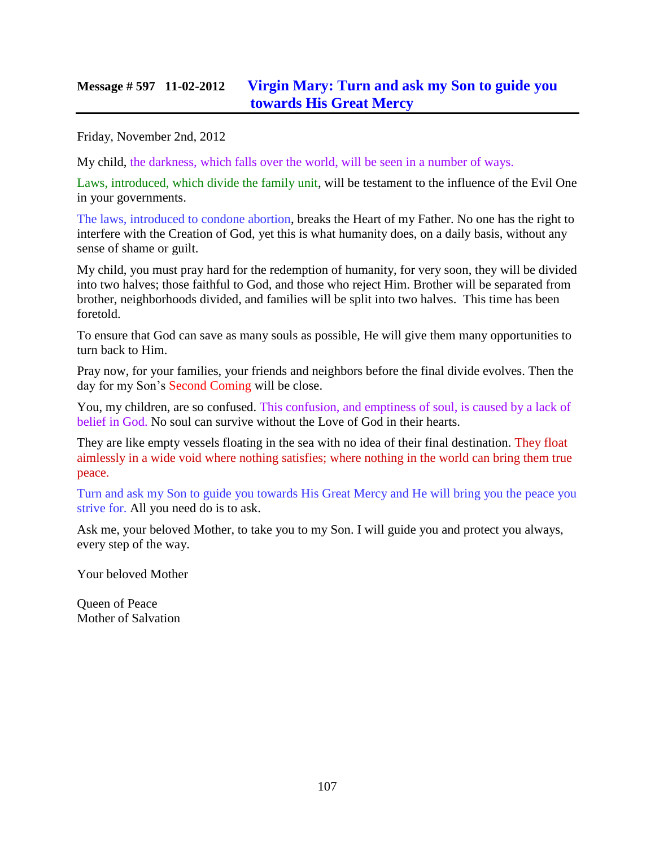### **Message # 597 11-02-2012 [Virgin Mary: Turn and ask my Son to guide](http://www.thewarningsecondcoming.com/virgin-mary-turn-and-ask-my-son-to-guide-you-towards-his-great-mercy/) you [towards His Great Mercy](http://www.thewarningsecondcoming.com/virgin-mary-turn-and-ask-my-son-to-guide-you-towards-his-great-mercy/)**

Friday, November 2nd, 2012

My child, the darkness, which falls over the world, will be seen in a number of ways.

Laws, introduced, which divide the family unit, will be testament to the influence of the Evil One in your governments.

The laws, introduced to condone abortion, breaks the Heart of my Father. No one has the right to interfere with the Creation of God, yet this is what humanity does, on a daily basis, without any sense of shame or guilt.

My child, you must pray hard for the redemption of humanity, for very soon, they will be divided into two halves; those faithful to God, and those who reject Him. Brother will be separated from brother, neighborhoods divided, and families will be split into two halves. This time has been foretold.

To ensure that God can save as many souls as possible, He will give them many opportunities to turn back to Him.

Pray now, for your families, your friends and neighbors before the final divide evolves. Then the day for my Son's Second Coming will be close.

You, my children, are so confused. This confusion, and emptiness of soul, is caused by a lack of belief in God. No soul can survive without the Love of God in their hearts.

They are like empty vessels floating in the sea with no idea of their final destination. They float aimlessly in a wide void where nothing satisfies; where nothing in the world can bring them true peace.

Turn and ask my Son to guide you towards His Great Mercy and He will bring you the peace you strive for. All you need do is to ask.

Ask me, your beloved Mother, to take you to my Son. I will guide you and protect you always, every step of the way.

Your beloved Mother

Queen of Peace Mother of Salvation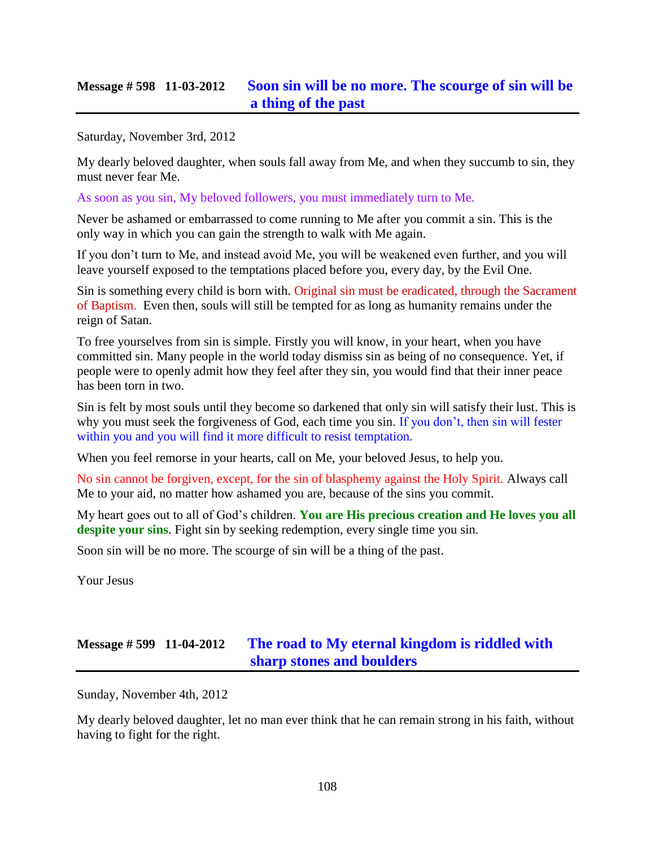## **Message # 598 11-03-2012 [Soon sin will be no more. The scourge of sin will be](http://www.thewarningsecondcoming.com/soon-sin-will-be-no-more-the-scourge-of-sin-will-be-a-thing-of-the-past/)  [a thing of the past](http://www.thewarningsecondcoming.com/soon-sin-will-be-no-more-the-scourge-of-sin-will-be-a-thing-of-the-past/)**

Saturday, November 3rd, 2012

My dearly beloved daughter, when souls fall away from Me, and when they succumb to sin, they must never fear Me.

As soon as you sin, My beloved followers, you must immediately turn to Me.

Never be ashamed or embarrassed to come running to Me after you commit a sin. This is the only way in which you can gain the strength to walk with Me again.

If you don't turn to Me, and instead avoid Me, you will be weakened even further, and you will leave yourself exposed to the temptations placed before you, every day, by the Evil One.

Sin is something every child is born with. Original sin must be eradicated, through the Sacrament of Baptism. Even then, souls will still be tempted for as long as humanity remains under the reign of Satan.

To free yourselves from sin is simple. Firstly you will know, in your heart, when you have committed sin. Many people in the world today dismiss sin as being of no consequence. Yet, if people were to openly admit how they feel after they sin, you would find that their inner peace has been torn in two.

Sin is felt by most souls until they become so darkened that only sin will satisfy their lust. This is why you must seek the forgiveness of God, each time you sin. If you don't, then sin will fester within you and you will find it more difficult to resist temptation.

When you feel remorse in your hearts, call on Me, your beloved Jesus, to help you.

No sin cannot be forgiven, except, for the sin of blasphemy against the Holy Spirit. Always call Me to your aid, no matter how ashamed you are, because of the sins you commit.

My heart goes out to all of God's children. **You are His precious creation and He loves you all despite your sins**. Fight sin by seeking redemption, every single time you sin.

Soon sin will be no more. The scourge of sin will be a thing of the past.

Your Jesus

# **Message # 599 11-04-2012 [The road to My eternal kingdom is riddled with](http://www.thewarningsecondcoming.com/the-road-to-my-eternal-kingdom-is-riddled-with-sharp-stones-and-boulders/)  [sharp stones and boulders](http://www.thewarningsecondcoming.com/the-road-to-my-eternal-kingdom-is-riddled-with-sharp-stones-and-boulders/)**

Sunday, November 4th, 2012

My dearly beloved daughter, let no man ever think that he can remain strong in his faith, without having to fight for the right.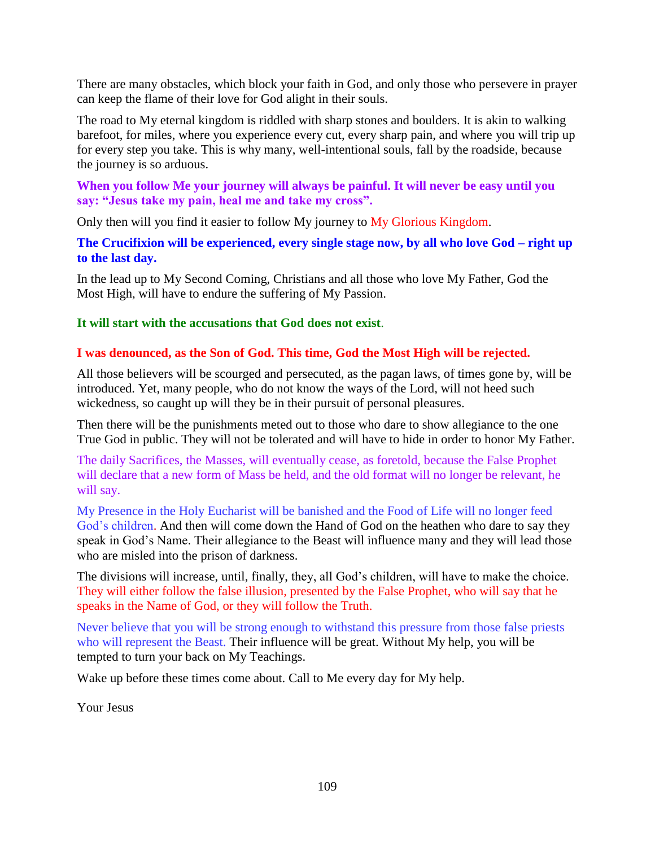There are many obstacles, which block your faith in God, and only those who persevere in prayer can keep the flame of their love for God alight in their souls.

The road to My eternal kingdom is riddled with sharp stones and boulders. It is akin to walking barefoot, for miles, where you experience every cut, every sharp pain, and where you will trip up for every step you take. This is why many, well-intentional souls, fall by the roadside, because the journey is so arduous.

## **When you follow Me your journey will always be painful. It will never be easy until you say: "Jesus take my pain, heal me and take my cross".**

Only then will you find it easier to follow My journey to My Glorious Kingdom.

**The Crucifixion will be experienced, every single stage now, by all who love God – right up to the last day.**

In the lead up to My Second Coming, Christians and all those who love My Father, God the Most High, will have to endure the suffering of My Passion.

## **It will start with the accusations that God does not exist**.

## **I was denounced, as the Son of God. This time, God the Most High will be rejected.**

All those believers will be scourged and persecuted, as the pagan laws, of times gone by, will be introduced. Yet, many people, who do not know the ways of the Lord, will not heed such wickedness, so caught up will they be in their pursuit of personal pleasures.

Then there will be the punishments meted out to those who dare to show allegiance to the one True God in public. They will not be tolerated and will have to hide in order to honor My Father.

The daily Sacrifices, the Masses, will eventually cease, as foretold, because the False Prophet will declare that a new form of Mass be held, and the old format will no longer be relevant, he will say.

My Presence in the Holy Eucharist will be banished and the Food of Life will no longer feed God's children. And then will come down the Hand of God on the heathen who dare to say they speak in God's Name. Their allegiance to the Beast will influence many and they will lead those who are misled into the prison of darkness.

The divisions will increase, until, finally, they, all God's children, will have to make the choice. They will either follow the false illusion, presented by the False Prophet, who will say that he speaks in the Name of God, or they will follow the Truth.

Never believe that you will be strong enough to withstand this pressure from those false priests who will represent the Beast. Their influence will be great. Without My help, you will be tempted to turn your back on My Teachings.

Wake up before these times come about. Call to Me every day for My help.

Your Jesus